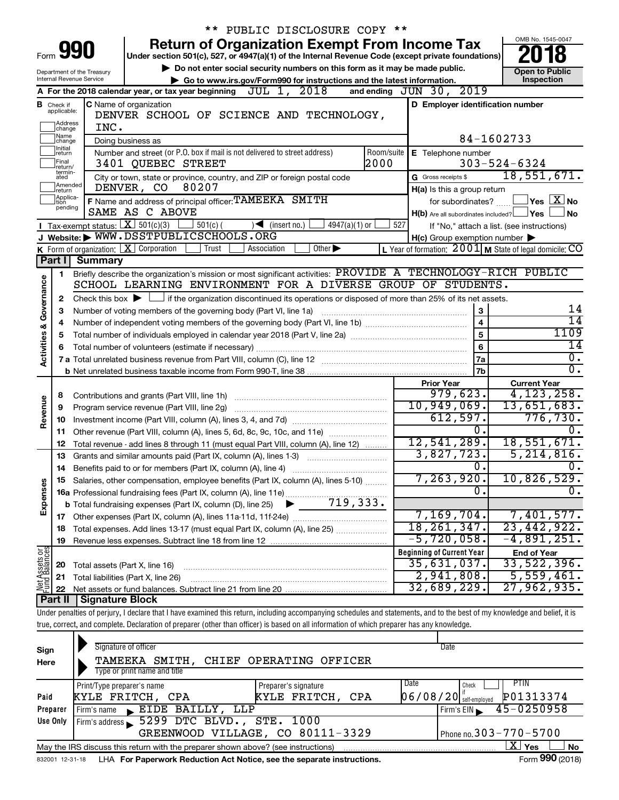|                                       |                               |                                                                   | ** PUBLIC DISCLOSURE COPY **                                                                                                                                               |                                    |                                                         |                                                           |  |  |  |  |
|---------------------------------------|-------------------------------|-------------------------------------------------------------------|----------------------------------------------------------------------------------------------------------------------------------------------------------------------------|------------------------------------|---------------------------------------------------------|-----------------------------------------------------------|--|--|--|--|
|                                       |                               |                                                                   | <b>Return of Organization Exempt From Income Tax</b>                                                                                                                       |                                    |                                                         | OMB No. 1545-0047                                         |  |  |  |  |
|                                       |                               | 990                                                               | Under section 501(c), 527, or 4947(a)(1) of the Internal Revenue Code (except private foundations)                                                                         |                                    |                                                         |                                                           |  |  |  |  |
|                                       |                               | Department of the Treasury<br>Internal Revenue Service            | Do not enter social security numbers on this form as it may be made public.                                                                                                |                                    |                                                         | <b>Open to Public</b><br>Inspection                       |  |  |  |  |
|                                       |                               |                                                                   | Go to www.irs.gov/Form990 for instructions and the latest information.<br>A For the 2018 calendar year, or tax year beginning $J\overline{U}L$ 1, $2018$                   |                                    | and ending JUN 30, 2019                                 |                                                           |  |  |  |  |
|                                       |                               |                                                                   | C Name of organization                                                                                                                                                     |                                    | D Employer identification number                        |                                                           |  |  |  |  |
|                                       | <b>B</b> Check if applicable: |                                                                   | DENVER SCHOOL OF SCIENCE AND TECHNOLOGY,                                                                                                                                   |                                    |                                                         |                                                           |  |  |  |  |
|                                       | Address<br>change             | INC.                                                              |                                                                                                                                                                            |                                    |                                                         |                                                           |  |  |  |  |
|                                       | Name<br>change                |                                                                   | Doing business as                                                                                                                                                          |                                    |                                                         | 84-1602733                                                |  |  |  |  |
|                                       | Initial<br>return             |                                                                   | Number and street (or P.O. box if mail is not delivered to street address)                                                                                                 | Room/suite                         | E Telephone number                                      |                                                           |  |  |  |  |
|                                       | Final<br>return/              |                                                                   | 2000<br>3401 QUEBEC STREET                                                                                                                                                 |                                    |                                                         | $303 - 524 - 6324$                                        |  |  |  |  |
|                                       | termin-<br>ated               |                                                                   | City or town, state or province, country, and ZIP or foreign postal code                                                                                                   | 18,551,671.<br>G Gross receipts \$ |                                                         |                                                           |  |  |  |  |
|                                       | Amended<br>return             |                                                                   | 80207<br>DENVER, CO                                                                                                                                                        |                                    | H(a) Is this a group return                             |                                                           |  |  |  |  |
|                                       | Applica-<br>Ition<br>pending  |                                                                   | F Name and address of principal officer: TAMEEKA SMITH<br>SAME AS C ABOVE                                                                                                  |                                    | $\,$ Yes $\,$ $\rm X$ $\,$ No $\,$<br>for subordinates? |                                                           |  |  |  |  |
|                                       |                               | Tax-exempt status: $X \over 301(c)(3)$                            | $\sqrt{\frac{1}{1}}$ (insert no.)                                                                                                                                          | 527                                | $H(b)$ Are all subordinates included? $\Box$ Yes        | No                                                        |  |  |  |  |
|                                       |                               |                                                                   | $501(c)$ (<br>$4947(a)(1)$ or<br>J Website: WWW.DSSTPUBLICSCHOOLS.ORG                                                                                                      |                                    | $H(c)$ Group exemption number $\blacktriangleright$     | If "No," attach a list. (see instructions)                |  |  |  |  |
|                                       |                               |                                                                   | <b>K</b> Form of organization: $\boxed{\mathbf{X}}$ Corporation<br>Trust<br>Association<br>Other $\blacktriangleright$                                                     |                                    |                                                         | L Year of formation: $2001$ M State of legal domicile: CO |  |  |  |  |
|                                       | Part I                        | <b>Summary</b>                                                    |                                                                                                                                                                            |                                    |                                                         |                                                           |  |  |  |  |
|                                       | 1                             |                                                                   | Briefly describe the organization's mission or most significant activities: PROVIDE A TECHNOLOGY-RICH PUBLIC                                                               |                                    |                                                         |                                                           |  |  |  |  |
| Governance                            |                               |                                                                   | SCHOOL LEARNING ENVIRONMENT FOR A DIVERSE GROUP OF STUDENTS.                                                                                                               |                                    |                                                         |                                                           |  |  |  |  |
|                                       | $\mathbf{2}$                  |                                                                   | Check this box $\blacktriangleright$ $\Box$ if the organization discontinued its operations or disposed of more than 25% of its net assets.                                |                                    |                                                         |                                                           |  |  |  |  |
|                                       | 3                             | Number of voting members of the governing body (Part VI, line 1a) | 14                                                                                                                                                                         |                                    |                                                         |                                                           |  |  |  |  |
|                                       | 4                             |                                                                   | 14<br>1109                                                                                                                                                                 |                                    |                                                         |                                                           |  |  |  |  |
| <b>Activities &amp;</b>               | 5                             | $\overline{5}$                                                    |                                                                                                                                                                            |                                    |                                                         |                                                           |  |  |  |  |
|                                       | 6                             |                                                                   |                                                                                                                                                                            |                                    | $6\phantom{a}$                                          | 14<br>$\overline{0}$ .                                    |  |  |  |  |
|                                       |                               |                                                                   |                                                                                                                                                                            |                                    | 7a<br>7 <sub>b</sub>                                    | σ.                                                        |  |  |  |  |
|                                       |                               |                                                                   |                                                                                                                                                                            |                                    | <b>Prior Year</b>                                       | <b>Current Year</b>                                       |  |  |  |  |
|                                       | 8                             |                                                                   |                                                                                                                                                                            |                                    | 979,623.                                                | 4, 123, 258.                                              |  |  |  |  |
| Revenue                               | 9                             |                                                                   | Program service revenue (Part VIII, line 2g)                                                                                                                               |                                    | 10,949,069.                                             | 13,651,683.                                               |  |  |  |  |
|                                       | 10                            |                                                                   |                                                                                                                                                                            |                                    | 612,597.                                                | 776, 730.                                                 |  |  |  |  |
|                                       | 11                            |                                                                   | Other revenue (Part VIII, column (A), lines 5, 6d, 8c, 9c, 10c, and 11e)                                                                                                   |                                    | 0.                                                      |                                                           |  |  |  |  |
|                                       | 12                            |                                                                   | Total revenue - add lines 8 through 11 (must equal Part VIII, column (A), line 12)                                                                                         |                                    | 12,541,289.                                             | 18,551,671.                                               |  |  |  |  |
|                                       | 13                            |                                                                   | Grants and similar amounts paid (Part IX, column (A), lines 1-3)                                                                                                           |                                    | 3,827,723.                                              | 5, 214, 816.<br>Ο.                                        |  |  |  |  |
|                                       |                               |                                                                   | ο.                                                                                                                                                                         |                                    |                                                         |                                                           |  |  |  |  |
|                                       |                               |                                                                   | 15 Salaries, other compensation, employee benefits (Part IX, column (A), lines 5-10)                                                                                       | 7,263,920.                         | 10,826,529.                                             |                                                           |  |  |  |  |
| Expenses                              |                               |                                                                   |                                                                                                                                                                            | 0                                  | Ο.                                                      |                                                           |  |  |  |  |
|                                       |                               |                                                                   |                                                                                                                                                                            |                                    | 7,169,704.                                              | 7,401,577.                                                |  |  |  |  |
|                                       |                               |                                                                   | Total expenses. Add lines 13-17 (must equal Part IX, column (A), line 25)                                                                                                  |                                    | 18, 261, 347.                                           | 23,442,922.                                               |  |  |  |  |
|                                       | 18<br>19                      |                                                                   |                                                                                                                                                                            |                                    | $-5,720,058.$                                           | $-4,891,251.$                                             |  |  |  |  |
|                                       |                               |                                                                   |                                                                                                                                                                            |                                    | <b>Beginning of Current Year</b>                        | <b>End of Year</b>                                        |  |  |  |  |
|                                       | 20                            | Total assets (Part X, line 16)                                    |                                                                                                                                                                            |                                    | 35,631,037.                                             | 33, 522, 396.                                             |  |  |  |  |
|                                       | 21                            |                                                                   | Total liabilities (Part X, line 26)                                                                                                                                        |                                    | 2,941,808.                                              | 5,559,461.                                                |  |  |  |  |
| <b>Net Assets or</b><br>Fund Balances | 22                            |                                                                   | 32,689,229.                                                                                                                                                                |                                    |                                                         |                                                           |  |  |  |  |
|                                       | Part II                       | <b>Signature Block</b>                                            |                                                                                                                                                                            |                                    |                                                         |                                                           |  |  |  |  |
|                                       |                               |                                                                   | Under penalties of perjury, I declare that I have examined this return, including accompanying schedules and statements, and to the best of my knowledge and belief, it is |                                    |                                                         |                                                           |  |  |  |  |
|                                       |                               |                                                                   | true, correct, and complete. Declaration of preparer (other than officer) is based on all information of which preparer has any knowledge.                                 |                                    |                                                         |                                                           |  |  |  |  |
|                                       |                               |                                                                   | Signature of officer                                                                                                                                                       |                                    | Date                                                    |                                                           |  |  |  |  |
| Sign                                  |                               |                                                                   | TAMEEKA SMITH, CHIEF OPERATING OFFICER                                                                                                                                     |                                    |                                                         |                                                           |  |  |  |  |
| Here                                  |                               |                                                                   |                                                                                                                                                                            |                                    |                                                         |                                                           |  |  |  |  |

| Here     | IAMEENA SMIIN, CHIEF OPERAIING OPPICER                                                                 |                      |                                                     |  |  |  |  |  |  |  |
|----------|--------------------------------------------------------------------------------------------------------|----------------------|-----------------------------------------------------|--|--|--|--|--|--|--|
|          | Type or print name and title                                                                           |                      |                                                     |  |  |  |  |  |  |  |
|          | Print/Type preparer's name                                                                             | Preparer's signature | I Date<br>PHN<br>Check                              |  |  |  |  |  |  |  |
| Paid     | KYLE FRITCH, CPA                                                                                       | KYLE FRITCH, CPA     | P01313374<br>$\vert$ 06/08/20 $\vert$ self-employed |  |  |  |  |  |  |  |
| Preparer | $Firm's EIN = 45-0250958$<br>Firm's name EIDE BAILLY, LLP                                              |                      |                                                     |  |  |  |  |  |  |  |
| Use Only | Firm's address 5299 DTC BLVD., STE. 1000                                                               |                      |                                                     |  |  |  |  |  |  |  |
|          | GREENWOOD VILLAGE, CO 80111-3329<br>Phone no. $303 - 770 - 5700$                                       |                      |                                                     |  |  |  |  |  |  |  |
|          | ΧI<br>l Yes<br>No<br>May the IRS discuss this return with the preparer shown above? (see instructions) |                      |                                                     |  |  |  |  |  |  |  |
|          |                                                                                                        |                      | $- - -$                                             |  |  |  |  |  |  |  |

832001 12-31-18 **For Paperwork Reduction Act Notice, see the separate instructions.** LHA Form (2018)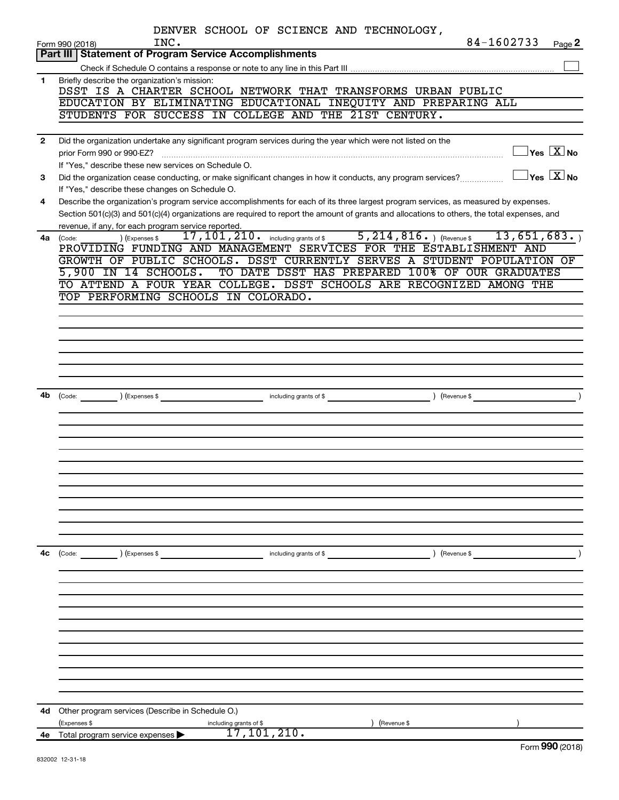|              | DENVER SCHOOL OF SCIENCE AND TECHNOLOGY,                                                                                                     |
|--------------|----------------------------------------------------------------------------------------------------------------------------------------------|
|              | 84-1602733<br>INC.<br>Page 2<br>Form 990 (2018)                                                                                              |
|              | Part III   Statement of Program Service Accomplishments                                                                                      |
|              |                                                                                                                                              |
| $\mathbf{1}$ | Briefly describe the organization's mission:<br>DSST IS A CHARTER SCHOOL NETWORK THAT TRANSFORMS URBAN PUBLIC                                |
|              | EDUCATION BY ELIMINATING EDUCATIONAL INEQUITY AND PREPARING ALL                                                                              |
|              | STUDENTS FOR SUCCESS IN COLLEGE AND THE 21ST CENTURY.                                                                                        |
|              |                                                                                                                                              |
| $\mathbf{2}$ | Did the organization undertake any significant program services during the year which were not listed on the                                 |
|              | $\Box$ Yes $[\overline{\mathrm{X}}]$ No<br>prior Form 990 or 990-EZ?                                                                         |
|              | If "Yes," describe these new services on Schedule O.                                                                                         |
| 3            | $\Box$ Yes $\overline{X}$ No<br>Did the organization cease conducting, or make significant changes in how it conducts, any program services? |
|              | If "Yes," describe these changes on Schedule O.                                                                                              |
| 4            | Describe the organization's program service accomplishments for each of its three largest program services, as measured by expenses.         |
|              | Section 501(c)(3) and 501(c)(4) organizations are required to report the amount of grants and allocations to others, the total expenses, and |
|              | revenue, if any, for each program service reported.                                                                                          |
| 4a           | 17, 101, 210. including grants of \$ $5, 214, 816.$ (Revenue \$ 13, 651, 683.)<br>) (Expenses \$<br>(Code:                                   |
|              | PROVIDING FUNDING AND MANAGEMENT SERVICES FOR THE ESTABLISHMENT AND                                                                          |
|              | GROWTH OF PUBLIC SCHOOLS. DSST CURRENTLY SERVES A STUDENT POPULATION OF                                                                      |
|              | 5,900 IN 14 SCHOOLS.<br>TO DATE DSST HAS PREPARED 100% OF OUR GRADUATES                                                                      |
|              | TO ATTEND A FOUR YEAR COLLEGE. DSST SCHOOLS ARE RECOGNIZED AMONG THE                                                                         |
|              | TOP PERFORMING SCHOOLS IN COLORADO.                                                                                                          |
|              |                                                                                                                                              |
|              |                                                                                                                                              |
|              |                                                                                                                                              |
|              |                                                                                                                                              |
|              |                                                                                                                                              |
|              |                                                                                                                                              |
|              |                                                                                                                                              |
| 4b           | $\overbrace{\text{Code:}}$ (Expenses \$                                                                                                      |
|              |                                                                                                                                              |
|              |                                                                                                                                              |
|              |                                                                                                                                              |
|              |                                                                                                                                              |
|              |                                                                                                                                              |
|              |                                                                                                                                              |
|              |                                                                                                                                              |
|              |                                                                                                                                              |
|              |                                                                                                                                              |
|              |                                                                                                                                              |
|              |                                                                                                                                              |
|              |                                                                                                                                              |
| 4c           | ) (Expenses \$<br>) (Revenue \$<br>(Code:<br>including grants of \$                                                                          |
|              |                                                                                                                                              |
|              |                                                                                                                                              |
|              |                                                                                                                                              |
|              |                                                                                                                                              |
|              |                                                                                                                                              |
|              |                                                                                                                                              |
|              |                                                                                                                                              |
|              |                                                                                                                                              |
|              |                                                                                                                                              |
|              |                                                                                                                                              |
|              |                                                                                                                                              |
|              |                                                                                                                                              |
| 4d           | Other program services (Describe in Schedule O.)                                                                                             |
|              | (Expenses \$<br>(Revenue \$<br>including grants of \$                                                                                        |
| 4е           | 17, 101, 210.<br>Total program service expenses                                                                                              |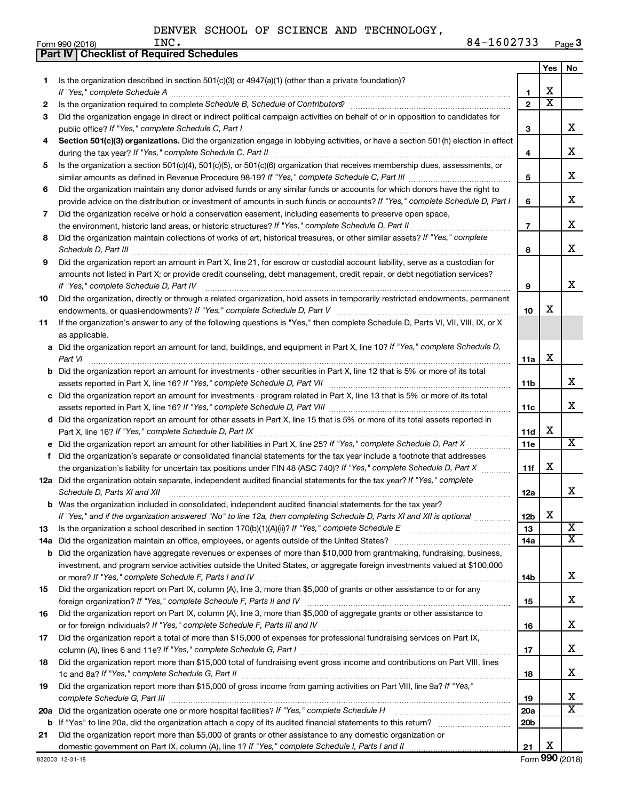**Part IV Checklist of Required Schedules**

|     |                                                                                                                                  |                 | <b>Yes</b>            | No                      |
|-----|----------------------------------------------------------------------------------------------------------------------------------|-----------------|-----------------------|-------------------------|
| 1   | Is the organization described in section 501(c)(3) or $4947(a)(1)$ (other than a private foundation)?                            |                 |                       |                         |
|     |                                                                                                                                  | 1.              | X                     |                         |
| 2   |                                                                                                                                  | $\overline{2}$  | $\overline{\text{x}}$ |                         |
| 3   | Did the organization engage in direct or indirect political campaign activities on behalf of or in opposition to candidates for  |                 |                       |                         |
|     | public office? If "Yes," complete Schedule C, Part I                                                                             | 3               |                       | x                       |
| 4   | Section 501(c)(3) organizations. Did the organization engage in lobbying activities, or have a section 501(h) election in effect |                 |                       |                         |
|     |                                                                                                                                  | 4               |                       | x                       |
| 5   | Is the organization a section 501(c)(4), 501(c)(5), or 501(c)(6) organization that receives membership dues, assessments, or     |                 |                       |                         |
|     |                                                                                                                                  | 5               |                       | x                       |
| 6   | Did the organization maintain any donor advised funds or any similar funds or accounts for which donors have the right to        |                 |                       |                         |
|     | provide advice on the distribution or investment of amounts in such funds or accounts? If "Yes," complete Schedule D, Part I     | 6               |                       | x                       |
| 7   | Did the organization receive or hold a conservation easement, including easements to preserve open space,                        |                 |                       |                         |
|     |                                                                                                                                  | $\overline{7}$  |                       | x                       |
| 8   | Did the organization maintain collections of works of art, historical treasures, or other similar assets? If "Yes," complete     |                 |                       |                         |
|     |                                                                                                                                  | 8               |                       | x                       |
| 9   | Did the organization report an amount in Part X, line 21, for escrow or custodial account liability, serve as a custodian for    |                 |                       |                         |
|     | amounts not listed in Part X; or provide credit counseling, debt management, credit repair, or debt negotiation services?        |                 |                       |                         |
|     | If "Yes," complete Schedule D, Part IV                                                                                           | 9               |                       | x                       |
| 10  | Did the organization, directly or through a related organization, hold assets in temporarily restricted endowments, permanent    |                 |                       |                         |
|     |                                                                                                                                  | 10              | х                     |                         |
| 11  | If the organization's answer to any of the following questions is "Yes," then complete Schedule D, Parts VI, VII, VIII, IX, or X |                 |                       |                         |
|     | as applicable.                                                                                                                   |                 |                       |                         |
| а   | Did the organization report an amount for land, buildings, and equipment in Part X, line 10? If "Yes," complete Schedule D,      |                 | х                     |                         |
|     | Part VI                                                                                                                          | 11a             |                       |                         |
| b   | Did the organization report an amount for investments - other securities in Part X, line 12 that is 5% or more of its total      |                 |                       | x                       |
|     |                                                                                                                                  | 11b             |                       |                         |
| с   | Did the organization report an amount for investments - program related in Part X, line 13 that is 5% or more of its total       | 11c             |                       | x                       |
|     | d Did the organization report an amount for other assets in Part X, line 15 that is 5% or more of its total assets reported in   |                 |                       |                         |
|     |                                                                                                                                  | 11d             | х                     |                         |
|     | Did the organization report an amount for other liabilities in Part X, line 25? If "Yes," complete Schedule D, Part X            | 11e             |                       | $\overline{\mathbf{X}}$ |
| f   | Did the organization's separate or consolidated financial statements for the tax year include a footnote that addresses          |                 |                       |                         |
|     | the organization's liability for uncertain tax positions under FIN 48 (ASC 740)? If "Yes," complete Schedule D, Part X           | 11f             | х                     |                         |
|     | 12a Did the organization obtain separate, independent audited financial statements for the tax year? If "Yes," complete          |                 |                       |                         |
|     | Schedule D, Parts XI and XII                                                                                                     | 12a             |                       | x                       |
|     | Was the organization included in consolidated, independent audited financial statements for the tax year?                        |                 |                       |                         |
|     | If "Yes," and if the organization answered "No" to line 12a, then completing Schedule D, Parts XI and XII is optional            | 12b             | X                     |                         |
| 13  | Is the organization a school described in section 170(b)(1)(A)(ii)? If "Yes," complete Schedule E                                | 13              |                       | $\overline{\mathbf{X}}$ |
| 14a | Did the organization maintain an office, employees, or agents outside of the United States?                                      | 14a             |                       | $\overline{\mathtt{x}}$ |
|     | <b>b</b> Did the organization have aggregate revenues or expenses of more than \$10,000 from grantmaking, fundraising, business, |                 |                       |                         |
|     | investment, and program service activities outside the United States, or aggregate foreign investments valued at \$100,000       |                 |                       |                         |
|     |                                                                                                                                  | 14b             |                       | x                       |
| 15  | Did the organization report on Part IX, column (A), line 3, more than \$5,000 of grants or other assistance to or for any        |                 |                       |                         |
|     |                                                                                                                                  | 15              |                       | x                       |
| 16  | Did the organization report on Part IX, column (A), line 3, more than \$5,000 of aggregate grants or other assistance to         |                 |                       |                         |
|     |                                                                                                                                  | 16              |                       | x                       |
| 17  | Did the organization report a total of more than \$15,000 of expenses for professional fundraising services on Part IX,          |                 |                       |                         |
|     |                                                                                                                                  | 17              |                       | x                       |
| 18  | Did the organization report more than \$15,000 total of fundraising event gross income and contributions on Part VIII, lines     |                 |                       |                         |
|     |                                                                                                                                  | 18              |                       | х                       |
| 19  | Did the organization report more than \$15,000 of gross income from gaming activities on Part VIII, line 9a? If "Yes,"           |                 |                       |                         |
|     |                                                                                                                                  | 19              |                       | x                       |
| 20a | Did the organization operate one or more hospital facilities? If "Yes," complete Schedule H                                      | 20a             |                       | $\overline{\text{X}}$   |
| b   |                                                                                                                                  | 20 <sub>b</sub> |                       |                         |
| 21  | Did the organization report more than \$5,000 of grants or other assistance to any domestic organization or                      |                 |                       |                         |
|     |                                                                                                                                  | 21              | Χ                     |                         |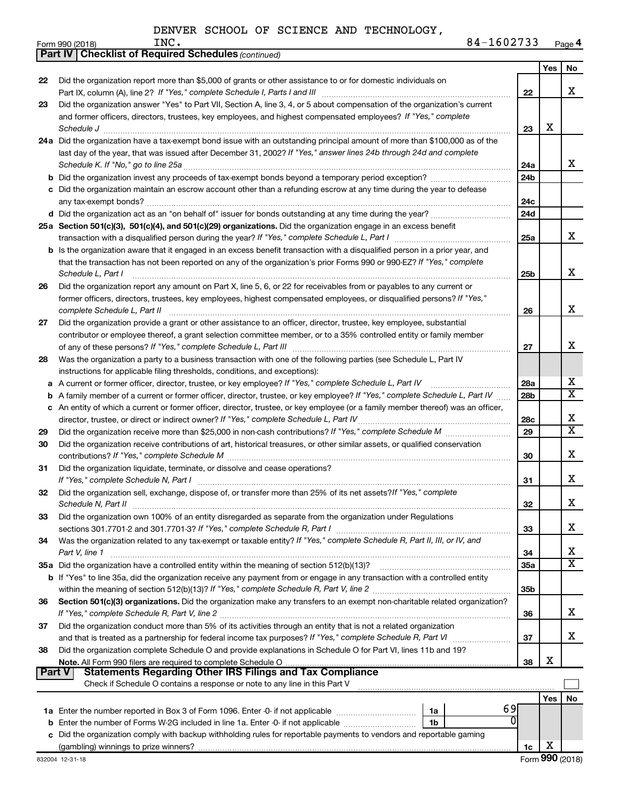|               | <b>Part IV   Checklist of Required Schedules (continued)</b>                                                                                                                           |                 |     |                         |
|---------------|----------------------------------------------------------------------------------------------------------------------------------------------------------------------------------------|-----------------|-----|-------------------------|
|               |                                                                                                                                                                                        |                 | Yes | No.                     |
| 22            | Did the organization report more than \$5,000 of grants or other assistance to or for domestic individuals on                                                                          |                 |     |                         |
|               |                                                                                                                                                                                        | 22              |     | X                       |
| 23            | Did the organization answer "Yes" to Part VII, Section A, line 3, 4, or 5 about compensation of the organization's current                                                             |                 |     |                         |
|               | and former officers, directors, trustees, key employees, and highest compensated employees? If "Yes," complete                                                                         |                 |     |                         |
|               |                                                                                                                                                                                        | 23              | х   |                         |
|               | Schedule J <b>Execute Schedule J Execute Schedule J</b><br>24a Did the organization have a tax-exempt bond issue with an outstanding principal amount of more than \$100,000 as of the |                 |     |                         |
|               |                                                                                                                                                                                        |                 |     |                         |
|               | last day of the year, that was issued after December 31, 2002? If "Yes," answer lines 24b through 24d and complete                                                                     |                 |     | x                       |
|               |                                                                                                                                                                                        | 24a             |     |                         |
|               |                                                                                                                                                                                        | 24b             |     |                         |
|               | c Did the organization maintain an escrow account other than a refunding escrow at any time during the year to defease                                                                 |                 |     |                         |
|               |                                                                                                                                                                                        | 24c             |     |                         |
|               |                                                                                                                                                                                        | 24d             |     |                         |
|               | 25a Section 501(c)(3), 501(c)(4), and 501(c)(29) organizations. Did the organization engage in an excess benefit                                                                       |                 |     |                         |
|               |                                                                                                                                                                                        | 25a             |     | x                       |
|               | <b>b</b> Is the organization aware that it engaged in an excess benefit transaction with a disqualified person in a prior year, and                                                    |                 |     |                         |
|               | that the transaction has not been reported on any of the organization's prior Forms 990 or 990-EZ? If "Yes," complete                                                                  |                 |     |                         |
|               | Schedule L, Part I                                                                                                                                                                     | 25 <sub>b</sub> |     | х                       |
| 26            | Did the organization report any amount on Part X, line 5, 6, or 22 for receivables from or payables to any current or                                                                  |                 |     |                         |
|               | former officers, directors, trustees, key employees, highest compensated employees, or disqualified persons? If "Yes,"                                                                 |                 |     |                         |
|               | complete Schedule L, Part II                                                                                                                                                           | 26              |     | х                       |
|               | Did the organization provide a grant or other assistance to an officer, director, trustee, key employee, substantial                                                                   |                 |     |                         |
| 27            |                                                                                                                                                                                        |                 |     |                         |
|               | contributor or employee thereof, a grant selection committee member, or to a 35% controlled entity or family member                                                                    |                 |     | х                       |
|               |                                                                                                                                                                                        | 27              |     |                         |
| 28            | Was the organization a party to a business transaction with one of the following parties (see Schedule L, Part IV                                                                      |                 |     |                         |
|               | instructions for applicable filing thresholds, conditions, and exceptions):                                                                                                            |                 |     |                         |
| а             | A current or former officer, director, trustee, or key employee? If "Yes," complete Schedule L, Part IV                                                                                | 28a             |     | x                       |
| b             | A family member of a current or former officer, director, trustee, or key employee? If "Yes," complete Schedule L, Part IV                                                             | 28b             |     | $\overline{\texttt{x}}$ |
|               | c An entity of which a current or former officer, director, trustee, or key employee (or a family member thereof) was an officer,                                                      |                 |     |                         |
|               | director, trustee, or direct or indirect owner? If "Yes," complete Schedule L, Part IV                                                                                                 | 28c             |     | х                       |
| 29            |                                                                                                                                                                                        | 29              |     | $\overline{\texttt{X}}$ |
| 30            | Did the organization receive contributions of art, historical treasures, or other similar assets, or qualified conservation                                                            |                 |     |                         |
|               |                                                                                                                                                                                        | 30              |     | x                       |
| 31            | Did the organization liquidate, terminate, or dissolve and cease operations?                                                                                                           |                 |     |                         |
|               |                                                                                                                                                                                        | 31              |     | x                       |
| 32            | Did the organization sell, exchange, dispose of, or transfer more than 25% of its net assets? If "Yes," complete                                                                       |                 |     |                         |
|               |                                                                                                                                                                                        | 32              |     | Χ                       |
| 33            | Did the organization own 100% of an entity disregarded as separate from the organization under Regulations                                                                             |                 |     |                         |
|               |                                                                                                                                                                                        | 33              |     | x                       |
|               |                                                                                                                                                                                        |                 |     |                         |
| 34            | Was the organization related to any tax-exempt or taxable entity? If "Yes," complete Schedule R, Part II, III, or IV, and                                                              |                 |     | х                       |
|               | Part V, line 1                                                                                                                                                                         | 34              |     | $\overline{\text{X}}$   |
|               |                                                                                                                                                                                        | 35a             |     |                         |
|               | b If "Yes" to line 35a, did the organization receive any payment from or engage in any transaction with a controlled entity                                                            |                 |     |                         |
|               |                                                                                                                                                                                        | 35 <sub>b</sub> |     |                         |
| 36            | Section 501(c)(3) organizations. Did the organization make any transfers to an exempt non-charitable related organization?                                                             |                 |     |                         |
|               |                                                                                                                                                                                        | 36              |     | x                       |
| 37            | Did the organization conduct more than 5% of its activities through an entity that is not a related organization                                                                       |                 |     |                         |
|               |                                                                                                                                                                                        | 37              |     | х                       |
| 38            | Did the organization complete Schedule O and provide explanations in Schedule O for Part VI, lines 11b and 19?                                                                         |                 |     |                         |
|               |                                                                                                                                                                                        | 38              | х   |                         |
| <b>Part V</b> |                                                                                                                                                                                        |                 |     |                         |
|               | Check if Schedule O contains a response or note to any line in this Part V                                                                                                             |                 |     |                         |
|               |                                                                                                                                                                                        |                 | Yes | No                      |
|               | 69<br>1a                                                                                                                                                                               |                 |     |                         |
|               | 0<br>1b                                                                                                                                                                                |                 |     |                         |
|               | c Did the organization comply with backup withholding rules for reportable payments to vendors and reportable gaming                                                                   |                 |     |                         |
|               |                                                                                                                                                                                        | 1c              | х   |                         |
|               |                                                                                                                                                                                        |                 |     |                         |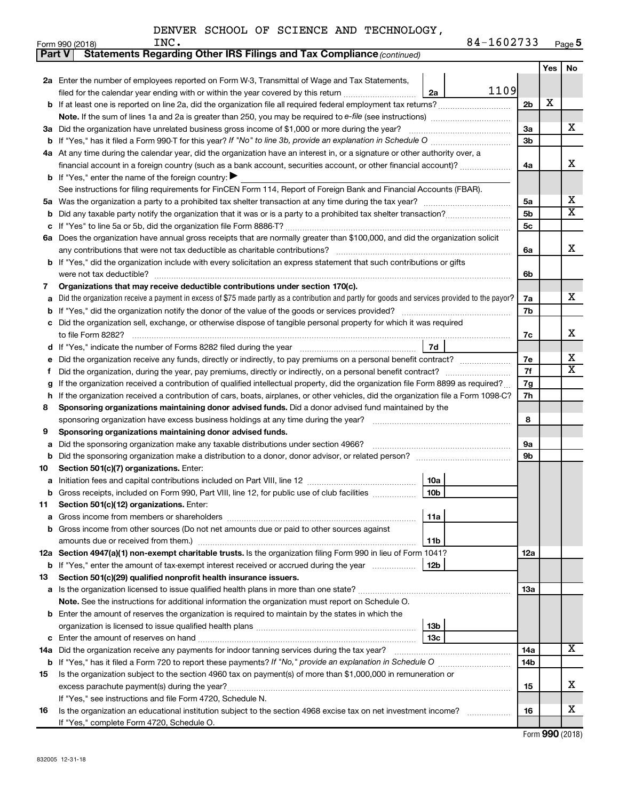|  |  |  |  |  |  | DENVER SCHOOL OF SCIENCE AND TECHNOLOGY, |
|--|--|--|--|--|--|------------------------------------------|
|--|--|--|--|--|--|------------------------------------------|

| Part V | Statements Regarding Other IRS Filings and Tax Compliance (continued)                                                                           |                |     |    |  |  |  |  |  |
|--------|-------------------------------------------------------------------------------------------------------------------------------------------------|----------------|-----|----|--|--|--|--|--|
|        |                                                                                                                                                 |                | Yes | No |  |  |  |  |  |
|        | 2a Enter the number of employees reported on Form W-3, Transmittal of Wage and Tax Statements,                                                  |                |     |    |  |  |  |  |  |
|        | 1109<br>filed for the calendar year ending with or within the year covered by this return<br>2a                                                 |                |     |    |  |  |  |  |  |
|        | <b>b</b> If at least one is reported on line 2a, did the organization file all required federal employment tax returns?                         | 2 <sub>b</sub> | X   |    |  |  |  |  |  |
|        |                                                                                                                                                 |                |     |    |  |  |  |  |  |
| За     | Did the organization have unrelated business gross income of \$1,000 or more during the year?                                                   | 3a             |     | x  |  |  |  |  |  |
| b      |                                                                                                                                                 | 3b             |     |    |  |  |  |  |  |
|        | 4a At any time during the calendar year, did the organization have an interest in, or a signature or other authority over, a                    |                |     |    |  |  |  |  |  |
|        | financial account in a foreign country (such as a bank account, securities account, or other financial account)?                                |                |     |    |  |  |  |  |  |
|        | <b>b</b> If "Yes," enter the name of the foreign country: $\blacktriangleright$                                                                 |                |     |    |  |  |  |  |  |
|        | See instructions for filing requirements for FinCEN Form 114, Report of Foreign Bank and Financial Accounts (FBAR).                             |                |     |    |  |  |  |  |  |
| 5a     |                                                                                                                                                 |                |     |    |  |  |  |  |  |
| b      |                                                                                                                                                 |                |     |    |  |  |  |  |  |
| с      |                                                                                                                                                 | 5 <sub>c</sub> |     |    |  |  |  |  |  |
|        | 6a Does the organization have annual gross receipts that are normally greater than \$100,000, and did the organization solicit                  |                |     |    |  |  |  |  |  |
|        | any contributions that were not tax deductible as charitable contributions?                                                                     | 6a             |     | x  |  |  |  |  |  |
|        | b If "Yes," did the organization include with every solicitation an express statement that such contributions or gifts                          |                |     |    |  |  |  |  |  |
|        |                                                                                                                                                 | 6b             |     |    |  |  |  |  |  |
| 7      | Organizations that may receive deductible contributions under section 170(c).                                                                   |                |     |    |  |  |  |  |  |
| a      | Did the organization receive a payment in excess of \$75 made partly as a contribution and partly for goods and services provided to the payor? | 7a             |     | x  |  |  |  |  |  |
| b      |                                                                                                                                                 | 7b             |     |    |  |  |  |  |  |
| с      | Did the organization sell, exchange, or otherwise dispose of tangible personal property for which it was required                               |                |     | х  |  |  |  |  |  |
|        | to file Form 8282?                                                                                                                              |                |     |    |  |  |  |  |  |
| d      | 7d                                                                                                                                              |                |     |    |  |  |  |  |  |
| е      | Did the organization receive any funds, directly or indirectly, to pay premiums on a personal benefit contract?                                 |                |     |    |  |  |  |  |  |
| f      | Did the organization, during the year, pay premiums, directly or indirectly, on a personal benefit contract?                                    |                |     |    |  |  |  |  |  |
| g      | If the organization received a contribution of qualified intellectual property, did the organization file Form 8899 as required?                |                |     |    |  |  |  |  |  |
| h      | If the organization received a contribution of cars, boats, airplanes, or other vehicles, did the organization file a Form 1098-C?              |                |     |    |  |  |  |  |  |
| 8      | Sponsoring organizations maintaining donor advised funds. Did a donor advised fund maintained by the                                            |                |     |    |  |  |  |  |  |
|        |                                                                                                                                                 |                |     |    |  |  |  |  |  |
|        | 9<br>Sponsoring organizations maintaining donor advised funds.                                                                                  |                |     |    |  |  |  |  |  |
|        | Did the sponsoring organization make any taxable distributions under section 4966?<br>а                                                         |                |     |    |  |  |  |  |  |
| b      |                                                                                                                                                 | 9 <sub>b</sub> |     |    |  |  |  |  |  |
| 10     | Section 501(c)(7) organizations. Enter:<br>10a                                                                                                  |                |     |    |  |  |  |  |  |
| а<br>b | 10 <sub>b</sub><br>Gross receipts, included on Form 990, Part VIII, line 12, for public use of club facilities                                  |                |     |    |  |  |  |  |  |
| 11     | Section 501(c)(12) organizations. Enter:                                                                                                        |                |     |    |  |  |  |  |  |
| а      | 11a                                                                                                                                             |                |     |    |  |  |  |  |  |
| b      | Gross income from other sources (Do not net amounts due or paid to other sources against                                                        |                |     |    |  |  |  |  |  |
|        | 11b<br>amounts due or received from them.)                                                                                                      |                |     |    |  |  |  |  |  |
|        | 12a Section 4947(a)(1) non-exempt charitable trusts. Is the organization filing Form 990 in lieu of Form 1041?                                  | 12a            |     |    |  |  |  |  |  |
|        | 12 <sub>b</sub><br><b>b</b> If "Yes," enter the amount of tax-exempt interest received or accrued during the year                               |                |     |    |  |  |  |  |  |
| 13     | Section 501(c)(29) qualified nonprofit health insurance issuers.                                                                                |                |     |    |  |  |  |  |  |
| а      |                                                                                                                                                 | 13a            |     |    |  |  |  |  |  |
|        | Note. See the instructions for additional information the organization must report on Schedule O.                                               |                |     |    |  |  |  |  |  |
| b      | Enter the amount of reserves the organization is required to maintain by the states in which the                                                |                |     |    |  |  |  |  |  |
|        | 13 <sub>b</sub>                                                                                                                                 |                |     |    |  |  |  |  |  |
| с      | 13 <sub>c</sub>                                                                                                                                 |                |     |    |  |  |  |  |  |
| 14a    | Did the organization receive any payments for indoor tanning services during the tax year?                                                      | 14a            |     | х  |  |  |  |  |  |
|        |                                                                                                                                                 | 14b            |     |    |  |  |  |  |  |
| 15     | Is the organization subject to the section 4960 tax on payment(s) of more than \$1,000,000 in remuneration or                                   |                |     |    |  |  |  |  |  |
|        |                                                                                                                                                 | 15             |     | х  |  |  |  |  |  |
|        | If "Yes," see instructions and file Form 4720, Schedule N.                                                                                      |                |     |    |  |  |  |  |  |
| 16     | Is the organization an educational institution subject to the section 4968 excise tax on net investment income?                                 | 16             |     | х  |  |  |  |  |  |
|        | If "Yes," complete Form 4720, Schedule O.                                                                                                       |                |     |    |  |  |  |  |  |

Form (2018) **990**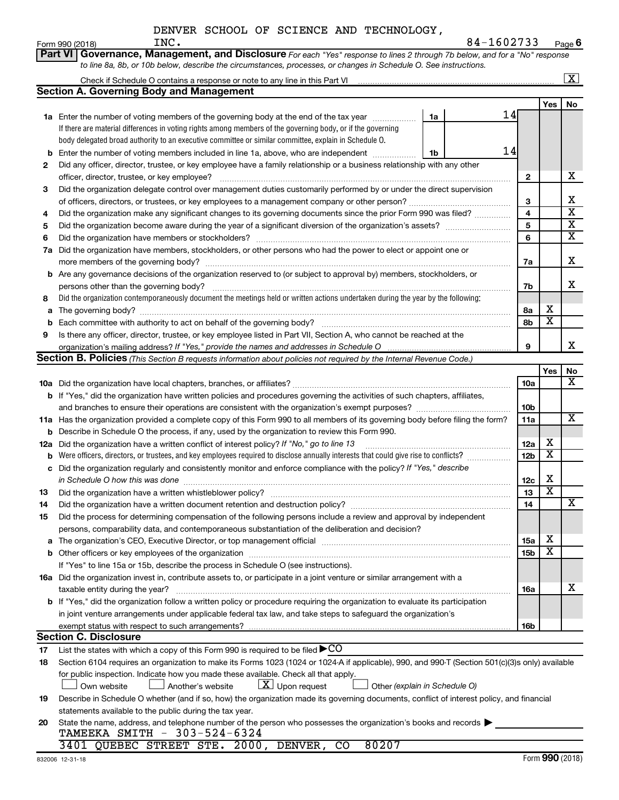| DENVER SCHOOL OF SCIENCE AND TECHNOLOGY, |
|------------------------------------------|
|------------------------------------------|

|    | 84-1602733<br>INC.<br>Form 990 (2018)                                                                                                                                                                                    |                 |                         | Page 6                  |
|----|--------------------------------------------------------------------------------------------------------------------------------------------------------------------------------------------------------------------------|-----------------|-------------------------|-------------------------|
|    | Governance, Management, and Disclosure For each "Yes" response to lines 2 through 7b below, and for a "No" response<br><b>Part VI</b>                                                                                    |                 |                         |                         |
|    | to line 8a, 8b, or 10b below, describe the circumstances, processes, or changes in Schedule O. See instructions.                                                                                                         |                 |                         |                         |
|    |                                                                                                                                                                                                                          |                 |                         | $\overline{\mathbf{X}}$ |
|    | <b>Section A. Governing Body and Management</b>                                                                                                                                                                          |                 |                         |                         |
|    |                                                                                                                                                                                                                          |                 | Yes                     | No                      |
|    | 14<br><b>1a</b> Enter the number of voting members of the governing body at the end of the tax year<br>1a                                                                                                                |                 |                         |                         |
|    | If there are material differences in voting rights among members of the governing body, or if the governing                                                                                                              |                 |                         |                         |
|    | body delegated broad authority to an executive committee or similar committee, explain in Schedule O.                                                                                                                    |                 |                         |                         |
| b  | 14<br>Enter the number of voting members included in line 1a, above, who are independent<br>1b                                                                                                                           |                 |                         |                         |
| 2  | Did any officer, director, trustee, or key employee have a family relationship or a business relationship with any other                                                                                                 |                 |                         |                         |
|    | officer, director, trustee, or key employee?                                                                                                                                                                             | 2               |                         | х                       |
| 3  | Did the organization delegate control over management duties customarily performed by or under the direct supervision                                                                                                    |                 |                         |                         |
|    |                                                                                                                                                                                                                          | 3               |                         | х                       |
| 4  | Did the organization make any significant changes to its governing documents since the prior Form 990 was filed?                                                                                                         | 4               |                         | $\overline{\textbf{x}}$ |
| 5  |                                                                                                                                                                                                                          | 5               |                         | $\overline{\mathbf{X}}$ |
| 6  | Did the organization have members or stockholders?                                                                                                                                                                       | 6               |                         | $\overline{\mathbf{x}}$ |
| 7a | Did the organization have members, stockholders, or other persons who had the power to elect or appoint one or                                                                                                           |                 |                         |                         |
|    |                                                                                                                                                                                                                          | 7a              |                         | X                       |
|    | <b>b</b> Are any governance decisions of the organization reserved to (or subject to approval by) members, stockholders, or                                                                                              |                 |                         |                         |
|    | persons other than the governing body?                                                                                                                                                                                   | 7b              |                         | x                       |
| 8  | Did the organization contemporaneously document the meetings held or written actions undertaken during the year by the following:                                                                                        |                 |                         |                         |
| a  |                                                                                                                                                                                                                          | 8а              | х                       |                         |
| b  |                                                                                                                                                                                                                          | 8b              | $\overline{\textbf{x}}$ |                         |
| 9  | Is there any officer, director, trustee, or key employee listed in Part VII, Section A, who cannot be reached at the                                                                                                     |                 |                         |                         |
|    |                                                                                                                                                                                                                          | 9               |                         | x                       |
|    | Section B. Policies (This Section B requests information about policies not required by the Internal Revenue Code.)                                                                                                      |                 |                         |                         |
|    |                                                                                                                                                                                                                          |                 | Yes                     | No                      |
|    |                                                                                                                                                                                                                          | 10a             |                         | х                       |
|    | <b>b</b> If "Yes," did the organization have written policies and procedures governing the activities of such chapters, affiliates,                                                                                      |                 |                         |                         |
|    |                                                                                                                                                                                                                          | 10 <sub>b</sub> |                         |                         |
|    | 11a Has the organization provided a complete copy of this Form 990 to all members of its governing body before filing the form?                                                                                          | 11a             |                         | $\overline{\text{X}}$   |
|    | <b>b</b> Describe in Schedule O the process, if any, used by the organization to review this Form 990.                                                                                                                   |                 |                         |                         |
|    | 12a Did the organization have a written conflict of interest policy? If "No," go to line 13                                                                                                                              | 12a             | х                       |                         |
| b  | Were officers, directors, or trustees, and key employees required to disclose annually interests that could give rise to conflicts?                                                                                      | 12 <sub>b</sub> | $\overline{\mathbf{x}}$ |                         |
| c  | Did the organization regularly and consistently monitor and enforce compliance with the policy? If "Yes," describe                                                                                                       |                 |                         |                         |
|    |                                                                                                                                                                                                                          | 12c             | х                       |                         |
| 13 |                                                                                                                                                                                                                          | 13              | $\overline{\textbf{x}}$ |                         |
| 14 | Did the organization have a written document retention and destruction policy? [11] manufaction manufaction in                                                                                                           | 14              |                         | $\overline{\mathbf{X}}$ |
| 15 | Did the process for determining compensation of the following persons include a review and approval by independent                                                                                                       |                 |                         |                         |
|    | persons, comparability data, and contemporaneous substantiation of the deliberation and decision?                                                                                                                        |                 |                         |                         |
| а  | The organization's CEO, Executive Director, or top management official manufactured content content of the organization's CEO, Executive Director, or top management official manufactured content of the organization's | <b>15a</b>      | х                       |                         |
| b  |                                                                                                                                                                                                                          | 15 <sub>b</sub> | x                       |                         |
|    | If "Yes" to line 15a or 15b, describe the process in Schedule O (see instructions).                                                                                                                                      |                 |                         |                         |
|    | 16a Did the organization invest in, contribute assets to, or participate in a joint venture or similar arrangement with a                                                                                                |                 |                         |                         |
|    | taxable entity during the year?                                                                                                                                                                                          | 16a             |                         | х                       |
|    | b If "Yes," did the organization follow a written policy or procedure requiring the organization to evaluate its participation                                                                                           |                 |                         |                         |
|    | in joint venture arrangements under applicable federal tax law, and take steps to safeguard the organization's                                                                                                           |                 |                         |                         |
|    | exempt status with respect to such arrangements?                                                                                                                                                                         | 16b             |                         |                         |
|    | <b>Section C. Disclosure</b>                                                                                                                                                                                             |                 |                         |                         |
| 17 | List the states with which a copy of this Form 990 is required to be filed $\blacktriangleright$ CO                                                                                                                      |                 |                         |                         |
| 18 | Section 6104 requires an organization to make its Forms 1023 (1024 or 1024 A if applicable), 990, and 990-T (Section 501(c)(3)s only) available                                                                          |                 |                         |                         |
|    | for public inspection. Indicate how you made these available. Check all that apply.                                                                                                                                      |                 |                         |                         |
|    | $\lfloor x \rfloor$ Upon request<br>Another's website<br>Other (explain in Schedule O)<br>Own website                                                                                                                    |                 |                         |                         |
| 19 | Describe in Schedule O whether (and if so, how) the organization made its governing documents, conflict of interest policy, and financial                                                                                |                 |                         |                         |
|    | statements available to the public during the tax year.                                                                                                                                                                  |                 |                         |                         |
| 20 | State the name, address, and telephone number of the person who possesses the organization's books and records                                                                                                           |                 |                         |                         |
|    | TAMEEKA SMITH - 303-524-6324                                                                                                                                                                                             |                 |                         |                         |
|    | 3401 QUEBEC STREET STE. 2000, DENVER, CO<br>80207                                                                                                                                                                        |                 |                         |                         |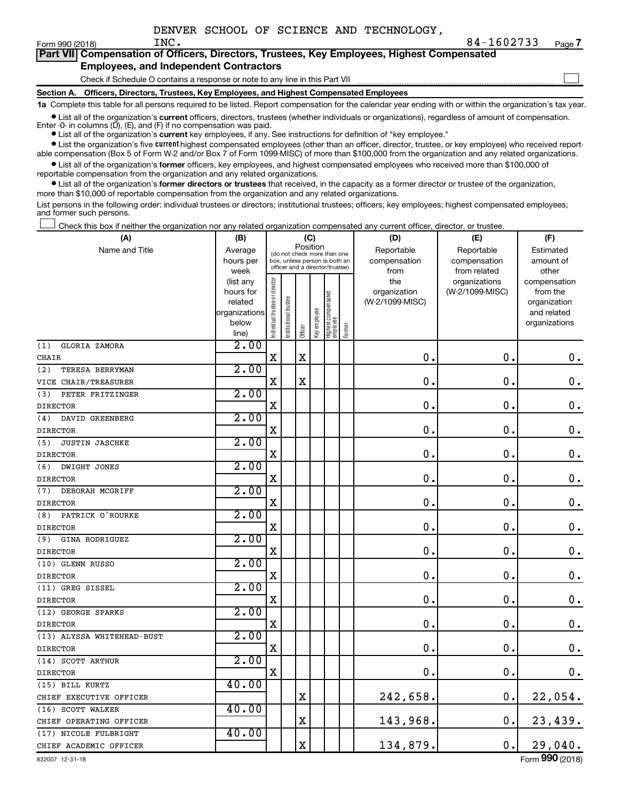$\Box$ 

| Part VII Compensation of Officers, Directors, Trustees, Key Employees, Highest Compensated |
|--------------------------------------------------------------------------------------------|
| <b>Employees, and Independent Contractors</b>                                              |

Check if Schedule O contains a response or note to any line in this Part VII

**Section A. Officers, Directors, Trustees, Key Employees, and Highest Compensated Employees**

**1a**  Complete this table for all persons required to be listed. Report compensation for the calendar year ending with or within the organization's tax year.

**•** List all of the organization's current officers, directors, trustees (whether individuals or organizations), regardless of amount of compensation. Enter -0- in columns  $(D)$ ,  $(E)$ , and  $(F)$  if no compensation was paid.

**•** List all of the organization's **current** key employees, if any. See instructions for definition of "key employee."

**•** List the organization's five current highest compensated employees (other than an officer, director, trustee, or key employee) who received reportable compensation (Box 5 of Form W-2 and/or Box 7 of Form 1099-MISC) of more than \$100,000 from the organization and any related organizations.

**•** List all of the organization's former officers, key employees, and highest compensated employees who received more than \$100,000 of reportable compensation from the organization and any related organizations.

**•** List all of the organization's former directors or trustees that received, in the capacity as a former director or trustee of the organization, more than \$10,000 of reportable compensation from the organization and any related organizations.

List persons in the following order: individual trustees or directors; institutional trustees; officers; key employees; highest compensated employees; and former such persons.

|  |  |  | Check this box if neither the organization nor any related organization compensated any current officer, director, or trustee. |  |  |
|--|--|--|--------------------------------------------------------------------------------------------------------------------------------|--|--|
|  |  |  |                                                                                                                                |  |  |

| (A)                          | (B)                    |                                |                                                                  | (C)                     |              |                                 |        | (D)             | (E)                              | (F)                      |
|------------------------------|------------------------|--------------------------------|------------------------------------------------------------------|-------------------------|--------------|---------------------------------|--------|-----------------|----------------------------------|--------------------------|
| Name and Title               | Average                |                                | (do not check more than one                                      | Position                |              |                                 |        | Reportable      | Reportable                       | Estimated                |
|                              | hours per              |                                | box, unless person is both an<br>officer and a director/trustee) |                         |              |                                 |        | compensation    | compensation                     | amount of                |
|                              | week                   |                                |                                                                  |                         |              |                                 |        | from<br>the     | from related                     | other                    |
|                              | (list any<br>hours for |                                |                                                                  |                         |              |                                 |        | organization    | organizations<br>(W-2/1099-MISC) | compensation<br>from the |
|                              | related                |                                |                                                                  |                         |              |                                 |        | (W-2/1099-MISC) |                                  | organization             |
|                              | organizations          |                                |                                                                  |                         |              |                                 |        |                 |                                  | and related              |
|                              | below                  | Individual trustee or director | Institutional trustee                                            |                         | Key employee | Highest compensated<br>employee |        |                 |                                  | organizations            |
|                              | line)                  |                                |                                                                  | Officer                 |              |                                 | Former |                 |                                  |                          |
| (1)<br>GLORIA ZAMORA         | 2.00                   |                                |                                                                  |                         |              |                                 |        |                 |                                  |                          |
| <b>CHAIR</b>                 |                        | $\mathbf X$                    |                                                                  | $\mathbf X$             |              |                                 |        | 0.              | $\mathbf 0$ .                    | $\mathbf 0$ .            |
| (2)<br>TERESA BERRYMAN       | 2.00                   |                                |                                                                  |                         |              |                                 |        |                 |                                  |                          |
| VICE CHAIR/TREASURER         |                        | $\mathbf X$                    |                                                                  | $\mathbf X$             |              |                                 |        | $\mathbf 0$ .   | $\mathbf 0$ .                    | $\mathbf 0$ .            |
| (3)<br>PETER FRITZINGER      | 2.00                   |                                |                                                                  |                         |              |                                 |        |                 |                                  |                          |
| <b>DIRECTOR</b>              |                        | X                              |                                                                  |                         |              |                                 |        | $\mathbf 0$ .   | $\mathbf 0$ .                    | $\boldsymbol{0}$ .       |
| DAVID GREENBERG<br>(4)       | 2.00                   |                                |                                                                  |                         |              |                                 |        |                 |                                  |                          |
| <b>DIRECTOR</b>              |                        | $\mathbf X$                    |                                                                  |                         |              |                                 |        | $\mathbf 0$     | $\mathbf 0$ .                    | $\mathbf 0$ .            |
| <b>JUSTIN JASCHKE</b><br>(5) | 2.00                   |                                |                                                                  |                         |              |                                 |        |                 |                                  |                          |
| <b>DIRECTOR</b>              |                        | X                              |                                                                  |                         |              |                                 |        | 0.              | $\mathbf 0$ .                    | $\mathbf 0$ .            |
| (6)<br>DWIGHT JONES          | 2.00                   |                                |                                                                  |                         |              |                                 |        |                 |                                  |                          |
| <b>DIRECTOR</b>              |                        | $\mathbf X$                    |                                                                  |                         |              |                                 |        | $\mathbf 0$     | $\mathbf 0$ .                    | $\mathbf 0$ .            |
| (7)<br>DEBORAH MCGRIFF       | 2.00                   |                                |                                                                  |                         |              |                                 |        |                 |                                  |                          |
| <b>DIRECTOR</b>              |                        | X                              |                                                                  |                         |              |                                 |        | $\mathbf 0$     | $\mathbf 0$ .                    | $\mathbf 0$ .            |
| PATRICK O'ROURKE<br>(8)      | 2.00                   |                                |                                                                  |                         |              |                                 |        |                 |                                  |                          |
| <b>DIRECTOR</b>              |                        | $\mathbf X$                    |                                                                  |                         |              |                                 |        | $\mathbf 0$     | $\mathbf 0$ .                    | $\mathbf 0$ .            |
| (9)<br>GINA RODRIGUEZ        | 2.00                   |                                |                                                                  |                         |              |                                 |        |                 |                                  |                          |
| <b>DIRECTOR</b>              |                        | $\mathbf X$                    |                                                                  |                         |              |                                 |        | 0               | $\mathbf 0$ .                    | $\boldsymbol{0}$ .       |
| (10) GLENN RUSSO             | 2.00                   |                                |                                                                  |                         |              |                                 |        |                 |                                  |                          |
| <b>DIRECTOR</b>              |                        | X                              |                                                                  |                         |              |                                 |        | 0               | $\mathbf 0$ .                    | $\boldsymbol{0}$ .       |
| (11) GREG SISSEL             | 2.00                   |                                |                                                                  |                         |              |                                 |        |                 |                                  |                          |
| <b>DIRECTOR</b>              |                        | X                              |                                                                  |                         |              |                                 |        | 0               | $\mathbf 0$ .                    | $\mathbf 0$ .            |
| (12) GEORGE SPARKS           | 2.00                   |                                |                                                                  |                         |              |                                 |        |                 |                                  |                          |
| <b>DIRECTOR</b>              |                        | $\mathbf X$                    |                                                                  |                         |              |                                 |        | $\mathbf 0$     | $\mathbf 0$ .                    | $\mathbf 0$ .            |
| (13) ALYSSA WHITEHEAD-BUST   | 2.00                   |                                |                                                                  |                         |              |                                 |        |                 |                                  |                          |
| <b>DIRECTOR</b>              |                        | X                              |                                                                  |                         |              |                                 |        | 0               | $\mathbf 0$ .                    | $\boldsymbol{0}$ .       |
| (14) SCOTT ARTHUR            | 2.00                   |                                |                                                                  |                         |              |                                 |        |                 |                                  |                          |
| <b>DIRECTOR</b>              |                        | $\mathbf X$                    |                                                                  |                         |              |                                 |        | $\mathbf 0$     | $\mathbf 0$ .                    | $\mathbf 0$ .            |
| (15) BILL KURTZ              | 40.00                  |                                |                                                                  |                         |              |                                 |        |                 |                                  |                          |
| CHIEF EXECUTIVE OFFICER      |                        |                                |                                                                  | $\rm X$                 |              |                                 |        | 242,658.        | $\mathbf 0$ .                    | 22,054.                  |
| (16) SCOTT WALKER            | 40.00                  |                                |                                                                  |                         |              |                                 |        |                 |                                  |                          |
| CHIEF OPERATING OFFICER      |                        |                                |                                                                  | $\rm X$                 |              |                                 |        | 143,968.        | 0.                               | 23,439.                  |
| (17) NICOLE FULBRIGHT        | 40.00                  |                                |                                                                  |                         |              |                                 |        |                 |                                  |                          |
| CHIEF ACADEMIC OFFICER       |                        |                                |                                                                  | $\overline{\mathbf{X}}$ |              |                                 |        | 134,879.        | 0.                               | 29,040.                  |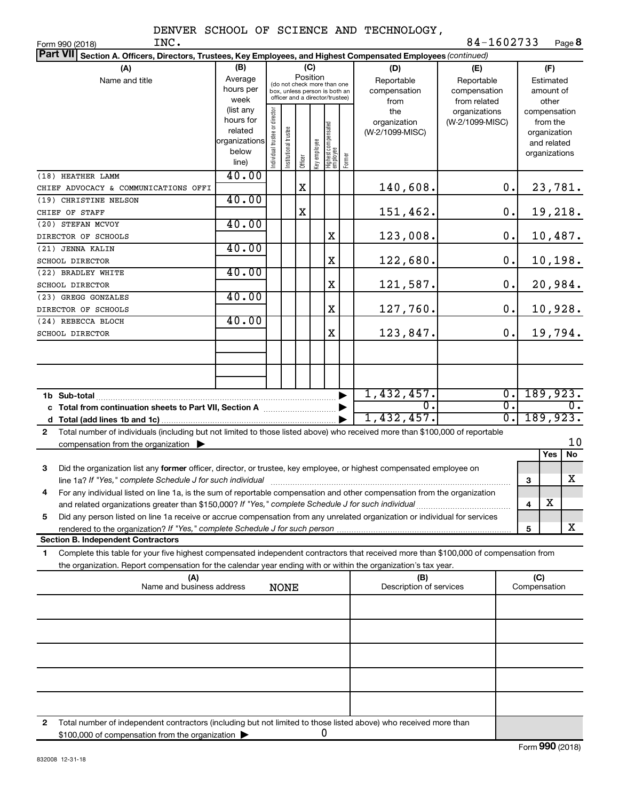| DENVER SCHOOL OF SCIENCE AND TECHNOLOGY, |  |
|------------------------------------------|--|
|------------------------------------------|--|

| INC.<br>Form 990 (2018)                                                                                                                      |                                                         |                                |                                                                                                 |         |              |                                   |        |                                                  | 84-1602733                                                         |              |                                                          | Page 8           |
|----------------------------------------------------------------------------------------------------------------------------------------------|---------------------------------------------------------|--------------------------------|-------------------------------------------------------------------------------------------------|---------|--------------|-----------------------------------|--------|--------------------------------------------------|--------------------------------------------------------------------|--------------|----------------------------------------------------------|------------------|
| <b>Part VII</b><br>Section A. Officers, Directors, Trustees, Key Employees, and Highest Compensated Employees (continued)                    |                                                         |                                |                                                                                                 |         |              |                                   |        |                                                  |                                                                    |              |                                                          |                  |
| (A)<br>Name and title                                                                                                                        | (B)<br>Average<br>hours per<br>week<br>(list any        |                                | (do not check more than one<br>box, unless person is both an<br>officer and a director/trustee) | (C)     | Position     |                                   |        | (D)<br>Reportable<br>compensation<br>from<br>the | (E)<br>Reportable<br>compensation<br>from related<br>organizations |              | (F)<br>Estimated<br>amount of<br>other<br>compensation   |                  |
|                                                                                                                                              | hours for<br>related<br>organizations<br>below<br>line) | Individual trustee or director | Institutional trustee                                                                           | Officer | Key employee | Highest compensated<br>  employee | Former | organization<br>(W-2/1099-MISC)                  | (W-2/1099-MISC)                                                    |              | from the<br>organization<br>and related<br>organizations |                  |
| (18) HEATHER LAMM                                                                                                                            | 40.00                                                   |                                |                                                                                                 |         |              |                                   |        |                                                  |                                                                    |              |                                                          |                  |
| CHIEF ADVOCACY & COMMUNICATIONS OFFI                                                                                                         | 40.00                                                   |                                |                                                                                                 | X       |              |                                   |        | 140,608.                                         | 0.                                                                 |              |                                                          | 23,781.          |
| (19) CHRISTINE NELSON<br>CHIEF OF STAFF                                                                                                      |                                                         |                                |                                                                                                 | Χ       |              |                                   |        | 151,462.                                         | 0.                                                                 |              |                                                          | 19,218.          |
| (20) STEFAN MCVOY                                                                                                                            | 40.00                                                   |                                |                                                                                                 |         |              |                                   |        |                                                  |                                                                    |              |                                                          |                  |
| DIRECTOR OF SCHOOLS                                                                                                                          |                                                         |                                |                                                                                                 |         |              | X                                 |        | 123,008.                                         | 0.                                                                 |              |                                                          | 10,487.          |
| (21) JENNA KALIN                                                                                                                             | 40.00                                                   |                                |                                                                                                 |         |              |                                   |        |                                                  |                                                                    |              |                                                          |                  |
| SCHOOL DIRECTOR                                                                                                                              |                                                         |                                |                                                                                                 |         |              | Χ                                 |        | 122,680.                                         | 0.                                                                 |              |                                                          | 10, 198.         |
| (22) BRADLEY WHITE                                                                                                                           | 40.00                                                   |                                |                                                                                                 |         |              |                                   |        |                                                  |                                                                    |              |                                                          |                  |
| SCHOOL DIRECTOR                                                                                                                              | 40.00                                                   |                                |                                                                                                 |         |              | X                                 |        | 121,587.                                         | 0.                                                                 |              |                                                          | 20,984.          |
| (23) GREGG GONZALES<br>DIRECTOR OF SCHOOLS                                                                                                   |                                                         |                                |                                                                                                 |         |              | Χ                                 |        | 127,760.                                         | 0.                                                                 |              |                                                          | 10,928.          |
| (24) REBECCA BLOCH                                                                                                                           | 40.00                                                   |                                |                                                                                                 |         |              |                                   |        |                                                  |                                                                    |              |                                                          |                  |
| SCHOOL DIRECTOR                                                                                                                              |                                                         |                                |                                                                                                 |         |              | X                                 |        | 123,847.                                         | 0.                                                                 |              |                                                          | 19,794.          |
|                                                                                                                                              |                                                         |                                |                                                                                                 |         |              |                                   |        |                                                  |                                                                    |              |                                                          |                  |
|                                                                                                                                              |                                                         |                                |                                                                                                 |         |              |                                   |        |                                                  |                                                                    |              |                                                          |                  |
|                                                                                                                                              |                                                         |                                |                                                                                                 |         |              |                                   |        |                                                  |                                                                    |              |                                                          |                  |
| 1b Sub-total                                                                                                                                 |                                                         |                                |                                                                                                 |         |              |                                   |        | 1,432,457.                                       | $\overline{0}$ .                                                   |              |                                                          | 189,923.         |
| c Total from continuation sheets to Part VII, Section A [11] [2000] [2000]                                                                   |                                                         |                                |                                                                                                 |         |              |                                   |        | σ.                                               | σ.                                                                 |              |                                                          | $\overline{0}$ . |
|                                                                                                                                              |                                                         |                                |                                                                                                 |         |              |                                   |        | 1,432,457.                                       | $\overline{0}$ .                                                   |              |                                                          | 189,923.         |
| Total number of individuals (including but not limited to those listed above) who received more than \$100,000 of reportable<br>$\mathbf{2}$ |                                                         |                                |                                                                                                 |         |              |                                   |        |                                                  |                                                                    |              |                                                          |                  |
| compensation from the organization $\blacktriangleright$                                                                                     |                                                         |                                |                                                                                                 |         |              |                                   |        |                                                  |                                                                    |              |                                                          | 10               |
|                                                                                                                                              |                                                         |                                |                                                                                                 |         |              |                                   |        |                                                  |                                                                    |              | Yes                                                      | No               |
| 3<br>Did the organization list any former officer, director, or trustee, key employee, or highest compensated employee on                    |                                                         |                                |                                                                                                 |         |              |                                   |        |                                                  |                                                                    | 3            |                                                          | X                |
| For any individual listed on line 1a, is the sum of reportable compensation and other compensation from the organization                     |                                                         |                                |                                                                                                 |         |              |                                   |        |                                                  |                                                                    |              |                                                          |                  |
| and related organizations greater than \$150,000? If "Yes," complete Schedule J for such individual                                          |                                                         |                                |                                                                                                 |         |              |                                   |        |                                                  |                                                                    | 4            | х                                                        |                  |
| Did any person listed on line 1a receive or accrue compensation from any unrelated organization or individual for services<br>5              |                                                         |                                |                                                                                                 |         |              |                                   |        |                                                  |                                                                    |              |                                                          |                  |
|                                                                                                                                              |                                                         |                                |                                                                                                 |         |              |                                   |        |                                                  |                                                                    | 5            |                                                          | х                |
| <b>Section B. Independent Contractors</b>                                                                                                    |                                                         |                                |                                                                                                 |         |              |                                   |        |                                                  |                                                                    |              |                                                          |                  |
| Complete this table for your five highest compensated independent contractors that received more than \$100,000 of compensation from<br>1.   |                                                         |                                |                                                                                                 |         |              |                                   |        |                                                  |                                                                    |              |                                                          |                  |
| the organization. Report compensation for the calendar year ending with or within the organization's tax year.<br>(A)                        |                                                         |                                |                                                                                                 |         |              |                                   |        | (B)                                              |                                                                    |              | (C)                                                      |                  |
| Name and business address                                                                                                                    |                                                         |                                | <b>NONE</b>                                                                                     |         |              |                                   |        | Description of services                          |                                                                    | Compensation |                                                          |                  |
|                                                                                                                                              |                                                         |                                |                                                                                                 |         |              |                                   |        |                                                  |                                                                    |              |                                                          |                  |
|                                                                                                                                              |                                                         |                                |                                                                                                 |         |              |                                   |        |                                                  |                                                                    |              |                                                          |                  |
|                                                                                                                                              |                                                         |                                |                                                                                                 |         |              |                                   |        |                                                  |                                                                    |              |                                                          |                  |
|                                                                                                                                              |                                                         |                                |                                                                                                 |         |              |                                   |        |                                                  |                                                                    |              |                                                          |                  |
|                                                                                                                                              |                                                         |                                |                                                                                                 |         |              |                                   |        |                                                  |                                                                    |              |                                                          |                  |
|                                                                                                                                              |                                                         |                                |                                                                                                 |         |              |                                   |        |                                                  |                                                                    |              |                                                          |                  |
|                                                                                                                                              |                                                         |                                |                                                                                                 |         |              |                                   |        |                                                  |                                                                    |              |                                                          |                  |
|                                                                                                                                              |                                                         |                                |                                                                                                 |         |              |                                   |        |                                                  |                                                                    |              |                                                          |                  |
| Total number of independent contractors (including but not limited to those listed above) who received more than<br>2                        |                                                         |                                |                                                                                                 |         |              |                                   |        |                                                  |                                                                    |              |                                                          |                  |
| \$100,000 of compensation from the organization                                                                                              |                                                         |                                |                                                                                                 |         |              | 0                                 |        |                                                  |                                                                    |              |                                                          |                  |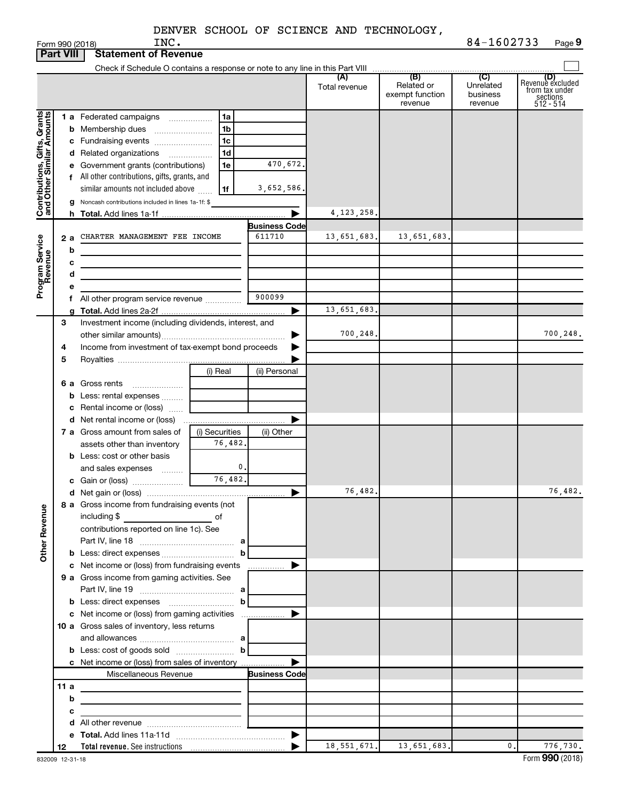| (B)<br>(C)<br>(A)<br>Related or<br>Unrelated<br>Total revenue<br>exempt function<br>business<br>revenue<br>revenue<br>Contributions, Gifts, Grants<br>and Other Similar Amounts<br><b>1 a</b> Federated campaigns<br>1a<br>.<br><b>b</b> Membership dues<br>1b<br>1c<br>c Fundraising events<br>d Related organizations<br>1d<br>.<br>470,672.<br>e Government grants (contributions)<br>1е<br>f All other contributions, gifts, grants, and<br>3,652,586.<br>similar amounts not included above<br>1f<br>g Noncash contributions included in lines 1a-1f: \$<br>4, 123, 258.<br><b>Business Code</b><br>611710<br>13,651,683<br>CHARTER MANAGEMENT FEE INCOME<br>13,651,683.<br>Program Service<br>Revenue<br>2 a<br>b<br>с<br>d<br>900099<br>f All other program service revenue<br>13,651,683<br>3<br>Investment income (including dividends, interest, and<br>700,248.<br>Income from investment of tax-exempt bond proceeds<br>4 |                                                                    |
|---------------------------------------------------------------------------------------------------------------------------------------------------------------------------------------------------------------------------------------------------------------------------------------------------------------------------------------------------------------------------------------------------------------------------------------------------------------------------------------------------------------------------------------------------------------------------------------------------------------------------------------------------------------------------------------------------------------------------------------------------------------------------------------------------------------------------------------------------------------------------------------------------------------------------------------|--------------------------------------------------------------------|
|                                                                                                                                                                                                                                                                                                                                                                                                                                                                                                                                                                                                                                                                                                                                                                                                                                                                                                                                       |                                                                    |
|                                                                                                                                                                                                                                                                                                                                                                                                                                                                                                                                                                                                                                                                                                                                                                                                                                                                                                                                       | (D)<br>Revenue excluded<br>from tax under<br>sections<br>512 - 514 |
|                                                                                                                                                                                                                                                                                                                                                                                                                                                                                                                                                                                                                                                                                                                                                                                                                                                                                                                                       |                                                                    |
|                                                                                                                                                                                                                                                                                                                                                                                                                                                                                                                                                                                                                                                                                                                                                                                                                                                                                                                                       |                                                                    |
|                                                                                                                                                                                                                                                                                                                                                                                                                                                                                                                                                                                                                                                                                                                                                                                                                                                                                                                                       |                                                                    |
|                                                                                                                                                                                                                                                                                                                                                                                                                                                                                                                                                                                                                                                                                                                                                                                                                                                                                                                                       |                                                                    |
|                                                                                                                                                                                                                                                                                                                                                                                                                                                                                                                                                                                                                                                                                                                                                                                                                                                                                                                                       |                                                                    |
|                                                                                                                                                                                                                                                                                                                                                                                                                                                                                                                                                                                                                                                                                                                                                                                                                                                                                                                                       |                                                                    |
|                                                                                                                                                                                                                                                                                                                                                                                                                                                                                                                                                                                                                                                                                                                                                                                                                                                                                                                                       |                                                                    |
|                                                                                                                                                                                                                                                                                                                                                                                                                                                                                                                                                                                                                                                                                                                                                                                                                                                                                                                                       |                                                                    |
|                                                                                                                                                                                                                                                                                                                                                                                                                                                                                                                                                                                                                                                                                                                                                                                                                                                                                                                                       |                                                                    |
|                                                                                                                                                                                                                                                                                                                                                                                                                                                                                                                                                                                                                                                                                                                                                                                                                                                                                                                                       |                                                                    |
|                                                                                                                                                                                                                                                                                                                                                                                                                                                                                                                                                                                                                                                                                                                                                                                                                                                                                                                                       |                                                                    |
|                                                                                                                                                                                                                                                                                                                                                                                                                                                                                                                                                                                                                                                                                                                                                                                                                                                                                                                                       |                                                                    |
|                                                                                                                                                                                                                                                                                                                                                                                                                                                                                                                                                                                                                                                                                                                                                                                                                                                                                                                                       |                                                                    |
|                                                                                                                                                                                                                                                                                                                                                                                                                                                                                                                                                                                                                                                                                                                                                                                                                                                                                                                                       |                                                                    |
|                                                                                                                                                                                                                                                                                                                                                                                                                                                                                                                                                                                                                                                                                                                                                                                                                                                                                                                                       |                                                                    |
|                                                                                                                                                                                                                                                                                                                                                                                                                                                                                                                                                                                                                                                                                                                                                                                                                                                                                                                                       |                                                                    |
|                                                                                                                                                                                                                                                                                                                                                                                                                                                                                                                                                                                                                                                                                                                                                                                                                                                                                                                                       |                                                                    |
|                                                                                                                                                                                                                                                                                                                                                                                                                                                                                                                                                                                                                                                                                                                                                                                                                                                                                                                                       | 700,248.                                                           |
|                                                                                                                                                                                                                                                                                                                                                                                                                                                                                                                                                                                                                                                                                                                                                                                                                                                                                                                                       |                                                                    |
| 5                                                                                                                                                                                                                                                                                                                                                                                                                                                                                                                                                                                                                                                                                                                                                                                                                                                                                                                                     |                                                                    |
| (i) Real<br>(ii) Personal                                                                                                                                                                                                                                                                                                                                                                                                                                                                                                                                                                                                                                                                                                                                                                                                                                                                                                             |                                                                    |
| Gross rents<br>6а                                                                                                                                                                                                                                                                                                                                                                                                                                                                                                                                                                                                                                                                                                                                                                                                                                                                                                                     |                                                                    |
| Less: rental expenses<br>b                                                                                                                                                                                                                                                                                                                                                                                                                                                                                                                                                                                                                                                                                                                                                                                                                                                                                                            |                                                                    |
| c Rental income or (loss)                                                                                                                                                                                                                                                                                                                                                                                                                                                                                                                                                                                                                                                                                                                                                                                                                                                                                                             |                                                                    |
|                                                                                                                                                                                                                                                                                                                                                                                                                                                                                                                                                                                                                                                                                                                                                                                                                                                                                                                                       |                                                                    |
| 7 a Gross amount from sales of<br>(i) Securities<br>(ii) Other                                                                                                                                                                                                                                                                                                                                                                                                                                                                                                                                                                                                                                                                                                                                                                                                                                                                        |                                                                    |
| 76,482.<br>assets other than inventory                                                                                                                                                                                                                                                                                                                                                                                                                                                                                                                                                                                                                                                                                                                                                                                                                                                                                                |                                                                    |
| <b>b</b> Less: cost or other basis                                                                                                                                                                                                                                                                                                                                                                                                                                                                                                                                                                                                                                                                                                                                                                                                                                                                                                    |                                                                    |
| 0.<br>and sales expenses<br>76,482.                                                                                                                                                                                                                                                                                                                                                                                                                                                                                                                                                                                                                                                                                                                                                                                                                                                                                                   |                                                                    |
| 76,482.<br>▶                                                                                                                                                                                                                                                                                                                                                                                                                                                                                                                                                                                                                                                                                                                                                                                                                                                                                                                          | 76,482.                                                            |
| 8 a Gross income from fundraising events (not                                                                                                                                                                                                                                                                                                                                                                                                                                                                                                                                                                                                                                                                                                                                                                                                                                                                                         |                                                                    |
| <b>Other Revenue</b><br>including \$<br><u> 1990 - Johann Barbara, martin a</u><br>of                                                                                                                                                                                                                                                                                                                                                                                                                                                                                                                                                                                                                                                                                                                                                                                                                                                 |                                                                    |
| contributions reported on line 1c). See                                                                                                                                                                                                                                                                                                                                                                                                                                                                                                                                                                                                                                                                                                                                                                                                                                                                                               |                                                                    |
|                                                                                                                                                                                                                                                                                                                                                                                                                                                                                                                                                                                                                                                                                                                                                                                                                                                                                                                                       |                                                                    |
| <b>b</b> Less: direct expenses <b>contained b</b>                                                                                                                                                                                                                                                                                                                                                                                                                                                                                                                                                                                                                                                                                                                                                                                                                                                                                     |                                                                    |
| c Net income or (loss) from fundraising events                                                                                                                                                                                                                                                                                                                                                                                                                                                                                                                                                                                                                                                                                                                                                                                                                                                                                        |                                                                    |
| 9 a Gross income from gaming activities. See                                                                                                                                                                                                                                                                                                                                                                                                                                                                                                                                                                                                                                                                                                                                                                                                                                                                                          |                                                                    |
|                                                                                                                                                                                                                                                                                                                                                                                                                                                                                                                                                                                                                                                                                                                                                                                                                                                                                                                                       |                                                                    |
|                                                                                                                                                                                                                                                                                                                                                                                                                                                                                                                                                                                                                                                                                                                                                                                                                                                                                                                                       |                                                                    |
|                                                                                                                                                                                                                                                                                                                                                                                                                                                                                                                                                                                                                                                                                                                                                                                                                                                                                                                                       |                                                                    |
| 10 a Gross sales of inventory, less returns                                                                                                                                                                                                                                                                                                                                                                                                                                                                                                                                                                                                                                                                                                                                                                                                                                                                                           |                                                                    |
|                                                                                                                                                                                                                                                                                                                                                                                                                                                                                                                                                                                                                                                                                                                                                                                                                                                                                                                                       |                                                                    |
| <b>b</b> Less: cost of goods sold $\ldots$ <b>b</b>                                                                                                                                                                                                                                                                                                                                                                                                                                                                                                                                                                                                                                                                                                                                                                                                                                                                                   |                                                                    |
| c Net income or (loss) from sales of inventory                                                                                                                                                                                                                                                                                                                                                                                                                                                                                                                                                                                                                                                                                                                                                                                                                                                                                        |                                                                    |
| Miscellaneous Revenue<br><b>Business Code</b>                                                                                                                                                                                                                                                                                                                                                                                                                                                                                                                                                                                                                                                                                                                                                                                                                                                                                         |                                                                    |
| 11 a                                                                                                                                                                                                                                                                                                                                                                                                                                                                                                                                                                                                                                                                                                                                                                                                                                                                                                                                  |                                                                    |
| b<br><u> 1989 - Johann Barbara, martin amerikan basar dan berasal dalam basar dalam basar dalam basar dalam basar dala</u><br>с                                                                                                                                                                                                                                                                                                                                                                                                                                                                                                                                                                                                                                                                                                                                                                                                       |                                                                    |
| <u> 1989 - Johann Barbara, martxa alemaniar a</u>                                                                                                                                                                                                                                                                                                                                                                                                                                                                                                                                                                                                                                                                                                                                                                                                                                                                                     |                                                                    |
| $\blacktriangleright$                                                                                                                                                                                                                                                                                                                                                                                                                                                                                                                                                                                                                                                                                                                                                                                                                                                                                                                 |                                                                    |
| 18, 551, 671.<br>13,651,683.<br>$\mathbf{0}$ .<br>12                                                                                                                                                                                                                                                                                                                                                                                                                                                                                                                                                                                                                                                                                                                                                                                                                                                                                  | 776,730.                                                           |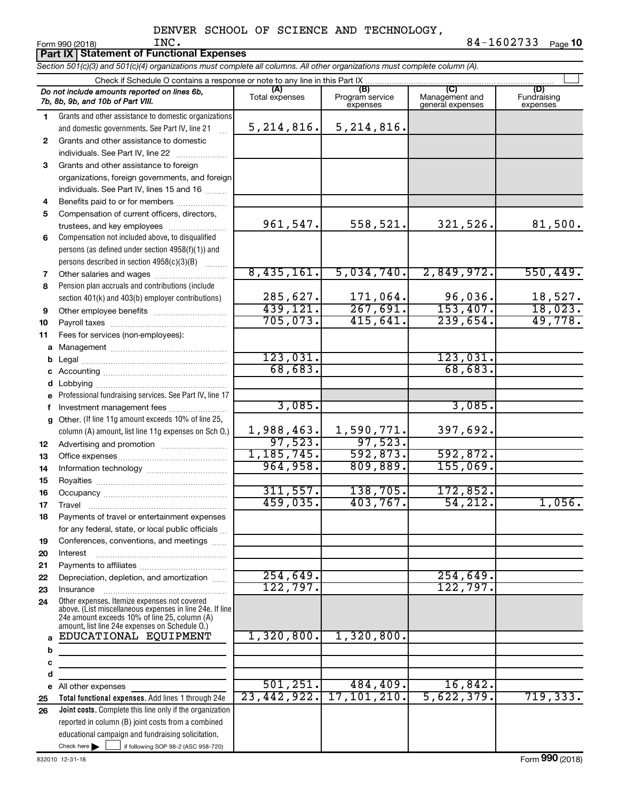**Porm 990 (2018)**<br>**Part IX | Statement of Functional Expenses** 

*Section 501(c)(3) and 501(c)(4) organizations must complete all columns. All other organizations must complete column (A).*

|              | Check if Schedule O contains a response or note to any line in this Part IX                                                                               |                       |                                    |                                    |                         |
|--------------|-----------------------------------------------------------------------------------------------------------------------------------------------------------|-----------------------|------------------------------------|------------------------------------|-------------------------|
|              | Do not include amounts reported on lines 6b,<br>7b, 8b, 9b, and 10b of Part VIII.                                                                         | (A)<br>Total expenses | (B)<br>Program service<br>expenses | Management and<br>general expenses | Fundraising<br>expenses |
| 1.           | Grants and other assistance to domestic organizations                                                                                                     |                       |                                    |                                    |                         |
|              | and domestic governments. See Part IV, line 21                                                                                                            | 5, 214, 816.          | 5, 214, 816.                       |                                    |                         |
| $\mathbf{2}$ | Grants and other assistance to domestic                                                                                                                   |                       |                                    |                                    |                         |
|              | individuals. See Part IV, line 22                                                                                                                         |                       |                                    |                                    |                         |
| 3            | Grants and other assistance to foreign                                                                                                                    |                       |                                    |                                    |                         |
|              | organizations, foreign governments, and foreign                                                                                                           |                       |                                    |                                    |                         |
|              | individuals. See Part IV, lines 15 and 16                                                                                                                 |                       |                                    |                                    |                         |
| 4            | Benefits paid to or for members                                                                                                                           |                       |                                    |                                    |                         |
| 5            | Compensation of current officers, directors,                                                                                                              |                       |                                    |                                    |                         |
|              | trustees, and key employees                                                                                                                               | 961,547.              | 558,521.                           | 321,526.                           | 81,500.                 |
| 6            | Compensation not included above, to disqualified                                                                                                          |                       |                                    |                                    |                         |
|              | persons (as defined under section 4958(f)(1)) and                                                                                                         |                       |                                    |                                    |                         |
|              | persons described in section 4958(c)(3)(B)                                                                                                                |                       |                                    |                                    |                         |
| 7            | Other salaries and wages                                                                                                                                  | 8,435,161.            | 5,034,740.                         | 2,849,972.                         | 550, 449.               |
| 8            | Pension plan accruals and contributions (include                                                                                                          |                       |                                    |                                    |                         |
|              | section 401(k) and 403(b) employer contributions)                                                                                                         | 285,627.              | 171,064.                           | 96,036.                            | 18,527.                 |
| 9            |                                                                                                                                                           | 439,121.              | 267,691.                           | 153,407.                           | 18,023.                 |
| 10           |                                                                                                                                                           | 705,073.              | 415,641.                           | 239,654.                           | 49,778.                 |
| 11           | Fees for services (non-employees):                                                                                                                        |                       |                                    |                                    |                         |
| a            |                                                                                                                                                           | 123,031.              |                                    |                                    |                         |
| b            |                                                                                                                                                           | 68,683.               |                                    | 123,031.<br>68,683.                |                         |
|              |                                                                                                                                                           |                       |                                    |                                    |                         |
|              | Lobbying<br>Professional fundraising services. See Part IV, line 17                                                                                       |                       |                                    |                                    |                         |
|              |                                                                                                                                                           | 3,085.                |                                    | 3,085.                             |                         |
| f<br>a       | Investment management fees<br>Other. (If line 11g amount exceeds 10% of line 25,                                                                          |                       |                                    |                                    |                         |
|              | column (A) amount, list line 11g expenses on Sch O.)                                                                                                      | 1,988,463.            | <u>1,590,771.</u>                  | 397,692.                           |                         |
| 12           |                                                                                                                                                           | 97,523.               | 97,523.                            |                                    |                         |
| 13           |                                                                                                                                                           | 1,185,745.            | 592,873.                           | 592,872.                           |                         |
| 14           |                                                                                                                                                           | 964,958.              | 809, 889.                          | 155,069.                           |                         |
| 15           |                                                                                                                                                           |                       |                                    |                                    |                         |
| 16           |                                                                                                                                                           | 311,557.              | 138,705.                           | 172,852.                           |                         |
| 17           |                                                                                                                                                           | 459,035.              | 403,767.                           | 54, 212.                           | 1,056.                  |
| 18           | Payments of travel or entertainment expenses                                                                                                              |                       |                                    |                                    |                         |
|              | for any federal, state, or local public officials                                                                                                         |                       |                                    |                                    |                         |
| 19           | Conferences, conventions, and meetings                                                                                                                    |                       |                                    |                                    |                         |
| 20           | Interest                                                                                                                                                  |                       |                                    |                                    |                         |
| 21           |                                                                                                                                                           |                       |                                    |                                    |                         |
| 22           | Depreciation, depletion, and amortization                                                                                                                 | 254,649.              |                                    | 254,649.                           |                         |
| 23           | Insurance                                                                                                                                                 | 122,797.              |                                    | 122, 797.                          |                         |
| 24           | Other expenses. Itemize expenses not covered<br>above. (List miscellaneous expenses in line 24e. If line<br>24e amount exceeds 10% of line 25, column (A) |                       |                                    |                                    |                         |
|              | amount, list line 24e expenses on Schedule O.)                                                                                                            |                       |                                    |                                    |                         |
| a            | EDUCATIONAL EQUIPMENT                                                                                                                                     | 1,320,800.            | 1,320,800.                         |                                    |                         |
| b            |                                                                                                                                                           |                       |                                    |                                    |                         |
| с            |                                                                                                                                                           |                       |                                    |                                    |                         |
| d            |                                                                                                                                                           |                       |                                    |                                    |                         |
| е            | All other expenses                                                                                                                                        | 501, 251.             | 484,409.                           | 16,842.                            |                         |
| 25           | Total functional expenses. Add lines 1 through 24e                                                                                                        | 23,442,922.           | 17, 101, 210.                      | 5,622,379.                         | 719, 333.               |
| 26           | Joint costs. Complete this line only if the organization                                                                                                  |                       |                                    |                                    |                         |
|              | reported in column (B) joint costs from a combined                                                                                                        |                       |                                    |                                    |                         |
|              | educational campaign and fundraising solicitation.<br>Check here $\blacktriangleright$<br>if following SOP 98-2 (ASC 958-720)                             |                       |                                    |                                    |                         |
|              |                                                                                                                                                           |                       |                                    |                                    |                         |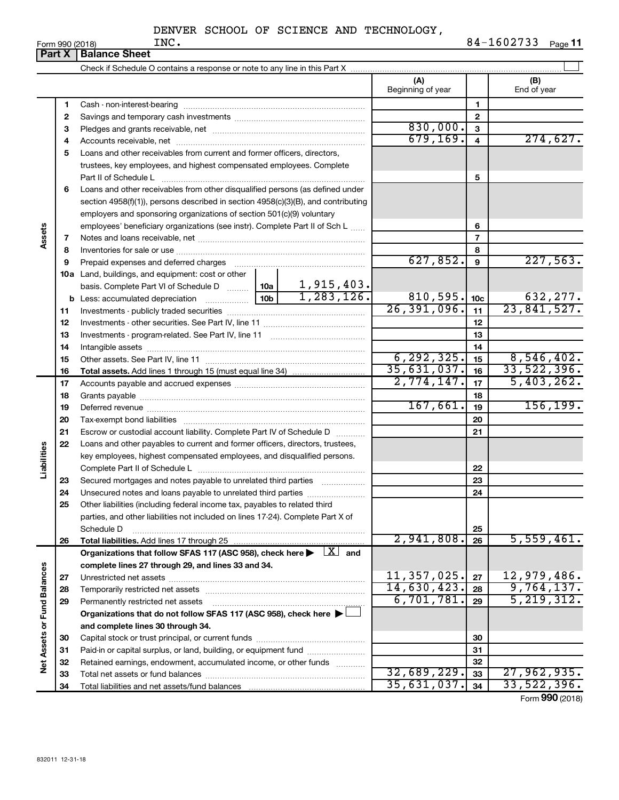**Part X Balance** 

|                      | Parl A | <b>Dalance Sheet</b>                                                                                                                                                                                                                                                               |                       |                         |              |
|----------------------|--------|------------------------------------------------------------------------------------------------------------------------------------------------------------------------------------------------------------------------------------------------------------------------------------|-----------------------|-------------------------|--------------|
|                      |        |                                                                                                                                                                                                                                                                                    |                       |                         |              |
|                      |        |                                                                                                                                                                                                                                                                                    | (A)                   |                         | (B)          |
|                      |        |                                                                                                                                                                                                                                                                                    | Beginning of year     |                         | End of year  |
|                      | 1      |                                                                                                                                                                                                                                                                                    |                       | 1                       |              |
|                      | 2      |                                                                                                                                                                                                                                                                                    |                       | $\mathbf{2}$            |              |
|                      | З      |                                                                                                                                                                                                                                                                                    | 830,000.<br>679, 169. | 3                       | 274,627.     |
|                      | 4      |                                                                                                                                                                                                                                                                                    |                       | $\overline{\mathbf{4}}$ |              |
|                      | 5      | Loans and other receivables from current and former officers, directors,                                                                                                                                                                                                           |                       |                         |              |
|                      |        | trustees, key employees, and highest compensated employees. Complete                                                                                                                                                                                                               |                       |                         |              |
|                      |        | Part II of Schedule L                                                                                                                                                                                                                                                              |                       | 5                       |              |
|                      | 6      | Loans and other receivables from other disqualified persons (as defined under                                                                                                                                                                                                      |                       |                         |              |
|                      |        | section 4958(f)(1)), persons described in section 4958(c)(3)(B), and contributing                                                                                                                                                                                                  |                       |                         |              |
|                      |        | employers and sponsoring organizations of section 501(c)(9) voluntary                                                                                                                                                                                                              |                       |                         |              |
| Assets               |        | employees' beneficiary organizations (see instr). Complete Part II of Sch L                                                                                                                                                                                                        |                       | 6                       |              |
|                      | 7      |                                                                                                                                                                                                                                                                                    |                       | $\overline{7}$          |              |
|                      | 8      |                                                                                                                                                                                                                                                                                    | 627,852.              | 8<br>9                  | 227,563.     |
|                      | 9      | Prepaid expenses and deferred charges [11] [11] Prepaid expenses and deferred charges [11] [11] Martin Marian Marian Marian Marian Marian Marian Marian Marian Marian Marian Marian Marian Marian Marian Marian Marian Marian<br>10a Land, buildings, and equipment: cost or other |                       |                         |              |
|                      |        | 1,915,403.<br>basis. Complete Part VI of Schedule D $\ldots$   10a                                                                                                                                                                                                                 |                       |                         |              |
|                      |        | 1, 283, 126.                                                                                                                                                                                                                                                                       | 810,595.              | 10 <sub>c</sub>         | 632,277.     |
|                      | 11     |                                                                                                                                                                                                                                                                                    | 26, 391, 096.         | 11                      | 23,841,527.  |
|                      | 12     |                                                                                                                                                                                                                                                                                    |                       | 12                      |              |
|                      | 13     |                                                                                                                                                                                                                                                                                    |                       | 13                      |              |
|                      | 14     |                                                                                                                                                                                                                                                                                    |                       | 14                      |              |
|                      | 15     |                                                                                                                                                                                                                                                                                    | 6, 292, 325.          | 15                      | 8,546,402.   |
|                      | 16     |                                                                                                                                                                                                                                                                                    | 35,631,037.           | 16                      | 33,522,396.  |
|                      | 17     |                                                                                                                                                                                                                                                                                    | 2,774,147.            | 17                      | 5,403,262.   |
|                      | 18     |                                                                                                                                                                                                                                                                                    |                       | 18                      |              |
|                      | 19     |                                                                                                                                                                                                                                                                                    | 167,661.              | 19                      | 156, 199.    |
|                      | 20     |                                                                                                                                                                                                                                                                                    |                       | 20                      |              |
|                      | 21     | Escrow or custodial account liability. Complete Part IV of Schedule D                                                                                                                                                                                                              |                       | 21                      |              |
|                      | 22     | Loans and other payables to current and former officers, directors, trustees,                                                                                                                                                                                                      |                       |                         |              |
|                      |        | key employees, highest compensated employees, and disqualified persons.                                                                                                                                                                                                            |                       |                         |              |
| Liabilities          |        |                                                                                                                                                                                                                                                                                    |                       | 22                      |              |
|                      | 23     | Secured mortgages and notes payable to unrelated third parties                                                                                                                                                                                                                     |                       | 23                      |              |
|                      | 24     | Unsecured notes and loans payable to unrelated third parties                                                                                                                                                                                                                       |                       | 24                      |              |
|                      | 25     | Other liabilities (including federal income tax, payables to related third                                                                                                                                                                                                         |                       |                         |              |
|                      |        | parties, and other liabilities not included on lines 17-24). Complete Part X of                                                                                                                                                                                                    |                       |                         |              |
|                      |        | Schedule D                                                                                                                                                                                                                                                                         |                       | 25                      |              |
|                      | 26     |                                                                                                                                                                                                                                                                                    | 2,941,808.            | 26                      | 5,559,461.   |
|                      |        | Organizations that follow SFAS 117 (ASC 958), check here $\blacktriangleright \begin{array}{c} \perp X \\ \perp \end{array}$ and                                                                                                                                                   |                       |                         |              |
|                      |        | complete lines 27 through 29, and lines 33 and 34.                                                                                                                                                                                                                                 |                       |                         |              |
|                      | 27     |                                                                                                                                                                                                                                                                                    | 11,357,025.           | 27                      | 12,979,486.  |
| <b>Fund Balances</b> | 28     |                                                                                                                                                                                                                                                                                    | 14,630,423.           | 28                      | 9,764,137.   |
|                      | 29     | Permanently restricted net assets                                                                                                                                                                                                                                                  | 6,701,781.            | 29                      | 5, 219, 312. |
|                      |        | Organizations that do not follow SFAS 117 (ASC 958), check here ▶ □                                                                                                                                                                                                                |                       |                         |              |
|                      |        | and complete lines 30 through 34.                                                                                                                                                                                                                                                  |                       |                         |              |
|                      | 30     |                                                                                                                                                                                                                                                                                    |                       | 30                      |              |
|                      | 31     | Paid-in or capital surplus, or land, building, or equipment fund                                                                                                                                                                                                                   |                       | 31                      |              |
| Net Assets or        | 32     | Retained earnings, endowment, accumulated income, or other funds                                                                                                                                                                                                                   |                       | 32                      |              |
|                      | 33     |                                                                                                                                                                                                                                                                                    | 32,689,229.           | 33                      | 27,962,935.  |
|                      | 34     |                                                                                                                                                                                                                                                                                    | 35,631,037.           | 34                      | 33,522,396.  |

Form (2018) **990**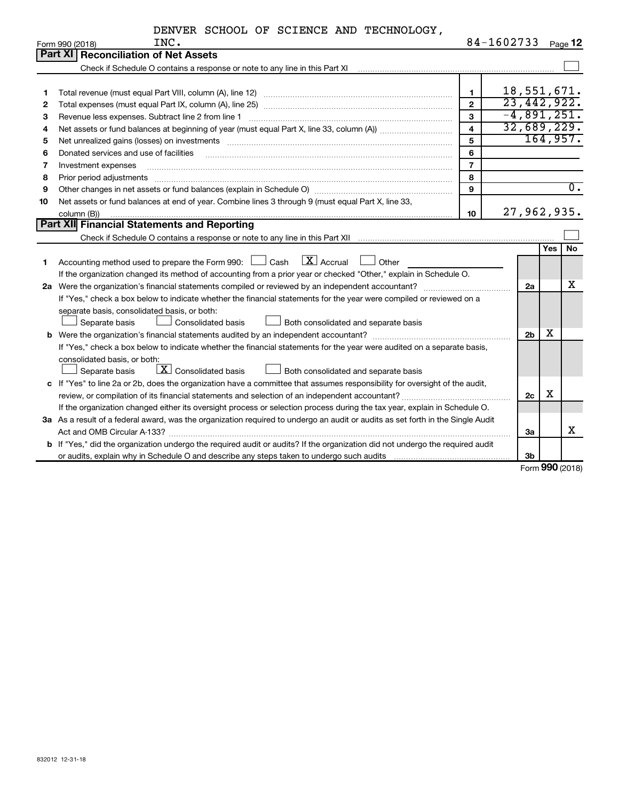|    | DENVER SCHOOL OF SCIENCE AND TECHNOLOGY,                                                                                                                                                                                       |                         |                    |            |                  |
|----|--------------------------------------------------------------------------------------------------------------------------------------------------------------------------------------------------------------------------------|-------------------------|--------------------|------------|------------------|
|    | INC.<br>Form 990 (2018)                                                                                                                                                                                                        |                         | 84-1602733 Page 12 |            |                  |
|    | Part XI<br><b>Reconciliation of Net Assets</b>                                                                                                                                                                                 |                         |                    |            |                  |
|    |                                                                                                                                                                                                                                |                         |                    |            |                  |
|    |                                                                                                                                                                                                                                |                         |                    |            |                  |
| 1  |                                                                                                                                                                                                                                | 1                       | 18,551,671.        |            |                  |
| 2  |                                                                                                                                                                                                                                | $\mathbf{2}$            | 23,442,922.        |            |                  |
| З  | Revenue less expenses. Subtract line 2 from line 1                                                                                                                                                                             | 3                       | $-4,891,251.$      |            |                  |
| 4  |                                                                                                                                                                                                                                | $\overline{\mathbf{4}}$ | 32,689,229.        |            |                  |
| 5  | Net unrealized gains (losses) on investments [11] matter than the control of the state of the state of the state of the state of the state of the state of the state of the state of the state of the state of the state of th | 5                       |                    |            | 164,957.         |
| 6  | Donated services and use of facilities                                                                                                                                                                                         | 6                       |                    |            |                  |
| 7  | Investment expenses                                                                                                                                                                                                            | $\overline{7}$          |                    |            |                  |
| 8  | Prior period adjustments                                                                                                                                                                                                       | 8                       |                    |            |                  |
| 9  |                                                                                                                                                                                                                                | $\mathbf{Q}$            |                    |            | $\overline{0}$ . |
| 10 | Net assets or fund balances at end of year. Combine lines 3 through 9 (must equal Part X, line 33,                                                                                                                             |                         |                    |            |                  |
|    | column (B))                                                                                                                                                                                                                    | 10                      | 27,962,935.        |            |                  |
|    | Part XII Financial Statements and Reporting                                                                                                                                                                                    |                         |                    |            |                  |
|    |                                                                                                                                                                                                                                |                         |                    |            |                  |
|    |                                                                                                                                                                                                                                |                         |                    | <b>Yes</b> | <b>No</b>        |
| 1  | $\boxed{\text{X}}$ Accrual<br>Accounting method used to prepare the Form 990: [130] Cash<br>Other                                                                                                                              |                         |                    |            |                  |
|    | If the organization changed its method of accounting from a prior year or checked "Other," explain in Schedule O.                                                                                                              |                         |                    |            |                  |
|    |                                                                                                                                                                                                                                |                         | 2a                 |            | x                |
|    | If "Yes," check a box below to indicate whether the financial statements for the year were compiled or reviewed on a                                                                                                           |                         |                    |            |                  |
|    | separate basis, consolidated basis, or both:                                                                                                                                                                                   |                         |                    |            |                  |
|    | Separate basis<br><b>Consolidated basis</b><br>$\perp$ Both consolidated and separate basis                                                                                                                                    |                         |                    |            |                  |
|    |                                                                                                                                                                                                                                |                         | 2 <sub>b</sub>     | x          |                  |
|    | If "Yes," check a box below to indicate whether the financial statements for the year were audited on a separate basis,                                                                                                        |                         |                    |            |                  |
|    | consolidated basis, or both:                                                                                                                                                                                                   |                         |                    |            |                  |
|    | $\boxed{\textbf{X}}$ Consolidated basis<br>Separate basis<br>Both consolidated and separate basis                                                                                                                              |                         |                    |            |                  |
|    | c If "Yes" to line 2a or 2b, does the organization have a committee that assumes responsibility for oversight of the audit,                                                                                                    |                         |                    |            |                  |
|    |                                                                                                                                                                                                                                |                         | 2c                 | х          |                  |
|    | If the organization changed either its oversight process or selection process during the tax year, explain in Schedule O.                                                                                                      |                         |                    |            |                  |
|    | 3a As a result of a federal award, was the organization required to undergo an audit or audits as set forth in the Single Audit                                                                                                |                         |                    |            |                  |
|    |                                                                                                                                                                                                                                |                         | За                 |            | x                |
|    | b If "Yes," did the organization undergo the required audit or audits? If the organization did not undergo the required audit                                                                                                  |                         |                    |            |                  |
|    |                                                                                                                                                                                                                                |                         | 3b                 |            |                  |

Form (2018) **990**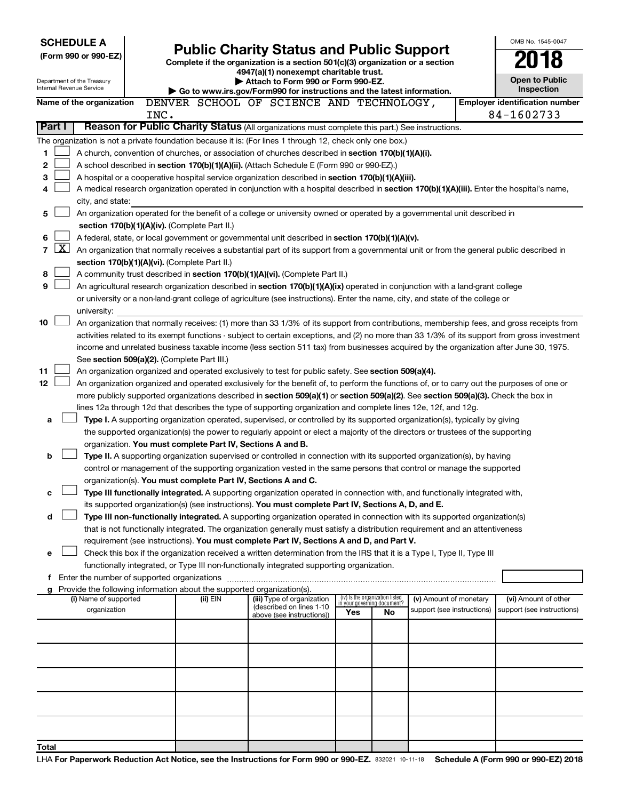|       |              | <b>SCHEDULE A</b><br>(Form 990 or 990-EZ)<br>Department of the Treasury<br>Internal Revenue Service |      |                                                                          | <b>Public Charity Status and Public Support</b><br>Complete if the organization is a section 501(c)(3) organization or a section<br>4947(a)(1) nonexempt charitable trust.<br>Attach to Form 990 or Form 990-EZ. |                                 |    |                                                      | OMB No. 1545-0047<br><b>Open to Public</b>          |
|-------|--------------|-----------------------------------------------------------------------------------------------------|------|--------------------------------------------------------------------------|------------------------------------------------------------------------------------------------------------------------------------------------------------------------------------------------------------------|---------------------------------|----|------------------------------------------------------|-----------------------------------------------------|
|       |              |                                                                                                     |      |                                                                          | Go to www.irs.gov/Form990 for instructions and the latest information.                                                                                                                                           |                                 |    |                                                      | <b>Inspection</b>                                   |
|       |              | Name of the organization                                                                            | INC. |                                                                          | DENVER SCHOOL OF SCIENCE AND TECHNOLOGY,                                                                                                                                                                         |                                 |    |                                                      | <b>Employer identification number</b><br>84-1602733 |
|       | Part I       |                                                                                                     |      |                                                                          | Reason for Public Charity Status (All organizations must complete this part.) See instructions.                                                                                                                  |                                 |    |                                                      |                                                     |
|       |              |                                                                                                     |      |                                                                          | The organization is not a private foundation because it is: (For lines 1 through 12, check only one box.)                                                                                                        |                                 |    |                                                      |                                                     |
| 1     |              |                                                                                                     |      |                                                                          | A church, convention of churches, or association of churches described in section 170(b)(1)(A)(i).                                                                                                               |                                 |    |                                                      |                                                     |
| 2     |              |                                                                                                     |      |                                                                          | A school described in section 170(b)(1)(A)(ii). (Attach Schedule E (Form 990 or 990-EZ).)                                                                                                                        |                                 |    |                                                      |                                                     |
| 3     |              |                                                                                                     |      |                                                                          | A hospital or a cooperative hospital service organization described in section 170(b)(1)(A)(iii).                                                                                                                |                                 |    |                                                      |                                                     |
| 4     |              |                                                                                                     |      |                                                                          | A medical research organization operated in conjunction with a hospital described in section 170(b)(1)(A)(iii). Enter the hospital's name,                                                                       |                                 |    |                                                      |                                                     |
|       |              | city, and state:                                                                                    |      |                                                                          |                                                                                                                                                                                                                  |                                 |    |                                                      |                                                     |
| 5     |              |                                                                                                     |      |                                                                          | An organization operated for the benefit of a college or university owned or operated by a governmental unit described in                                                                                        |                                 |    |                                                      |                                                     |
|       |              |                                                                                                     |      | section 170(b)(1)(A)(iv). (Complete Part II.)                            |                                                                                                                                                                                                                  |                                 |    |                                                      |                                                     |
| 6     |              |                                                                                                     |      |                                                                          | A federal, state, or local government or governmental unit described in section 170(b)(1)(A)(v).                                                                                                                 |                                 |    |                                                      |                                                     |
| 7     | $\mathbf{X}$ |                                                                                                     |      |                                                                          | An organization that normally receives a substantial part of its support from a governmental unit or from the general public described in                                                                        |                                 |    |                                                      |                                                     |
|       |              |                                                                                                     |      | section 170(b)(1)(A)(vi). (Complete Part II.)                            |                                                                                                                                                                                                                  |                                 |    |                                                      |                                                     |
| 8     |              |                                                                                                     |      |                                                                          | A community trust described in section 170(b)(1)(A)(vi). (Complete Part II.)                                                                                                                                     |                                 |    |                                                      |                                                     |
| 9     |              |                                                                                                     |      |                                                                          | An agricultural research organization described in section 170(b)(1)(A)(ix) operated in conjunction with a land-grant college                                                                                    |                                 |    |                                                      |                                                     |
|       |              |                                                                                                     |      |                                                                          | or university or a non-land-grant college of agriculture (see instructions). Enter the name, city, and state of the college or                                                                                   |                                 |    |                                                      |                                                     |
|       |              | university:                                                                                         |      |                                                                          |                                                                                                                                                                                                                  |                                 |    |                                                      |                                                     |
| 10    |              |                                                                                                     |      |                                                                          | An organization that normally receives: (1) more than 33 1/3% of its support from contributions, membership fees, and gross receipts from                                                                        |                                 |    |                                                      |                                                     |
|       |              |                                                                                                     |      |                                                                          | activities related to its exempt functions - subject to certain exceptions, and (2) no more than 33 1/3% of its support from gross investment                                                                    |                                 |    |                                                      |                                                     |
|       |              |                                                                                                     |      |                                                                          | income and unrelated business taxable income (less section 511 tax) from businesses acquired by the organization after June 30, 1975.                                                                            |                                 |    |                                                      |                                                     |
|       |              |                                                                                                     |      | See section 509(a)(2). (Complete Part III.)                              |                                                                                                                                                                                                                  |                                 |    |                                                      |                                                     |
| 11    |              |                                                                                                     |      |                                                                          | An organization organized and operated exclusively to test for public safety. See section 509(a)(4).                                                                                                             |                                 |    |                                                      |                                                     |
| 12    |              |                                                                                                     |      |                                                                          | An organization organized and operated exclusively for the benefit of, to perform the functions of, or to carry out the purposes of one or                                                                       |                                 |    |                                                      |                                                     |
|       |              |                                                                                                     |      |                                                                          | more publicly supported organizations described in section 509(a)(1) or section 509(a)(2). See section 509(a)(3). Check the box in                                                                               |                                 |    |                                                      |                                                     |
|       |              |                                                                                                     |      |                                                                          | lines 12a through 12d that describes the type of supporting organization and complete lines 12e, 12f, and 12g.                                                                                                   |                                 |    |                                                      |                                                     |
| а     |              |                                                                                                     |      |                                                                          | Type I. A supporting organization operated, supervised, or controlled by its supported organization(s), typically by giving                                                                                      |                                 |    |                                                      |                                                     |
|       |              |                                                                                                     |      |                                                                          | the supported organization(s) the power to regularly appoint or elect a majority of the directors or trustees of the supporting                                                                                  |                                 |    |                                                      |                                                     |
|       |              |                                                                                                     |      | organization. You must complete Part IV, Sections A and B.               |                                                                                                                                                                                                                  |                                 |    |                                                      |                                                     |
| b     |              |                                                                                                     |      |                                                                          | Type II. A supporting organization supervised or controlled in connection with its supported organization(s), by having                                                                                          |                                 |    |                                                      |                                                     |
|       |              |                                                                                                     |      |                                                                          | control or management of the supporting organization vested in the same persons that control or manage the supported                                                                                             |                                 |    |                                                      |                                                     |
|       |              |                                                                                                     |      | organization(s). You must complete Part IV, Sections A and C.            |                                                                                                                                                                                                                  |                                 |    |                                                      |                                                     |
| c     |              |                                                                                                     |      |                                                                          | Type III functionally integrated. A supporting organization operated in connection with, and functionally integrated with,                                                                                       |                                 |    |                                                      |                                                     |
|       |              |                                                                                                     |      |                                                                          | its supported organization(s) (see instructions). You must complete Part IV, Sections A, D, and E.                                                                                                               |                                 |    |                                                      |                                                     |
| d     |              |                                                                                                     |      |                                                                          | Type III non-functionally integrated. A supporting organization operated in connection with its supported organization(s)                                                                                        |                                 |    |                                                      |                                                     |
|       |              |                                                                                                     |      |                                                                          | that is not functionally integrated. The organization generally must satisfy a distribution requirement and an attentiveness                                                                                     |                                 |    |                                                      |                                                     |
|       |              |                                                                                                     |      |                                                                          | requirement (see instructions). You must complete Part IV, Sections A and D, and Part V.                                                                                                                         |                                 |    |                                                      |                                                     |
| е     |              |                                                                                                     |      |                                                                          | Check this box if the organization received a written determination from the IRS that it is a Type I, Type II, Type III                                                                                          |                                 |    |                                                      |                                                     |
|       |              |                                                                                                     |      |                                                                          | functionally integrated, or Type III non-functionally integrated supporting organization.                                                                                                                        |                                 |    |                                                      |                                                     |
|       |              |                                                                                                     |      | f Enter the number of supported organizations                            |                                                                                                                                                                                                                  |                                 |    |                                                      |                                                     |
|       |              |                                                                                                     |      | g Provide the following information about the supported organization(s). | (iii) Type of organization                                                                                                                                                                                       | (iv) Is the organization listed |    |                                                      | (vi) Amount of other                                |
|       |              | (i) Name of supported<br>organization                                                               |      | (ii) EIN                                                                 | (described on lines 1-10                                                                                                                                                                                         | in your governing document?     |    | (v) Amount of monetary<br>support (see instructions) | support (see instructions)                          |
|       |              |                                                                                                     |      |                                                                          | above (see instructions))                                                                                                                                                                                        | Yes                             | No |                                                      |                                                     |
|       |              |                                                                                                     |      |                                                                          |                                                                                                                                                                                                                  |                                 |    |                                                      |                                                     |
|       |              |                                                                                                     |      |                                                                          |                                                                                                                                                                                                                  |                                 |    |                                                      |                                                     |
|       |              |                                                                                                     |      |                                                                          |                                                                                                                                                                                                                  |                                 |    |                                                      |                                                     |
|       |              |                                                                                                     |      |                                                                          |                                                                                                                                                                                                                  |                                 |    |                                                      |                                                     |
|       |              |                                                                                                     |      |                                                                          |                                                                                                                                                                                                                  |                                 |    |                                                      |                                                     |
|       |              |                                                                                                     |      |                                                                          |                                                                                                                                                                                                                  |                                 |    |                                                      |                                                     |
|       |              |                                                                                                     |      |                                                                          |                                                                                                                                                                                                                  |                                 |    |                                                      |                                                     |
|       |              |                                                                                                     |      |                                                                          |                                                                                                                                                                                                                  |                                 |    |                                                      |                                                     |
| Total |              |                                                                                                     |      |                                                                          |                                                                                                                                                                                                                  |                                 |    |                                                      |                                                     |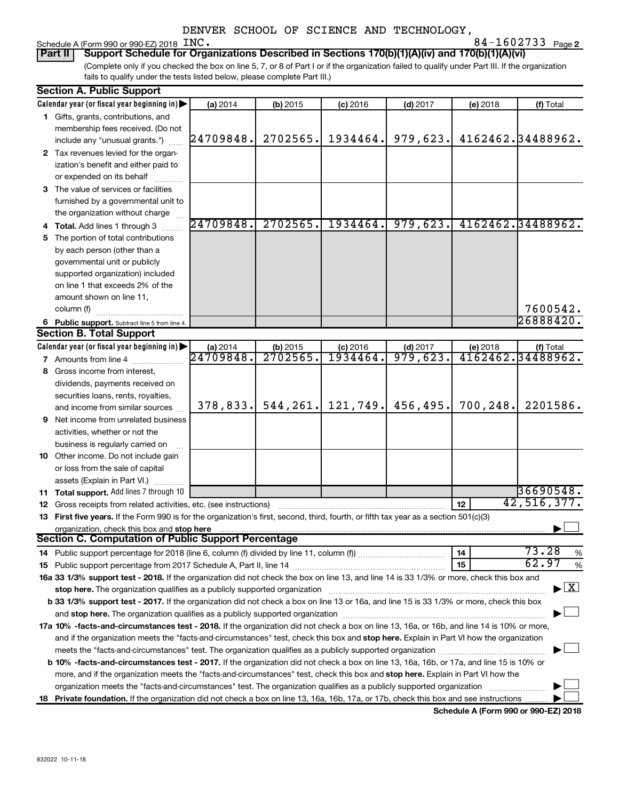# Schedule A (Form 990 or 990-EZ) 2018 INC.<br>**Part II** Support Schedule for Orga

**2** INC. 84-1602733

(Complete only if you checked the box on line 5, 7, or 8 of Part I or if the organization failed to qualify under Part III. If the organization fails to qualify under the tests listed below, please complete Part III.) **Support Schedule for Organizations Described in Sections 170(b)(1)(A)(iv) and 170(b)(1)(A)(vi)** 

| <b>Section A. Public Support</b>                                                                                                               |           |           |            |            |          |                                    |
|------------------------------------------------------------------------------------------------------------------------------------------------|-----------|-----------|------------|------------|----------|------------------------------------|
| Calendar year (or fiscal year beginning in)                                                                                                    | (a) 2014  | (b) 2015  | $(c)$ 2016 | $(d)$ 2017 | (e) 2018 | (f) Total                          |
| 1 Gifts, grants, contributions, and                                                                                                            |           |           |            |            |          |                                    |
| membership fees received. (Do not                                                                                                              |           |           |            |            |          |                                    |
| include any "unusual grants.")                                                                                                                 | 24709848. | 2702565.  | 1934464.   | 979,623.   |          | 4162462.34488962.                  |
| 2 Tax revenues levied for the organ-                                                                                                           |           |           |            |            |          |                                    |
| ization's benefit and either paid to                                                                                                           |           |           |            |            |          |                                    |
| or expended on its behalf                                                                                                                      |           |           |            |            |          |                                    |
| 3 The value of services or facilities                                                                                                          |           |           |            |            |          |                                    |
| furnished by a governmental unit to                                                                                                            |           |           |            |            |          |                                    |
| the organization without charge                                                                                                                |           |           |            |            |          |                                    |
| 4 Total. Add lines 1 through 3                                                                                                                 | 24709848. | 2702565.  | 1934464.   | 979,623.   |          | 4162462.34488962.                  |
| 5 The portion of total contributions                                                                                                           |           |           |            |            |          |                                    |
| by each person (other than a                                                                                                                   |           |           |            |            |          |                                    |
| governmental unit or publicly                                                                                                                  |           |           |            |            |          |                                    |
| supported organization) included                                                                                                               |           |           |            |            |          |                                    |
| on line 1 that exceeds 2% of the                                                                                                               |           |           |            |            |          |                                    |
| amount shown on line 11,                                                                                                                       |           |           |            |            |          |                                    |
| column (f)                                                                                                                                     |           |           |            |            |          | 7600542.                           |
| 6 Public support. Subtract line 5 from line 4.                                                                                                 |           |           |            |            |          | 26888420.                          |
| <b>Section B. Total Support</b>                                                                                                                |           |           |            |            |          |                                    |
| Calendar year (or fiscal year beginning in)                                                                                                    | (a) 2014  | (b) 2015  | $(c)$ 2016 | $(d)$ 2017 | (e) 2018 | (f) Total                          |
| <b>7</b> Amounts from line 4                                                                                                                   | 24709848. | 2702565   | 1934464.   | 979,623.   |          | 4162462.34488962.                  |
| 8 Gross income from interest,                                                                                                                  |           |           |            |            |          |                                    |
|                                                                                                                                                |           |           |            |            |          |                                    |
| dividends, payments received on                                                                                                                |           |           |            |            |          |                                    |
| securities loans, rents, royalties,                                                                                                            | 378,833.  | 544, 261. | 121,749.   | 456,495.   | 700,248. | 2201586.                           |
| and income from similar sources                                                                                                                |           |           |            |            |          |                                    |
| <b>9</b> Net income from unrelated business                                                                                                    |           |           |            |            |          |                                    |
| activities, whether or not the                                                                                                                 |           |           |            |            |          |                                    |
| business is regularly carried on                                                                                                               |           |           |            |            |          |                                    |
| 10 Other income. Do not include gain                                                                                                           |           |           |            |            |          |                                    |
| or loss from the sale of capital                                                                                                               |           |           |            |            |          |                                    |
| assets (Explain in Part VI.)                                                                                                                   |           |           |            |            |          | 36690548.                          |
| 11 Total support. Add lines 7 through 10                                                                                                       |           |           |            |            |          | 42,516,377.                        |
| <b>12</b> Gross receipts from related activities, etc. (see instructions)                                                                      |           |           |            |            | 12       |                                    |
| 13 First five years. If the Form 990 is for the organization's first, second, third, fourth, or fifth tax year as a section 501(c)(3)          |           |           |            |            |          |                                    |
| organization, check this box and stop here<br><b>Section C. Computation of Public Support Percentage</b>                                       |           |           |            |            |          |                                    |
|                                                                                                                                                |           |           |            |            |          | 73.28                              |
|                                                                                                                                                |           |           |            |            | 14       | %<br>62.97                         |
|                                                                                                                                                |           |           |            |            | 15       | %                                  |
| 16a 33 1/3% support test - 2018. If the organization did not check the box on line 13, and line 14 is 33 1/3% or more, check this box and      |           |           |            |            |          | $\blacktriangleright$ $\mathbf{X}$ |
|                                                                                                                                                |           |           |            |            |          |                                    |
| b 33 1/3% support test - 2017. If the organization did not check a box on line 13 or 16a, and line 15 is 33 1/3% or more, check this box       |           |           |            |            |          |                                    |
|                                                                                                                                                |           |           |            |            |          |                                    |
| 17a 10% -facts-and-circumstances test - 2018. If the organization did not check a box on line 13, 16a, or 16b, and line 14 is 10% or more,     |           |           |            |            |          |                                    |
| and if the organization meets the "facts-and-circumstances" test, check this box and stop here. Explain in Part VI how the organization        |           |           |            |            |          |                                    |
|                                                                                                                                                |           |           |            |            |          |                                    |
| <b>b 10%</b> -facts-and-circumstances test - 2017. If the organization did not check a box on line 13, 16a, 16b, or 17a, and line 15 is 10% or |           |           |            |            |          |                                    |
| more, and if the organization meets the "facts-and-circumstances" test, check this box and stop here. Explain in Part VI how the               |           |           |            |            |          |                                    |
| organization meets the "facts-and-circumstances" test. The organization qualifies as a publicly supported organization                         |           |           |            |            |          |                                    |
| 18 Private foundation. If the organization did not check a box on line 13, 16a, 16b, 17a, or 17b, check this box and see instructions          |           |           |            |            |          |                                    |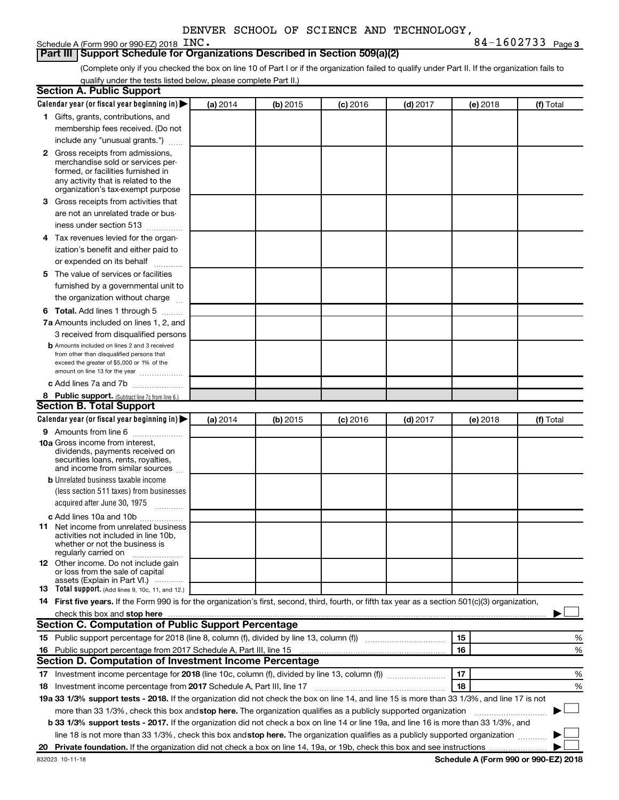#### Schedule A (Form 990 or 990-EZ) 2018 Page

**Part III Support Schedule for Organizations Described in Section 509(a)(2)** 

84-1602733 Page 3 INC. 84-1602733

| (Complete only if you checked the box on line 10 of Part I or if the organization failed to qualify under Part II. If the organization fails to |
|-------------------------------------------------------------------------------------------------------------------------------------------------|
| qualify under the tests listed below, please complete Part II.)                                                                                 |

| <b>Section A. Public Support</b>                                                                                                                    |          |          |                 |            |          |           |
|-----------------------------------------------------------------------------------------------------------------------------------------------------|----------|----------|-----------------|------------|----------|-----------|
| Calendar year (or fiscal year beginning in) $\blacktriangleright$                                                                                   | (a) 2014 | (b) 2015 | (c) 2016        | $(d)$ 2017 | (e) 2018 | (f) Total |
| 1 Gifts, grants, contributions, and                                                                                                                 |          |          |                 |            |          |           |
| membership fees received. (Do not                                                                                                                   |          |          |                 |            |          |           |
| include any "unusual grants.")                                                                                                                      |          |          |                 |            |          |           |
| 2 Gross receipts from admissions,                                                                                                                   |          |          |                 |            |          |           |
| merchandise sold or services per-                                                                                                                   |          |          |                 |            |          |           |
| formed, or facilities furnished in                                                                                                                  |          |          |                 |            |          |           |
| any activity that is related to the<br>organization's tax-exempt purpose                                                                            |          |          |                 |            |          |           |
| 3 Gross receipts from activities that                                                                                                               |          |          |                 |            |          |           |
| are not an unrelated trade or bus-                                                                                                                  |          |          |                 |            |          |           |
| iness under section 513                                                                                                                             |          |          |                 |            |          |           |
|                                                                                                                                                     |          |          |                 |            |          |           |
| 4 Tax revenues levied for the organ-                                                                                                                |          |          |                 |            |          |           |
| ization's benefit and either paid to                                                                                                                |          |          |                 |            |          |           |
| or expended on its behalf                                                                                                                           |          |          |                 |            |          |           |
| 5 The value of services or facilities                                                                                                               |          |          |                 |            |          |           |
| furnished by a governmental unit to                                                                                                                 |          |          |                 |            |          |           |
| the organization without charge                                                                                                                     |          |          |                 |            |          |           |
| 6 Total. Add lines 1 through 5                                                                                                                      |          |          |                 |            |          |           |
| 7a Amounts included on lines 1, 2, and                                                                                                              |          |          |                 |            |          |           |
| 3 received from disqualified persons                                                                                                                |          |          |                 |            |          |           |
| <b>b</b> Amounts included on lines 2 and 3 received                                                                                                 |          |          |                 |            |          |           |
| from other than disqualified persons that<br>exceed the greater of \$5,000 or 1% of the                                                             |          |          |                 |            |          |           |
| amount on line 13 for the year                                                                                                                      |          |          |                 |            |          |           |
| c Add lines 7a and 7b                                                                                                                               |          |          |                 |            |          |           |
| 8 Public support. (Subtract line 7c from line 6.)                                                                                                   |          |          |                 |            |          |           |
| <b>Section B. Total Support</b>                                                                                                                     |          |          |                 |            |          |           |
| Calendar year (or fiscal year beginning in) $\blacktriangleright$                                                                                   | (a) 2014 | (b) 2015 | <b>(c)</b> 2016 | $(d)$ 2017 | (e) 2018 | (f) Total |
| 9 Amounts from line 6                                                                                                                               |          |          |                 |            |          |           |
| <b>10a</b> Gross income from interest,                                                                                                              |          |          |                 |            |          |           |
| dividends, payments received on<br>securities loans, rents, royalties,                                                                              |          |          |                 |            |          |           |
| and income from similar sources                                                                                                                     |          |          |                 |            |          |           |
| <b>b</b> Unrelated business taxable income                                                                                                          |          |          |                 |            |          |           |
| (less section 511 taxes) from businesses                                                                                                            |          |          |                 |            |          |           |
| acquired after June 30, 1975                                                                                                                        |          |          |                 |            |          |           |
| c Add lines 10a and 10b                                                                                                                             |          |          |                 |            |          |           |
| <b>11</b> Net income from unrelated business                                                                                                        |          |          |                 |            |          |           |
| activities not included in line 10b.                                                                                                                |          |          |                 |            |          |           |
| whether or not the business is<br>regularly carried on                                                                                              |          |          |                 |            |          |           |
| 12 Other income. Do not include gain                                                                                                                |          |          |                 |            |          |           |
| or loss from the sale of capital                                                                                                                    |          |          |                 |            |          |           |
| assets (Explain in Part VI.)<br><b>13</b> Total support. (Add lines 9, 10c, 11, and 12.)                                                            |          |          |                 |            |          |           |
| 14 First five years. If the Form 990 is for the organization's first, second, third, fourth, or fifth tax year as a section 501(c)(3) organization, |          |          |                 |            |          |           |
|                                                                                                                                                     |          |          |                 |            |          |           |
| check this box and stop here<br>Section C. Computation of Public Support Percentage                                                                 |          |          |                 |            |          |           |
|                                                                                                                                                     |          |          |                 |            | 15       |           |
|                                                                                                                                                     |          |          |                 |            | 16       | %         |
| 16 Public support percentage from 2017 Schedule A, Part III, line 15<br>Section D. Computation of Investment Income Percentage                      |          |          |                 |            |          | %         |
|                                                                                                                                                     |          |          |                 |            | 17       |           |
| 17 Investment income percentage for 2018 (line 10c, column (f), divided by line 13, column (f))                                                     |          |          |                 |            |          | %         |
| 18 Investment income percentage from 2017 Schedule A, Part III, line 17                                                                             |          |          |                 |            | 18       | %         |
| 19a 33 1/3% support tests - 2018. If the organization did not check the box on line 14, and line 15 is more than 33 1/3%, and line 17 is not        |          |          |                 |            |          |           |
| more than 33 1/3%, check this box and stop here. The organization qualifies as a publicly supported organization                                    |          |          |                 |            |          |           |
| b 33 1/3% support tests - 2017. If the organization did not check a box on line 14 or line 19a, and line 16 is more than 33 1/3%, and               |          |          |                 |            |          |           |
| line 18 is not more than 33 1/3%, check this box and stop here. The organization qualifies as a publicly supported organization                     |          |          |                 |            |          |           |
|                                                                                                                                                     |          |          |                 |            |          |           |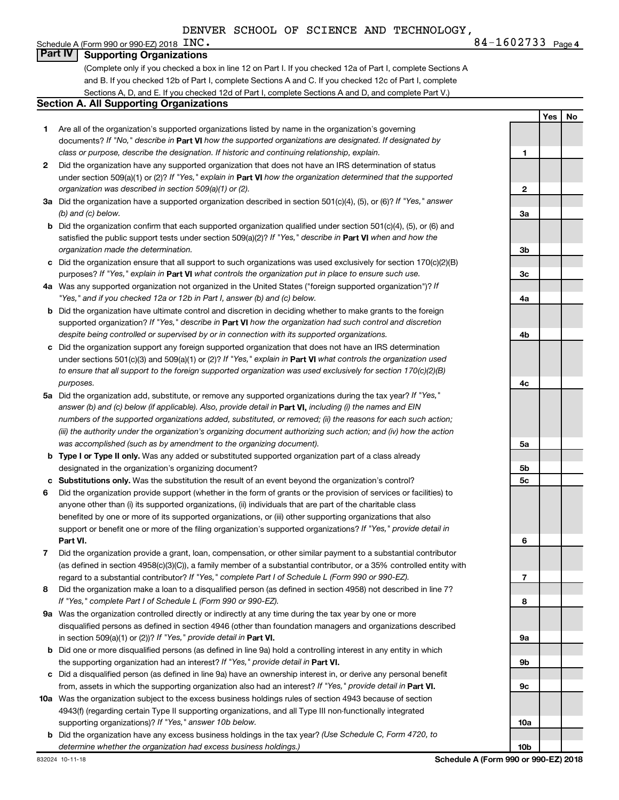**INC.** 84-1602733 Page 4

#### Schedule A (Form 990 or 990-EZ) 2018  $\overline{INC}$ . **Part IV Supporting Organizations**

(Complete only if you checked a box in line 12 on Part I. If you checked 12a of Part I, complete Sections A and B. If you checked 12b of Part I, complete Sections A and C. If you checked 12c of Part I, complete Sections A, D, and E. If you checked 12d of Part I, complete Sections A and D, and complete Part V.)

#### **Section A. All Supporting Organizations**

- **1** Are all of the organization's supported organizations listed by name in the organization's governing documents? If "No," describe in Part VI how the supported organizations are designated. If designated by *class or purpose, describe the designation. If historic and continuing relationship, explain.*
- **2** Did the organization have any supported organization that does not have an IRS determination of status under section 509(a)(1) or (2)? If "Yes," explain in Part **VI** how the organization determined that the supported *organization was described in section 509(a)(1) or (2).*
- **3a** Did the organization have a supported organization described in section 501(c)(4), (5), or (6)? If "Yes," answer *(b) and (c) below.*
- **b** Did the organization confirm that each supported organization qualified under section 501(c)(4), (5), or (6) and satisfied the public support tests under section 509(a)(2)? If "Yes," describe in Part VI when and how the *organization made the determination.*
- **c** Did the organization ensure that all support to such organizations was used exclusively for section 170(c)(2)(B) purposes? If "Yes," explain in Part VI what controls the organization put in place to ensure such use.
- **4 a** *If* Was any supported organization not organized in the United States ("foreign supported organization")? *"Yes," and if you checked 12a or 12b in Part I, answer (b) and (c) below.*
- **b** Did the organization have ultimate control and discretion in deciding whether to make grants to the foreign supported organization? If "Yes," describe in Part VI how the organization had such control and discretion *despite being controlled or supervised by or in connection with its supported organizations.*
- **c** Did the organization support any foreign supported organization that does not have an IRS determination under sections 501(c)(3) and 509(a)(1) or (2)? If "Yes," explain in Part VI what controls the organization used *to ensure that all support to the foreign supported organization was used exclusively for section 170(c)(2)(B) purposes.*
- **5a** Did the organization add, substitute, or remove any supported organizations during the tax year? If "Yes," answer (b) and (c) below (if applicable). Also, provide detail in **Part VI,** including (i) the names and EIN *numbers of the supported organizations added, substituted, or removed; (ii) the reasons for each such action; (iii) the authority under the organization's organizing document authorizing such action; and (iv) how the action was accomplished (such as by amendment to the organizing document).*
- **b Type I or Type II only.** Was any added or substituted supported organization part of a class already designated in the organization's organizing document?
- **c Substitutions only.**  Was the substitution the result of an event beyond the organization's control?
- **6** Did the organization provide support (whether in the form of grants or the provision of services or facilities) to **Part VI.** support or benefit one or more of the filing organization's supported organizations? If "Yes," provide detail in anyone other than (i) its supported organizations, (ii) individuals that are part of the charitable class benefited by one or more of its supported organizations, or (iii) other supporting organizations that also
- **7** Did the organization provide a grant, loan, compensation, or other similar payment to a substantial contributor regard to a substantial contributor? If "Yes," complete Part I of Schedule L (Form 990 or 990-EZ). (as defined in section 4958(c)(3)(C)), a family member of a substantial contributor, or a 35% controlled entity with
- **8** Did the organization make a loan to a disqualified person (as defined in section 4958) not described in line 7? *If "Yes," complete Part I of Schedule L (Form 990 or 990-EZ).*
- **9 a** Was the organization controlled directly or indirectly at any time during the tax year by one or more in section 509(a)(1) or (2))? If "Yes," provide detail in **Part VI.** disqualified persons as defined in section 4946 (other than foundation managers and organizations described
- **b** Did one or more disqualified persons (as defined in line 9a) hold a controlling interest in any entity in which the supporting organization had an interest? If "Yes," provide detail in Part VI.
- **c** Did a disqualified person (as defined in line 9a) have an ownership interest in, or derive any personal benefit from, assets in which the supporting organization also had an interest? If "Yes," provide detail in Part VI.
- **10 a** Was the organization subject to the excess business holdings rules of section 4943 because of section supporting organizations)? If "Yes," answer 10b below. 4943(f) (regarding certain Type II supporting organizations, and all Type III non-functionally integrated
	- **b** Did the organization have any excess business holdings in the tax year? (Use Schedule C, Form 4720, to *determine whether the organization had excess business holdings.)*

**Yes No 1 2 3a 3b 3c 4a 4b 4c 5a 5b 5c 6 7 8 9a 9b 9c 10a 10b**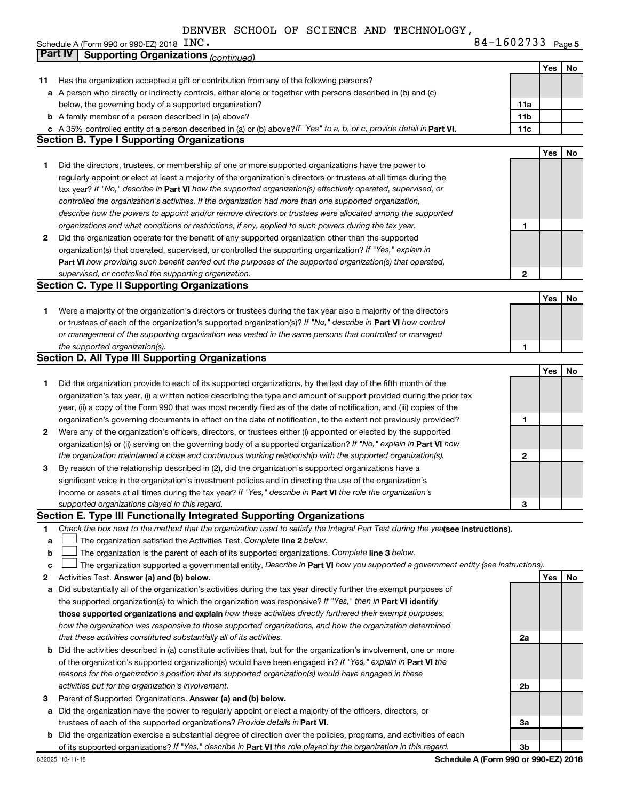Schedule A (Form 990 or 990-EZ) 2018 INC.

|              | Part IV<br><b>Supporting Organizations (continued)</b>                                                                          |                 |     |    |
|--------------|---------------------------------------------------------------------------------------------------------------------------------|-----------------|-----|----|
|              |                                                                                                                                 |                 | Yes | No |
| 11           | Has the organization accepted a gift or contribution from any of the following persons?                                         |                 |     |    |
|              | a A person who directly or indirectly controls, either alone or together with persons described in (b) and (c)                  |                 |     |    |
|              | below, the governing body of a supported organization?                                                                          | 11a             |     |    |
|              | <b>b</b> A family member of a person described in (a) above?                                                                    | 11 <sub>b</sub> |     |    |
|              | c A 35% controlled entity of a person described in (a) or (b) above? If "Yes" to a, b, or c, provide detail in Part VI.         | 11c             |     |    |
|              | <b>Section B. Type I Supporting Organizations</b>                                                                               |                 |     |    |
|              |                                                                                                                                 |                 | Yes | No |
| 1            | Did the directors, trustees, or membership of one or more supported organizations have the power to                             |                 |     |    |
|              | regularly appoint or elect at least a majority of the organization's directors or trustees at all times during the              |                 |     |    |
|              |                                                                                                                                 |                 |     |    |
|              | tax year? If "No," describe in Part VI how the supported organization(s) effectively operated, supervised, or                   |                 |     |    |
|              | controlled the organization's activities. If the organization had more than one supported organization,                         |                 |     |    |
|              | describe how the powers to appoint and/or remove directors or trustees were allocated among the supported                       |                 |     |    |
|              | organizations and what conditions or restrictions, if any, applied to such powers during the tax year.                          | 1               |     |    |
| 2            | Did the organization operate for the benefit of any supported organization other than the supported                             |                 |     |    |
|              | organization(s) that operated, supervised, or controlled the supporting organization? If "Yes," explain in                      |                 |     |    |
|              | Part VI how providing such benefit carried out the purposes of the supported organization(s) that operated,                     |                 |     |    |
|              | supervised, or controlled the supporting organization.                                                                          | 2               |     |    |
|              | <b>Section C. Type II Supporting Organizations</b>                                                                              |                 |     |    |
|              |                                                                                                                                 |                 | Yes | No |
| 1.           | Were a majority of the organization's directors or trustees during the tax year also a majority of the directors                |                 |     |    |
|              | or trustees of each of the organization's supported organization(s)? If "No," describe in Part VI how control                   |                 |     |    |
|              | or management of the supporting organization was vested in the same persons that controlled or managed                          |                 |     |    |
|              | the supported organization(s).                                                                                                  | 1               |     |    |
|              | <b>Section D. All Type III Supporting Organizations</b>                                                                         |                 |     |    |
|              |                                                                                                                                 |                 | Yes | No |
| 1            | Did the organization provide to each of its supported organizations, by the last day of the fifth month of the                  |                 |     |    |
|              | organization's tax year, (i) a written notice describing the type and amount of support provided during the prior tax           |                 |     |    |
|              | year, (ii) a copy of the Form 990 that was most recently filed as of the date of notification, and (iii) copies of the          |                 |     |    |
|              | organization's governing documents in effect on the date of notification, to the extent not previously provided?                | 1               |     |    |
| $\mathbf{2}$ | Were any of the organization's officers, directors, or trustees either (i) appointed or elected by the supported                |                 |     |    |
|              | organization(s) or (ii) serving on the governing body of a supported organization? If "No," explain in Part VI how              |                 |     |    |
|              | the organization maintained a close and continuous working relationship with the supported organization(s).                     | 2               |     |    |
| 3            | By reason of the relationship described in (2), did the organization's supported organizations have a                           |                 |     |    |
|              | significant voice in the organization's investment policies and in directing the use of the organization's                      |                 |     |    |
|              | income or assets at all times during the tax year? If "Yes," describe in Part VI the role the organization's                    |                 |     |    |
|              | supported organizations played in this regard.                                                                                  | 3               |     |    |
|              | Section E. Type III Functionally Integrated Supporting Organizations                                                            |                 |     |    |
| 1            | Check the box next to the method that the organization used to satisfy the Integral Part Test during the yealsee instructions). |                 |     |    |
| а            | The organization satisfied the Activities Test. Complete line 2 below.                                                          |                 |     |    |
| b            | The organization is the parent of each of its supported organizations. Complete line 3 below.                                   |                 |     |    |
| с            | The organization supported a governmental entity. Describe in Part VI how you supported a government entity (see instructions). |                 |     |    |
| 2            | Activities Test. Answer (a) and (b) below.                                                                                      |                 | Yes | No |
| а            | Did substantially all of the organization's activities during the tax year directly further the exempt purposes of              |                 |     |    |
|              | the supported organization(s) to which the organization was responsive? If "Yes," then in Part VI identify                      |                 |     |    |
|              | those supported organizations and explain how these activities directly furthered their exempt purposes,                        |                 |     |    |
|              | how the organization was responsive to those supported organizations, and how the organization determined                       |                 |     |    |
|              | that these activities constituted substantially all of its activities.                                                          | 2a              |     |    |
| b            | Did the activities described in (a) constitute activities that, but for the organization's involvement, one or more             |                 |     |    |
|              | of the organization's supported organization(s) would have been engaged in? If "Yes," explain in Part VI the                    |                 |     |    |
|              | reasons for the organization's position that its supported organization(s) would have engaged in these                          |                 |     |    |
|              | activities but for the organization's involvement.                                                                              | 2b              |     |    |
| 3            | Parent of Supported Organizations. Answer (a) and (b) below.                                                                    |                 |     |    |
| а            | Did the organization have the power to regularly appoint or elect a majority of the officers, directors, or                     |                 |     |    |
|              | trustees of each of the supported organizations? Provide details in Part VI.                                                    | За              |     |    |
|              | <b>b</b> Did the organization exercise a substantial degree of direction over the policies, programs, and activities of each    |                 |     |    |
|              | of its supported organizations? If "Yes," describe in Part VI the role played by the organization in this regard.               | 3b              |     |    |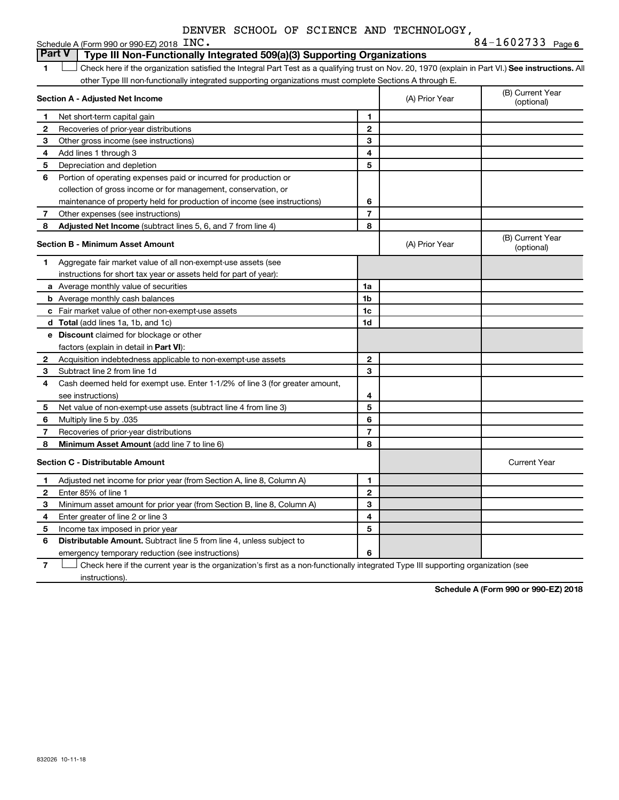| DENVER SCHOOL OF SCIENCE AND TECHNOLOGY, |  |  |  |  |  |  |
|------------------------------------------|--|--|--|--|--|--|
|------------------------------------------|--|--|--|--|--|--|

|   | Schedule A (Form 990 or 990-EZ) 2018 INC.                                                                                                          |                          | 84-1602733 Page 6 |                                |  |
|---|----------------------------------------------------------------------------------------------------------------------------------------------------|--------------------------|-------------------|--------------------------------|--|
|   | <b>Part V</b><br>Type III Non-Functionally Integrated 509(a)(3) Supporting Organizations                                                           |                          |                   |                                |  |
| 1 | Check here if the organization satisfied the Integral Part Test as a qualifying trust on Nov. 20, 1970 (explain in Part VI.) See instructions. All |                          |                   |                                |  |
|   | other Type III non-functionally integrated supporting organizations must complete Sections A through E.                                            |                          |                   |                                |  |
|   | Section A - Adjusted Net Income                                                                                                                    |                          | (A) Prior Year    | (B) Current Year<br>(optional) |  |
| 1 | Net short-term capital gain                                                                                                                        | 1                        |                   |                                |  |
| 2 | Recoveries of prior-year distributions                                                                                                             | $\mathbf{2}$             |                   |                                |  |
| З | Other gross income (see instructions)                                                                                                              | 3                        |                   |                                |  |
| 4 | Add lines 1 through 3                                                                                                                              | 4                        |                   |                                |  |
| 5 | Depreciation and depletion                                                                                                                         | 5                        |                   |                                |  |
| 6 | Portion of operating expenses paid or incurred for production or                                                                                   |                          |                   |                                |  |
|   | collection of gross income or for management, conservation, or                                                                                     |                          |                   |                                |  |
|   | maintenance of property held for production of income (see instructions)                                                                           | 6                        |                   |                                |  |
| 7 | Other expenses (see instructions)                                                                                                                  | $\overline{\phantom{a}}$ |                   |                                |  |
| 8 | Adjusted Net Income (subtract lines 5, 6, and 7 from line 4)                                                                                       | 8                        |                   |                                |  |
|   | Section B - Minimum Asset Amount                                                                                                                   |                          | (A) Prior Year    | (B) Current Year<br>(optional) |  |
| 1 | Aggregate fair market value of all non-exempt-use assets (see                                                                                      |                          |                   |                                |  |
|   | instructions for short tax year or assets held for part of year):                                                                                  |                          |                   |                                |  |
|   | a Average monthly value of securities                                                                                                              | 1a                       |                   |                                |  |
|   | <b>b</b> Average monthly cash balances                                                                                                             | 1 <sub>b</sub>           |                   |                                |  |
|   | c Fair market value of other non-exempt-use assets                                                                                                 | 1c                       |                   |                                |  |
|   | <b>d</b> Total (add lines 1a, 1b, and 1c)                                                                                                          | 1d                       |                   |                                |  |
|   | e Discount claimed for blockage or other                                                                                                           |                          |                   |                                |  |
|   | factors (explain in detail in Part VI):                                                                                                            |                          |                   |                                |  |
| 2 | Acquisition indebtedness applicable to non-exempt-use assets                                                                                       | $\mathbf{2}$             |                   |                                |  |
| 3 | Subtract line 2 from line 1d                                                                                                                       | 3                        |                   |                                |  |
| 4 | Cash deemed held for exempt use. Enter 1-1/2% of line 3 (for greater amount,                                                                       |                          |                   |                                |  |
|   | see instructions)                                                                                                                                  | 4                        |                   |                                |  |
| 5 | Net value of non-exempt-use assets (subtract line 4 from line 3)                                                                                   | 5                        |                   |                                |  |
| 6 | Multiply line 5 by .035                                                                                                                            | 6                        |                   |                                |  |
| 7 | Recoveries of prior-year distributions                                                                                                             | $\overline{7}$           |                   |                                |  |
| 8 | Minimum Asset Amount (add line 7 to line 6)                                                                                                        | 8                        |                   |                                |  |
|   | <b>Section C - Distributable Amount</b>                                                                                                            |                          |                   | <b>Current Year</b>            |  |
| 1 | Adjusted net income for prior year (from Section A, line 8, Column A)                                                                              | 1                        |                   |                                |  |
| 2 | Enter 85% of line 1                                                                                                                                | $\mathbf{2}$             |                   |                                |  |
| З | Minimum asset amount for prior year (from Section B, line 8, Column A)                                                                             | 3                        |                   |                                |  |
| 4 | Enter greater of line 2 or line 3                                                                                                                  | 4                        |                   |                                |  |
| 5 | Income tax imposed in prior year                                                                                                                   | 5                        |                   |                                |  |
| 6 | <b>Distributable Amount.</b> Subtract line 5 from line 4, unless subject to                                                                        |                          |                   |                                |  |
|   | emergency temporary reduction (see instructions)                                                                                                   | 6                        |                   |                                |  |

**7** Let Check here if the current year is the organization's first as a non-functionally integrated Type III supporting organization (see instructions).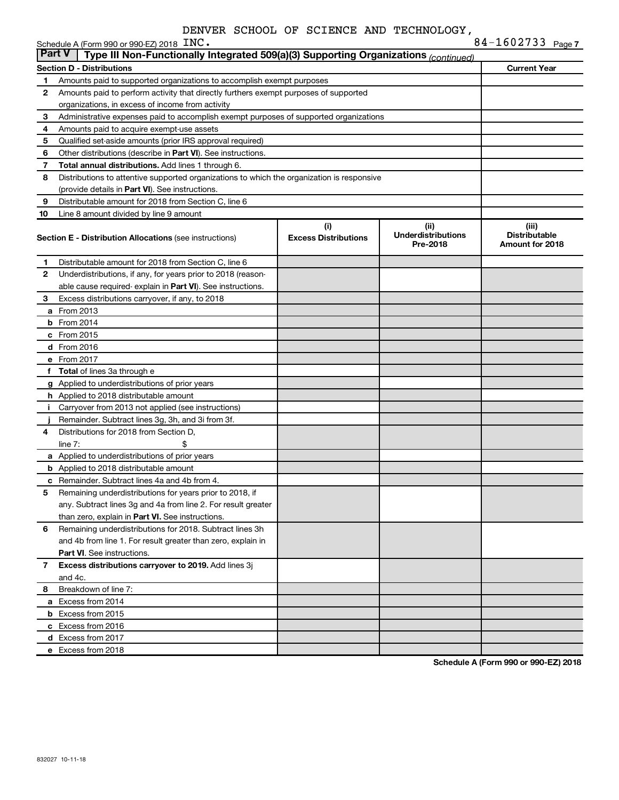|               | Schedule A (Form 990 or 990-EZ) 2018 INC.                                                  |                             |                           | 84-1602733 Page 7    |
|---------------|--------------------------------------------------------------------------------------------|-----------------------------|---------------------------|----------------------|
| <b>Part V</b> | Type III Non-Functionally Integrated 509(a)(3) Supporting Organizations (continued)        |                             |                           |                      |
|               | <b>Section D - Distributions</b>                                                           |                             |                           | <b>Current Year</b>  |
| 1             | Amounts paid to supported organizations to accomplish exempt purposes                      |                             |                           |                      |
| 2             | Amounts paid to perform activity that directly furthers exempt purposes of supported       |                             |                           |                      |
|               | organizations, in excess of income from activity                                           |                             |                           |                      |
| 3             | Administrative expenses paid to accomplish exempt purposes of supported organizations      |                             |                           |                      |
| 4             | Amounts paid to acquire exempt-use assets                                                  |                             |                           |                      |
| 5             | Qualified set-aside amounts (prior IRS approval required)                                  |                             |                           |                      |
| 6             | Other distributions (describe in <b>Part VI</b> ). See instructions.                       |                             |                           |                      |
| 7             | Total annual distributions. Add lines 1 through 6.                                         |                             |                           |                      |
| 8             | Distributions to attentive supported organizations to which the organization is responsive |                             |                           |                      |
|               | (provide details in <b>Part VI</b> ). See instructions.                                    |                             |                           |                      |
| 9             | Distributable amount for 2018 from Section C, line 6                                       |                             |                           |                      |
| 10            | Line 8 amount divided by line 9 amount                                                     |                             |                           |                      |
|               |                                                                                            | (i)                         | (ii)                      | (iii)                |
|               | <b>Section E - Distribution Allocations (see instructions)</b>                             | <b>Excess Distributions</b> | <b>Underdistributions</b> | <b>Distributable</b> |
|               |                                                                                            |                             | Pre-2018                  | Amount for 2018      |
| 1             | Distributable amount for 2018 from Section C, line 6                                       |                             |                           |                      |
| 2             | Underdistributions, if any, for years prior to 2018 (reason-                               |                             |                           |                      |
|               | able cause required- explain in Part VI). See instructions.                                |                             |                           |                      |
| 3             | Excess distributions carryover, if any, to 2018                                            |                             |                           |                      |
|               | <b>a</b> From 2013                                                                         |                             |                           |                      |
|               | <b>b</b> From 2014                                                                         |                             |                           |                      |
|               | c From 2015                                                                                |                             |                           |                      |
|               | d From 2016                                                                                |                             |                           |                      |
|               | e From 2017                                                                                |                             |                           |                      |
|               | f Total of lines 3a through e                                                              |                             |                           |                      |
|               | g Applied to underdistributions of prior years                                             |                             |                           |                      |
|               | <b>h</b> Applied to 2018 distributable amount                                              |                             |                           |                      |
| Ť.            | Carryover from 2013 not applied (see instructions)                                         |                             |                           |                      |
|               | Remainder. Subtract lines 3g, 3h, and 3i from 3f.                                          |                             |                           |                      |
| 4             | Distributions for 2018 from Section D,                                                     |                             |                           |                      |
|               | line $7:$                                                                                  |                             |                           |                      |
|               | a Applied to underdistributions of prior years                                             |                             |                           |                      |
|               | <b>b</b> Applied to 2018 distributable amount                                              |                             |                           |                      |
|               | c Remainder. Subtract lines 4a and 4b from 4.                                              |                             |                           |                      |
|               | 5 Remaining underdistributions for years prior to 2018, if                                 |                             |                           |                      |
|               | any. Subtract lines 3g and 4a from line 2. For result greater                              |                             |                           |                      |
|               | than zero, explain in Part VI. See instructions.                                           |                             |                           |                      |
| 6             | Remaining underdistributions for 2018. Subtract lines 3h                                   |                             |                           |                      |
|               | and 4b from line 1. For result greater than zero, explain in                               |                             |                           |                      |
|               | <b>Part VI.</b> See instructions.                                                          |                             |                           |                      |
| 7             | Excess distributions carryover to 2019. Add lines 3j                                       |                             |                           |                      |
|               | and 4c.                                                                                    |                             |                           |                      |
| 8             | Breakdown of line 7:                                                                       |                             |                           |                      |
|               | a Excess from 2014                                                                         |                             |                           |                      |
|               | <b>b</b> Excess from 2015                                                                  |                             |                           |                      |
|               | c Excess from 2016                                                                         |                             |                           |                      |
|               | d Excess from 2017                                                                         |                             |                           |                      |
|               |                                                                                            |                             |                           |                      |
|               | e Excess from 2018                                                                         |                             |                           |                      |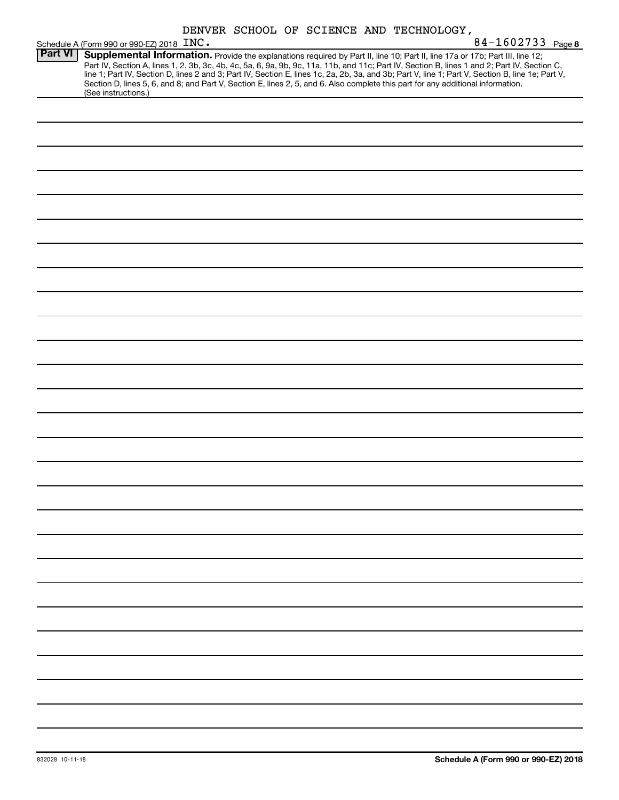|                                                                                        |  |  | DENVER SCHOOL OF SCIENCE AND TECHNOLOGY,                                                                                                                                                                                                                                                                                                                                                                                                                                                                                                                             |
|----------------------------------------------------------------------------------------|--|--|----------------------------------------------------------------------------------------------------------------------------------------------------------------------------------------------------------------------------------------------------------------------------------------------------------------------------------------------------------------------------------------------------------------------------------------------------------------------------------------------------------------------------------------------------------------------|
| Schedule A (Form 990 or 990-EZ) 2018 INC.<br><b>Part VI   Supplemental Information</b> |  |  | 84-1602733 Page 8                                                                                                                                                                                                                                                                                                                                                                                                                                                                                                                                                    |
| (See instructions.)                                                                    |  |  | Supplemental Information. Provide the explanations required by Part II, line 10; Part II, line 17a or 17b; Part III, line 12;<br>Part IV, Section A, lines 1, 2, 3b, 3c, 4b, 4c, 5a, 6, 9a, 9b, 9c, 11a, 11b, and 11c; Part IV, Section B, lines 1 and 2; Part IV, Section C,<br>line 1; Part IV, Section D, lines 2 and 3; Part IV, Section E, lines 1c, 2a, 2b, 3a, and 3b; Part V, line 1; Part V, Section B, line 1e; Part V,<br>Section D, lines 5, 6, and 8; and Part V, Section E, lines 2, 5, and 6. Also complete this part for any additional information. |
|                                                                                        |  |  |                                                                                                                                                                                                                                                                                                                                                                                                                                                                                                                                                                      |
|                                                                                        |  |  |                                                                                                                                                                                                                                                                                                                                                                                                                                                                                                                                                                      |
|                                                                                        |  |  |                                                                                                                                                                                                                                                                                                                                                                                                                                                                                                                                                                      |
|                                                                                        |  |  |                                                                                                                                                                                                                                                                                                                                                                                                                                                                                                                                                                      |
|                                                                                        |  |  |                                                                                                                                                                                                                                                                                                                                                                                                                                                                                                                                                                      |
|                                                                                        |  |  |                                                                                                                                                                                                                                                                                                                                                                                                                                                                                                                                                                      |
|                                                                                        |  |  |                                                                                                                                                                                                                                                                                                                                                                                                                                                                                                                                                                      |
|                                                                                        |  |  |                                                                                                                                                                                                                                                                                                                                                                                                                                                                                                                                                                      |
|                                                                                        |  |  |                                                                                                                                                                                                                                                                                                                                                                                                                                                                                                                                                                      |
|                                                                                        |  |  |                                                                                                                                                                                                                                                                                                                                                                                                                                                                                                                                                                      |
|                                                                                        |  |  |                                                                                                                                                                                                                                                                                                                                                                                                                                                                                                                                                                      |
|                                                                                        |  |  |                                                                                                                                                                                                                                                                                                                                                                                                                                                                                                                                                                      |
|                                                                                        |  |  |                                                                                                                                                                                                                                                                                                                                                                                                                                                                                                                                                                      |
|                                                                                        |  |  |                                                                                                                                                                                                                                                                                                                                                                                                                                                                                                                                                                      |
|                                                                                        |  |  |                                                                                                                                                                                                                                                                                                                                                                                                                                                                                                                                                                      |
|                                                                                        |  |  |                                                                                                                                                                                                                                                                                                                                                                                                                                                                                                                                                                      |
|                                                                                        |  |  |                                                                                                                                                                                                                                                                                                                                                                                                                                                                                                                                                                      |
|                                                                                        |  |  |                                                                                                                                                                                                                                                                                                                                                                                                                                                                                                                                                                      |
|                                                                                        |  |  |                                                                                                                                                                                                                                                                                                                                                                                                                                                                                                                                                                      |
|                                                                                        |  |  |                                                                                                                                                                                                                                                                                                                                                                                                                                                                                                                                                                      |
|                                                                                        |  |  |                                                                                                                                                                                                                                                                                                                                                                                                                                                                                                                                                                      |
|                                                                                        |  |  |                                                                                                                                                                                                                                                                                                                                                                                                                                                                                                                                                                      |
|                                                                                        |  |  |                                                                                                                                                                                                                                                                                                                                                                                                                                                                                                                                                                      |
|                                                                                        |  |  |                                                                                                                                                                                                                                                                                                                                                                                                                                                                                                                                                                      |
|                                                                                        |  |  |                                                                                                                                                                                                                                                                                                                                                                                                                                                                                                                                                                      |
|                                                                                        |  |  |                                                                                                                                                                                                                                                                                                                                                                                                                                                                                                                                                                      |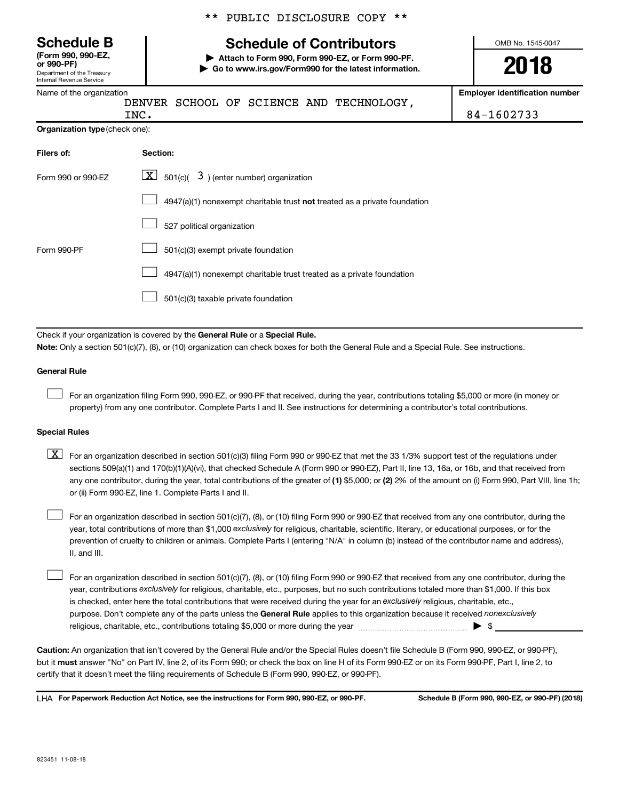Department of the Treasury **(Form 990, 990-EZ,**

|  |  | ** PUBLIC DISCLOSURE COPY ** |  |  |
|--|--|------------------------------|--|--|
|--|--|------------------------------|--|--|

## **Schedule B Schedule of Contributors**

**or 990-PF) | Attach to Form 990, Form 990-EZ, or Form 990-PF. | Go to www.irs.gov/Form990 for the latest information.** OMB No. 1545-0047

**2018**

| Department of the freasur<br>Internal Revenue Service                            |                                                                                                                                                                                                                                                                                  |  |                                       |  |  |  |  |
|----------------------------------------------------------------------------------|----------------------------------------------------------------------------------------------------------------------------------------------------------------------------------------------------------------------------------------------------------------------------------|--|---------------------------------------|--|--|--|--|
| Name of the organization                                                         | DENVER SCHOOL OF SCIENCE AND TECHNOLOGY,                                                                                                                                                                                                                                         |  | <b>Employer identification number</b> |  |  |  |  |
|                                                                                  | INC.                                                                                                                                                                                                                                                                             |  | 84-1602733                            |  |  |  |  |
| Organization type (check one):                                                   |                                                                                                                                                                                                                                                                                  |  |                                       |  |  |  |  |
| Filers of:                                                                       | Section:                                                                                                                                                                                                                                                                         |  |                                       |  |  |  |  |
| $\lfloor x \rfloor$ 501(c)( 3) (enter number) organization<br>Form 990 or 990-EZ |                                                                                                                                                                                                                                                                                  |  |                                       |  |  |  |  |
|                                                                                  | $4947(a)(1)$ nonexempt charitable trust not treated as a private foundation                                                                                                                                                                                                      |  |                                       |  |  |  |  |
|                                                                                  | 527 political organization                                                                                                                                                                                                                                                       |  |                                       |  |  |  |  |
| Form 990-PF                                                                      | 501(c)(3) exempt private foundation                                                                                                                                                                                                                                              |  |                                       |  |  |  |  |
|                                                                                  | 4947(a)(1) nonexempt charitable trust treated as a private foundation                                                                                                                                                                                                            |  |                                       |  |  |  |  |
|                                                                                  | 501(c)(3) taxable private foundation                                                                                                                                                                                                                                             |  |                                       |  |  |  |  |
|                                                                                  |                                                                                                                                                                                                                                                                                  |  |                                       |  |  |  |  |
|                                                                                  | Check if your organization is covered by the General Rule or a Special Rule.                                                                                                                                                                                                     |  |                                       |  |  |  |  |
|                                                                                  | Note: Only a section 501(c)(7), (8), or (10) organization can check boxes for both the General Rule and a Special Rule. See instructions.                                                                                                                                        |  |                                       |  |  |  |  |
| <b>General Rule</b>                                                              |                                                                                                                                                                                                                                                                                  |  |                                       |  |  |  |  |
|                                                                                  | For an organization filing Form 990, 990-EZ, or 990-PF that received, during the year, contributions totaling \$5,000 or more (in money or<br>property) from any one contributor. Complete Parts I and II. See instructions for determining a contributor's total contributions. |  |                                       |  |  |  |  |
| <b>Special Rules</b>                                                             |                                                                                                                                                                                                                                                                                  |  |                                       |  |  |  |  |

any one contributor, during the year, total contributions of the greater of (1) \$5,000; or (2) 2% of the amount on (i) Form 990, Part VIII, line 1h;  $\boxed{\text{X}}$  For an organization described in section 501(c)(3) filing Form 990 or 990-EZ that met the 33 1/3% support test of the regulations under sections 509(a)(1) and 170(b)(1)(A)(vi), that checked Schedule A (Form 990 or 990-EZ), Part II, line 13, 16a, or 16b, and that received from or (ii) Form 990-EZ, line 1. Complete Parts I and II.

year, total contributions of more than \$1,000 *exclusively* for religious, charitable, scientific, literary, or educational purposes, or for the For an organization described in section 501(c)(7), (8), or (10) filing Form 990 or 990-EZ that received from any one contributor, during the prevention of cruelty to children or animals. Complete Parts I (entering "N/A" in column (b) instead of the contributor name and address), II, and III.  $\Box$ 

purpose. Don't complete any of the parts unless the General Rule applies to this organization because it received nonexclusively year, contributions exclusively for religious, charitable, etc., purposes, but no such contributions totaled more than \$1,000. If this box is checked, enter here the total contributions that were received during the year for an exclusively religious, charitable, etc., For an organization described in section 501(c)(7), (8), or (10) filing Form 990 or 990-EZ that received from any one contributor, during the religious, charitable, etc., contributions totaling \$5,000 or more during the year  $~\ldots\ldots\ldots\ldots\ldots\ldots\ldots\ldots\ldots\blacktriangleright~$ \$  $\Box$ 

**Caution:**  An organization that isn't covered by the General Rule and/or the Special Rules doesn't file Schedule B (Form 990, 990-EZ, or 990-PF),  **must** but it answer "No" on Part IV, line 2, of its Form 990; or check the box on line H of its Form 990-EZ or on its Form 990-PF, Part I, line 2, to certify that it doesn't meet the filing requirements of Schedule B (Form 990, 990-EZ, or 990-PF).

**For Paperwork Reduction Act Notice, see the instructions for Form 990, 990-EZ, or 990-PF. Schedule B (Form 990, 990-EZ, or 990-PF) (2018)** LHA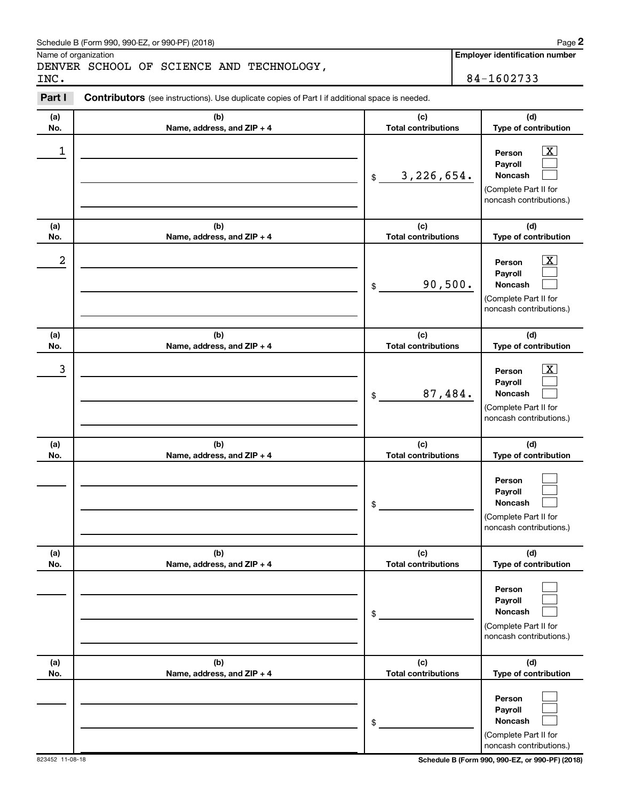|  | Page | Schedule B (Form 990, 990-EZ, or 990-PF) (2018) |
|--|------|-------------------------------------------------|
|--|------|-------------------------------------------------|

Name of organization

DENVER SCHOOL OF SCIENCE AND TECHNOLOGY, INC. 84-1602733

**Employer identification number**

#### **(a) No. (b) Name, address, and ZIP + 4 (c) Total contributions (d) Type of contribution Person Payroll Noncash (a) No. (b) Name, address, and ZIP + 4 (c) Total contributions (d) Type of contribution Person Payroll Noncash (a) No. (b) Name, address, and ZIP + 4 (c) Total contributions (d) Type of contribution Person Payroll Noncash (a) No. (b) Name, address, and ZIP + 4 (c) Total contributions (d) Type of contribution Person Payroll Noncash (a) No. (b) Name, address, and ZIP + 4 (c) Total contributions (d) Type of contribution Person Payroll Noncash (a) No. (b) Name, address, and ZIP + 4 (c) Total contributions (d) Type of contribution Person Payroll Noncash Part I** Contributors (see instructions). Use duplicate copies of Part I if additional space is needed. \$ (Complete Part II for noncash contributions.) \$ (Complete Part II for noncash contributions.) \$ (Complete Part II for noncash contributions.) \$ (Complete Part II for noncash contributions.) \$ (Complete Part II for noncash contributions.) \$ (Complete Part II for  $\boxed{\textbf{X}}$  $\Box$  $\Box$  $\overline{\mathbf{X}}$  $\Box$  $\Box$  $\boxed{\textbf{X}}$  $\Box$  $\Box$  $\Box$  $\Box$  $\Box$  $\Box$  $\Box$  $\Box$  $\Box$  $\Box$  $\Box$  $\begin{array}{|c|c|c|c|c|}\hline \ \text{1} & \text{Person} & \text{X} \ \hline \end{array}$ 3,226,654.  $2$  Person  $\overline{\text{X}}$ 90,500.  $\begin{array}{|c|c|c|c|c|c|}\hline \text{3} & \text{Person} & \text{X} \ \hline \end{array}$ 87,484.

noncash contributions.)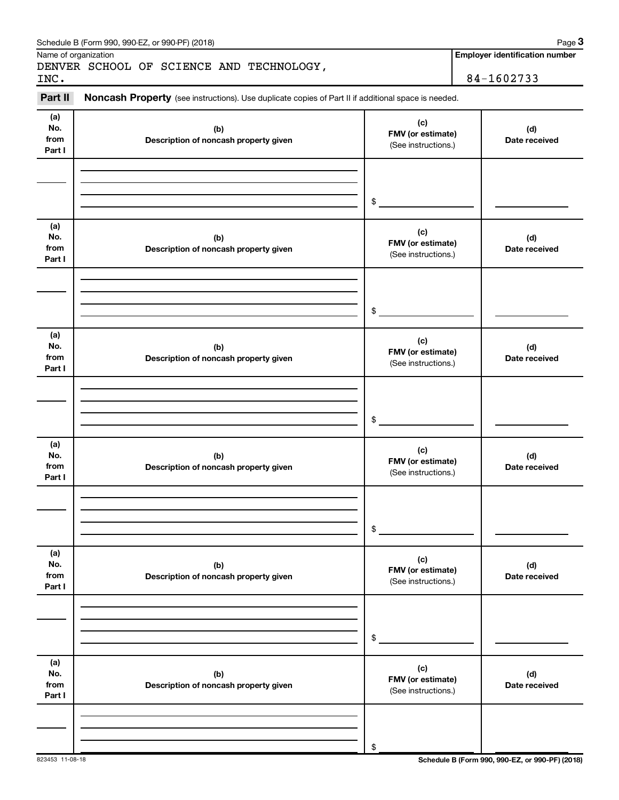|                              | Schedule B (Form 990, 990-EZ, or 990-PF) (2018)                                                     |                                                 | Page 3                                |
|------------------------------|-----------------------------------------------------------------------------------------------------|-------------------------------------------------|---------------------------------------|
| Name of organization         |                                                                                                     |                                                 | <b>Employer identification number</b> |
| INC.                         | DENVER SCHOOL OF SCIENCE AND TECHNOLOGY,                                                            |                                                 | 84-1602733                            |
| Part II                      | Noncash Property (see instructions). Use duplicate copies of Part II if additional space is needed. |                                                 |                                       |
| (a)<br>No.<br>from<br>Part I | (b)<br>Description of noncash property given                                                        | (c)<br>FMV (or estimate)<br>(See instructions.) | (d)<br>Date received                  |
|                              |                                                                                                     | \$                                              |                                       |
| (a)<br>No.<br>from<br>Part I | (b)<br>Description of noncash property given                                                        | (c)<br>FMV (or estimate)<br>(See instructions.) | (d)<br>Date received                  |
|                              |                                                                                                     | \$                                              |                                       |
| (a)<br>No.<br>from<br>Part I | (b)<br>Description of noncash property given                                                        | (c)<br>FMV (or estimate)<br>(See instructions.) | (d)<br>Date received                  |
|                              |                                                                                                     | \$                                              |                                       |
| (a)<br>No.<br>from<br>Part I | (b)<br>Description of noncash property given                                                        | (c)<br>FMV (or estimate)<br>(See instructions.) | (d)<br>Date received                  |
|                              |                                                                                                     | \$                                              |                                       |
| (a)<br>No.<br>from<br>Part I | (b)<br>Description of noncash property given                                                        | (c)<br>FMV (or estimate)<br>(See instructions.) | (d)<br>Date received                  |
|                              |                                                                                                     | \$                                              |                                       |
| (a)<br>No.<br>from<br>Part I | (b)<br>Description of noncash property given                                                        | (c)<br>FMV (or estimate)<br>(See instructions.) | (d)<br>Date received                  |
|                              |                                                                                                     | \$                                              |                                       |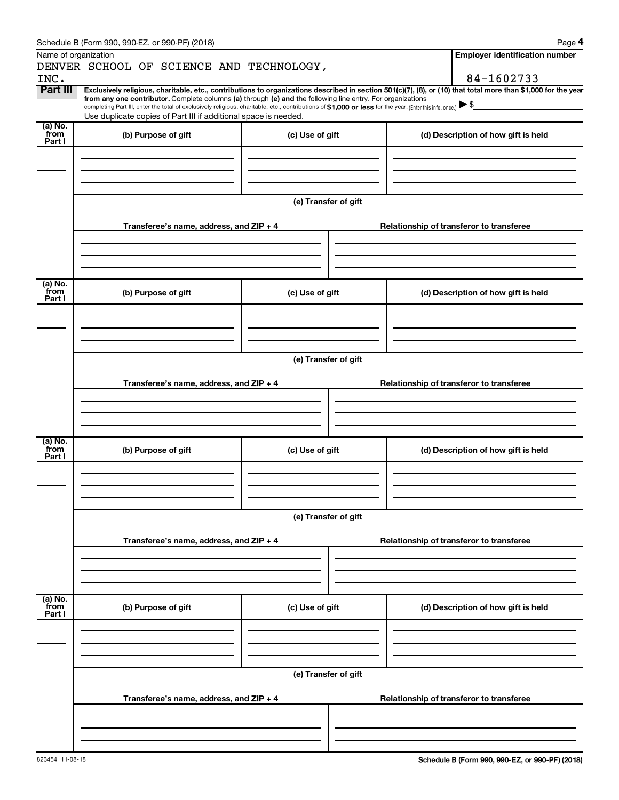|                           | Schedule B (Form 990, 990-EZ, or 990-PF) (2018)                                                                                                                                                                                                                                                                                                                                                                                                                                                                 |                      |                                          | Page 4                                   |  |  |  |
|---------------------------|-----------------------------------------------------------------------------------------------------------------------------------------------------------------------------------------------------------------------------------------------------------------------------------------------------------------------------------------------------------------------------------------------------------------------------------------------------------------------------------------------------------------|----------------------|------------------------------------------|------------------------------------------|--|--|--|
| Name of organization      |                                                                                                                                                                                                                                                                                                                                                                                                                                                                                                                 |                      |                                          | <b>Employer identification number</b>    |  |  |  |
|                           | DENVER SCHOOL OF SCIENCE AND TECHNOLOGY,                                                                                                                                                                                                                                                                                                                                                                                                                                                                        |                      |                                          |                                          |  |  |  |
| INC.                      |                                                                                                                                                                                                                                                                                                                                                                                                                                                                                                                 |                      |                                          | 84-1602733                               |  |  |  |
| Part III                  | Exclusively religious, charitable, etc., contributions to organizations described in section 501(c)(7), (8), or (10) that total more than \$1,000 for the year<br>from any one contributor. Complete columns (a) through (e) and the following line entry. For organizations<br>completing Part III, enter the total of exclusively religious, charitable, etc., contributions of \$1,000 or less for the year. (Enter this info. once.) \\$<br>Use duplicate copies of Part III if additional space is needed. |                      |                                          |                                          |  |  |  |
| (a) No.                   |                                                                                                                                                                                                                                                                                                                                                                                                                                                                                                                 |                      |                                          |                                          |  |  |  |
| from<br>Part I            | (b) Purpose of gift                                                                                                                                                                                                                                                                                                                                                                                                                                                                                             | (c) Use of gift      |                                          | (d) Description of how gift is held      |  |  |  |
|                           |                                                                                                                                                                                                                                                                                                                                                                                                                                                                                                                 |                      |                                          |                                          |  |  |  |
|                           |                                                                                                                                                                                                                                                                                                                                                                                                                                                                                                                 |                      |                                          |                                          |  |  |  |
|                           |                                                                                                                                                                                                                                                                                                                                                                                                                                                                                                                 | (e) Transfer of gift |                                          |                                          |  |  |  |
|                           | Transferee's name, address, and ZIP + 4                                                                                                                                                                                                                                                                                                                                                                                                                                                                         |                      |                                          | Relationship of transferor to transferee |  |  |  |
|                           |                                                                                                                                                                                                                                                                                                                                                                                                                                                                                                                 |                      |                                          |                                          |  |  |  |
|                           |                                                                                                                                                                                                                                                                                                                                                                                                                                                                                                                 |                      |                                          |                                          |  |  |  |
| (a) No.<br>from<br>Part I | (b) Purpose of gift                                                                                                                                                                                                                                                                                                                                                                                                                                                                                             | (c) Use of gift      |                                          | (d) Description of how gift is held      |  |  |  |
|                           |                                                                                                                                                                                                                                                                                                                                                                                                                                                                                                                 |                      |                                          |                                          |  |  |  |
|                           |                                                                                                                                                                                                                                                                                                                                                                                                                                                                                                                 |                      |                                          |                                          |  |  |  |
|                           | (e) Transfer of gift                                                                                                                                                                                                                                                                                                                                                                                                                                                                                            |                      |                                          |                                          |  |  |  |
|                           | Transferee's name, address, and $ZIP + 4$                                                                                                                                                                                                                                                                                                                                                                                                                                                                       |                      |                                          | Relationship of transferor to transferee |  |  |  |
|                           |                                                                                                                                                                                                                                                                                                                                                                                                                                                                                                                 |                      |                                          |                                          |  |  |  |
|                           |                                                                                                                                                                                                                                                                                                                                                                                                                                                                                                                 |                      |                                          |                                          |  |  |  |
| (a) No.<br>from<br>Part I | (b) Purpose of gift                                                                                                                                                                                                                                                                                                                                                                                                                                                                                             | (c) Use of gift      |                                          | (d) Description of how gift is held      |  |  |  |
|                           |                                                                                                                                                                                                                                                                                                                                                                                                                                                                                                                 |                      |                                          |                                          |  |  |  |
|                           |                                                                                                                                                                                                                                                                                                                                                                                                                                                                                                                 |                      |                                          |                                          |  |  |  |
|                           | (e) Transfer of gift                                                                                                                                                                                                                                                                                                                                                                                                                                                                                            |                      |                                          |                                          |  |  |  |
|                           | Transferee's name, address, and $ZIP + 4$                                                                                                                                                                                                                                                                                                                                                                                                                                                                       |                      | Relationship of transferor to transferee |                                          |  |  |  |
|                           |                                                                                                                                                                                                                                                                                                                                                                                                                                                                                                                 |                      |                                          |                                          |  |  |  |
|                           |                                                                                                                                                                                                                                                                                                                                                                                                                                                                                                                 |                      |                                          |                                          |  |  |  |
| (a) No.<br>from           | (b) Purpose of gift                                                                                                                                                                                                                                                                                                                                                                                                                                                                                             | (c) Use of gift      |                                          | (d) Description of how gift is held      |  |  |  |
| Part I                    |                                                                                                                                                                                                                                                                                                                                                                                                                                                                                                                 |                      |                                          |                                          |  |  |  |
|                           |                                                                                                                                                                                                                                                                                                                                                                                                                                                                                                                 |                      |                                          |                                          |  |  |  |
|                           |                                                                                                                                                                                                                                                                                                                                                                                                                                                                                                                 |                      |                                          |                                          |  |  |  |
|                           |                                                                                                                                                                                                                                                                                                                                                                                                                                                                                                                 | (e) Transfer of gift |                                          |                                          |  |  |  |
|                           | Transferee's name, address, and ZIP + 4                                                                                                                                                                                                                                                                                                                                                                                                                                                                         |                      |                                          | Relationship of transferor to transferee |  |  |  |
|                           |                                                                                                                                                                                                                                                                                                                                                                                                                                                                                                                 |                      |                                          |                                          |  |  |  |
|                           |                                                                                                                                                                                                                                                                                                                                                                                                                                                                                                                 |                      |                                          |                                          |  |  |  |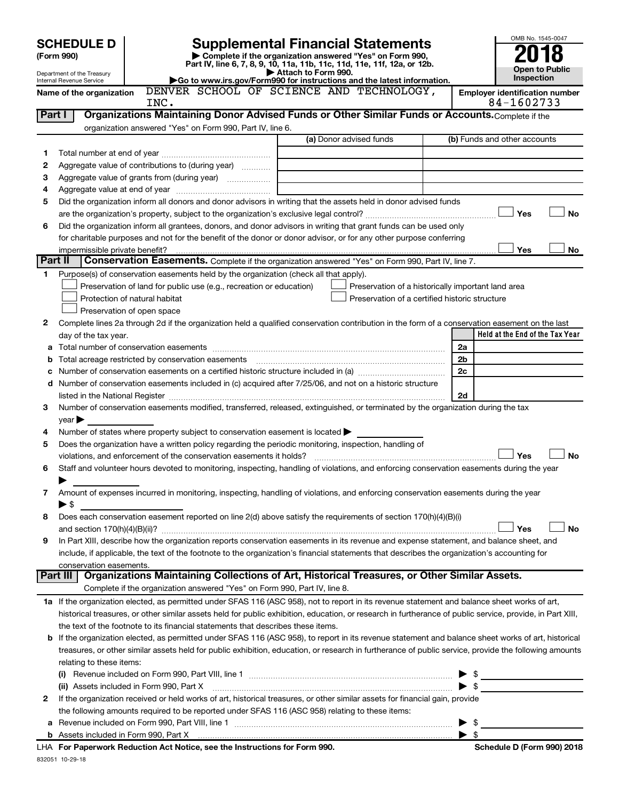|         | <b>SCHEDULE D</b>                                      |                                                                                                        | <b>Supplemental Financial Statements</b>                                                                                                                                                                                                                                                                   |    | OMB No. 1545-0047                                                                                                                                                                                                                                                                                                   |           |  |  |  |  |
|---------|--------------------------------------------------------|--------------------------------------------------------------------------------------------------------|------------------------------------------------------------------------------------------------------------------------------------------------------------------------------------------------------------------------------------------------------------------------------------------------------------|----|---------------------------------------------------------------------------------------------------------------------------------------------------------------------------------------------------------------------------------------------------------------------------------------------------------------------|-----------|--|--|--|--|
|         | (Form 990)                                             |                                                                                                        | Complete if the organization answered "Yes" on Form 990,                                                                                                                                                                                                                                                   |    |                                                                                                                                                                                                                                                                                                                     |           |  |  |  |  |
|         |                                                        |                                                                                                        | Part IV, line 6, 7, 8, 9, 10, 11a, 11b, 11c, 11d, 11e, 11f, 12a, or 12b.<br>Attach to Form 990.                                                                                                                                                                                                            |    | <b>Open to Public</b>                                                                                                                                                                                                                                                                                               |           |  |  |  |  |
|         | Department of the Treasury<br>Internal Revenue Service |                                                                                                        | Go to www.irs.gov/Form990 for instructions and the latest information.                                                                                                                                                                                                                                     |    | Inspection                                                                                                                                                                                                                                                                                                          |           |  |  |  |  |
|         | Name of the organization                               | INC.                                                                                                   | DENVER SCHOOL OF SCIENCE AND TECHNOLOGY,                                                                                                                                                                                                                                                                   |    | <b>Employer identification number</b><br>84-1602733                                                                                                                                                                                                                                                                 |           |  |  |  |  |
| Part I  |                                                        |                                                                                                        | Organizations Maintaining Donor Advised Funds or Other Similar Funds or Accounts. Complete if the                                                                                                                                                                                                          |    |                                                                                                                                                                                                                                                                                                                     |           |  |  |  |  |
|         |                                                        | organization answered "Yes" on Form 990, Part IV, line 6.                                              |                                                                                                                                                                                                                                                                                                            |    |                                                                                                                                                                                                                                                                                                                     |           |  |  |  |  |
|         |                                                        |                                                                                                        | (a) Donor advised funds                                                                                                                                                                                                                                                                                    |    | (b) Funds and other accounts                                                                                                                                                                                                                                                                                        |           |  |  |  |  |
| 1       |                                                        |                                                                                                        |                                                                                                                                                                                                                                                                                                            |    |                                                                                                                                                                                                                                                                                                                     |           |  |  |  |  |
| 2       |                                                        | Aggregate value of contributions to (during year)                                                      |                                                                                                                                                                                                                                                                                                            |    |                                                                                                                                                                                                                                                                                                                     |           |  |  |  |  |
| З       | Aggregate value of grants from (during year)           |                                                                                                        |                                                                                                                                                                                                                                                                                                            |    |                                                                                                                                                                                                                                                                                                                     |           |  |  |  |  |
| 4       |                                                        |                                                                                                        |                                                                                                                                                                                                                                                                                                            |    |                                                                                                                                                                                                                                                                                                                     |           |  |  |  |  |
| 5       |                                                        |                                                                                                        | Did the organization inform all donors and donor advisors in writing that the assets held in donor advised funds                                                                                                                                                                                           |    | Yes                                                                                                                                                                                                                                                                                                                 | No        |  |  |  |  |
| 6       |                                                        |                                                                                                        | Did the organization inform all grantees, donors, and donor advisors in writing that grant funds can be used only                                                                                                                                                                                          |    |                                                                                                                                                                                                                                                                                                                     |           |  |  |  |  |
|         |                                                        |                                                                                                        | for charitable purposes and not for the benefit of the donor or donor advisor, or for any other purpose conferring                                                                                                                                                                                         |    |                                                                                                                                                                                                                                                                                                                     |           |  |  |  |  |
|         | impermissible private benefit?                         |                                                                                                        |                                                                                                                                                                                                                                                                                                            |    | Yes                                                                                                                                                                                                                                                                                                                 | No        |  |  |  |  |
| Part II |                                                        |                                                                                                        | Conservation Easements. Complete if the organization answered "Yes" on Form 990, Part IV, line 7.                                                                                                                                                                                                          |    |                                                                                                                                                                                                                                                                                                                     |           |  |  |  |  |
| 1       |                                                        | Purpose(s) of conservation easements held by the organization (check all that apply).                  |                                                                                                                                                                                                                                                                                                            |    |                                                                                                                                                                                                                                                                                                                     |           |  |  |  |  |
|         |                                                        | Preservation of land for public use (e.g., recreation or education)                                    | Preservation of a historically important land area                                                                                                                                                                                                                                                         |    |                                                                                                                                                                                                                                                                                                                     |           |  |  |  |  |
|         |                                                        | Protection of natural habitat                                                                          | Preservation of a certified historic structure                                                                                                                                                                                                                                                             |    |                                                                                                                                                                                                                                                                                                                     |           |  |  |  |  |
|         |                                                        | Preservation of open space                                                                             |                                                                                                                                                                                                                                                                                                            |    |                                                                                                                                                                                                                                                                                                                     |           |  |  |  |  |
| 2       |                                                        |                                                                                                        | Complete lines 2a through 2d if the organization held a qualified conservation contribution in the form of a conservation easement on the last                                                                                                                                                             |    |                                                                                                                                                                                                                                                                                                                     |           |  |  |  |  |
|         | day of the tax year.                                   |                                                                                                        |                                                                                                                                                                                                                                                                                                            |    | Held at the End of the Tax Year                                                                                                                                                                                                                                                                                     |           |  |  |  |  |
| a       |                                                        |                                                                                                        |                                                                                                                                                                                                                                                                                                            | 2a |                                                                                                                                                                                                                                                                                                                     |           |  |  |  |  |
| b       |                                                        |                                                                                                        |                                                                                                                                                                                                                                                                                                            | 2b |                                                                                                                                                                                                                                                                                                                     |           |  |  |  |  |
| с       |                                                        | 2c                                                                                                     |                                                                                                                                                                                                                                                                                                            |    |                                                                                                                                                                                                                                                                                                                     |           |  |  |  |  |
| d       |                                                        |                                                                                                        | Number of conservation easements included in (c) acquired after 7/25/06, and not on a historic structure                                                                                                                                                                                                   |    |                                                                                                                                                                                                                                                                                                                     |           |  |  |  |  |
|         |                                                        |                                                                                                        |                                                                                                                                                                                                                                                                                                            | 2d |                                                                                                                                                                                                                                                                                                                     |           |  |  |  |  |
| 3       |                                                        |                                                                                                        | Number of conservation easements modified, transferred, released, extinguished, or terminated by the organization during the tax                                                                                                                                                                           |    |                                                                                                                                                                                                                                                                                                                     |           |  |  |  |  |
| 4       | $year \triangleright$                                  | Number of states where property subject to conservation easement is located $\blacktriangleright$      |                                                                                                                                                                                                                                                                                                            |    |                                                                                                                                                                                                                                                                                                                     |           |  |  |  |  |
| 5       |                                                        | Does the organization have a written policy regarding the periodic monitoring, inspection, handling of |                                                                                                                                                                                                                                                                                                            |    |                                                                                                                                                                                                                                                                                                                     |           |  |  |  |  |
|         |                                                        | violations, and enforcement of the conservation easements it holds?                                    |                                                                                                                                                                                                                                                                                                            |    | Yes                                                                                                                                                                                                                                                                                                                 | <b>No</b> |  |  |  |  |
| 6       |                                                        |                                                                                                        | Staff and volunteer hours devoted to monitoring, inspecting, handling of violations, and enforcing conservation easements during the year                                                                                                                                                                  |    |                                                                                                                                                                                                                                                                                                                     |           |  |  |  |  |
|         |                                                        |                                                                                                        |                                                                                                                                                                                                                                                                                                            |    |                                                                                                                                                                                                                                                                                                                     |           |  |  |  |  |
| 7       |                                                        |                                                                                                        | Amount of expenses incurred in monitoring, inspecting, handling of violations, and enforcing conservation easements during the year                                                                                                                                                                        |    |                                                                                                                                                                                                                                                                                                                     |           |  |  |  |  |
|         | $\blacktriangleright$ \$                               |                                                                                                        |                                                                                                                                                                                                                                                                                                            |    |                                                                                                                                                                                                                                                                                                                     |           |  |  |  |  |
| 8       |                                                        |                                                                                                        | Does each conservation easement reported on line 2(d) above satisfy the requirements of section 170(h)(4)(B)(i)                                                                                                                                                                                            |    |                                                                                                                                                                                                                                                                                                                     |           |  |  |  |  |
|         |                                                        |                                                                                                        |                                                                                                                                                                                                                                                                                                            |    | Yes                                                                                                                                                                                                                                                                                                                 | No        |  |  |  |  |
| 9       |                                                        |                                                                                                        | In Part XIII, describe how the organization reports conservation easements in its revenue and expense statement, and balance sheet, and                                                                                                                                                                    |    |                                                                                                                                                                                                                                                                                                                     |           |  |  |  |  |
|         |                                                        |                                                                                                        | include, if applicable, the text of the footnote to the organization's financial statements that describes the organization's accounting for                                                                                                                                                               |    |                                                                                                                                                                                                                                                                                                                     |           |  |  |  |  |
|         | conservation easements.<br>Part III                    |                                                                                                        | Organizations Maintaining Collections of Art, Historical Treasures, or Other Similar Assets.                                                                                                                                                                                                               |    |                                                                                                                                                                                                                                                                                                                     |           |  |  |  |  |
|         |                                                        | Complete if the organization answered "Yes" on Form 990, Part IV, line 8.                              |                                                                                                                                                                                                                                                                                                            |    |                                                                                                                                                                                                                                                                                                                     |           |  |  |  |  |
|         |                                                        |                                                                                                        |                                                                                                                                                                                                                                                                                                            |    |                                                                                                                                                                                                                                                                                                                     |           |  |  |  |  |
|         |                                                        |                                                                                                        | 1a If the organization elected, as permitted under SFAS 116 (ASC 958), not to report in its revenue statement and balance sheet works of art,<br>historical treasures, or other similar assets held for public exhibition, education, or research in furtherance of public service, provide, in Part XIII, |    |                                                                                                                                                                                                                                                                                                                     |           |  |  |  |  |
|         |                                                        | the text of the footnote to its financial statements that describes these items.                       |                                                                                                                                                                                                                                                                                                            |    |                                                                                                                                                                                                                                                                                                                     |           |  |  |  |  |
| b       |                                                        |                                                                                                        | If the organization elected, as permitted under SFAS 116 (ASC 958), to report in its revenue statement and balance sheet works of art, historical                                                                                                                                                          |    |                                                                                                                                                                                                                                                                                                                     |           |  |  |  |  |
|         |                                                        |                                                                                                        | treasures, or other similar assets held for public exhibition, education, or research in furtherance of public service, provide the following amounts                                                                                                                                                      |    |                                                                                                                                                                                                                                                                                                                     |           |  |  |  |  |
|         | relating to these items:                               |                                                                                                        |                                                                                                                                                                                                                                                                                                            |    |                                                                                                                                                                                                                                                                                                                     |           |  |  |  |  |
|         |                                                        |                                                                                                        |                                                                                                                                                                                                                                                                                                            |    | $\frac{1}{2}$ $\frac{1}{2}$ $\frac{1}{2}$ $\frac{1}{2}$ $\frac{1}{2}$ $\frac{1}{2}$ $\frac{1}{2}$ $\frac{1}{2}$ $\frac{1}{2}$ $\frac{1}{2}$ $\frac{1}{2}$ $\frac{1}{2}$ $\frac{1}{2}$ $\frac{1}{2}$ $\frac{1}{2}$ $\frac{1}{2}$ $\frac{1}{2}$ $\frac{1}{2}$ $\frac{1}{2}$ $\frac{1}{2}$ $\frac{1}{2}$ $\frac{1}{2}$ |           |  |  |  |  |
|         |                                                        | (ii) Assets included in Form 990, Part X                                                               |                                                                                                                                                                                                                                                                                                            |    | $\triangleright$ \$                                                                                                                                                                                                                                                                                                 |           |  |  |  |  |
| 2       |                                                        |                                                                                                        | If the organization received or held works of art, historical treasures, or other similar assets for financial gain, provide                                                                                                                                                                               |    |                                                                                                                                                                                                                                                                                                                     |           |  |  |  |  |
|         |                                                        | the following amounts required to be reported under SFAS 116 (ASC 958) relating to these items:        |                                                                                                                                                                                                                                                                                                            |    |                                                                                                                                                                                                                                                                                                                     |           |  |  |  |  |
| а       |                                                        |                                                                                                        |                                                                                                                                                                                                                                                                                                            |    | - \$                                                                                                                                                                                                                                                                                                                |           |  |  |  |  |
|         |                                                        |                                                                                                        |                                                                                                                                                                                                                                                                                                            |    | $\blacktriangleright$ \$                                                                                                                                                                                                                                                                                            |           |  |  |  |  |

| LHA For Paperwork Reduction Act Notice, see the Instructions for Form 990. |
|----------------------------------------------------------------------------|
| 832051 10-29-18                                                            |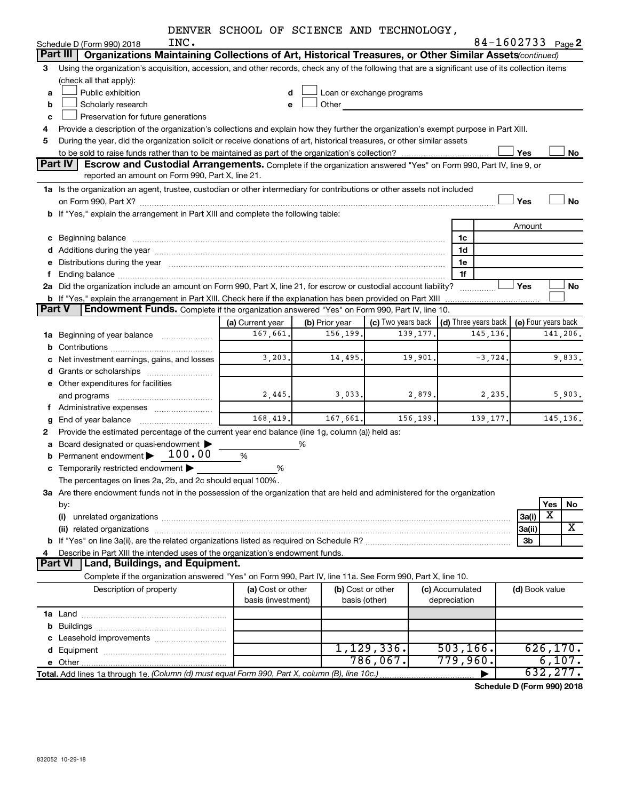|  |  | DENVER SCHOOL OF SCIENCE AND TECHNOLOGY, |
|--|--|------------------------------------------|
|  |  |                                          |

|               |                                                                                                                                                                                                                                | DENVER SCHOOL OF SCIENCE AND TECHNOLOGY, |                |                           |                 |                      |                     |           |           |
|---------------|--------------------------------------------------------------------------------------------------------------------------------------------------------------------------------------------------------------------------------|------------------------------------------|----------------|---------------------------|-----------------|----------------------|---------------------|-----------|-----------|
|               | INC.<br>Schedule D (Form 990) 2018                                                                                                                                                                                             |                                          |                |                           |                 | 84-1602733           |                     | Page 2    |           |
|               | Organizations Maintaining Collections of Art, Historical Treasures, or Other Similar Assets (continued)<br><b>Part III</b>                                                                                                     |                                          |                |                           |                 |                      |                     |           |           |
| 3             | Using the organization's acquisition, accession, and other records, check any of the following that are a significant use of its collection items                                                                              |                                          |                |                           |                 |                      |                     |           |           |
|               | (check all that apply):                                                                                                                                                                                                        |                                          |                |                           |                 |                      |                     |           |           |
| a             | Public exhibition                                                                                                                                                                                                              | d                                        |                | Loan or exchange programs |                 |                      |                     |           |           |
| b             | Scholarly research                                                                                                                                                                                                             | e                                        | Other          |                           |                 |                      |                     |           |           |
| c             | Preservation for future generations                                                                                                                                                                                            |                                          |                |                           |                 |                      |                     |           |           |
| 4             | Provide a description of the organization's collections and explain how they further the organization's exempt purpose in Part XIII.                                                                                           |                                          |                |                           |                 |                      |                     |           |           |
| 5             | During the year, did the organization solicit or receive donations of art, historical treasures, or other similar assets                                                                                                       |                                          |                |                           |                 |                      |                     |           |           |
|               |                                                                                                                                                                                                                                |                                          |                |                           |                 |                      | Yes                 |           | No        |
|               | Part IV<br>Escrow and Custodial Arrangements. Complete if the organization answered "Yes" on Form 990, Part IV, line 9, or                                                                                                     |                                          |                |                           |                 |                      |                     |           |           |
|               | reported an amount on Form 990, Part X, line 21.                                                                                                                                                                               |                                          |                |                           |                 |                      |                     |           |           |
|               | 1a Is the organization an agent, trustee, custodian or other intermediary for contributions or other assets not included                                                                                                       |                                          |                |                           |                 |                      |                     |           |           |
|               |                                                                                                                                                                                                                                |                                          |                |                           |                 |                      | Yes                 |           | <b>No</b> |
|               | b If "Yes," explain the arrangement in Part XIII and complete the following table:                                                                                                                                             |                                          |                |                           |                 |                      |                     |           |           |
|               |                                                                                                                                                                                                                                |                                          |                |                           |                 |                      | Amount              |           |           |
|               | c Beginning balance                                                                                                                                                                                                            |                                          |                |                           |                 | 1c                   |                     |           |           |
|               |                                                                                                                                                                                                                                |                                          |                |                           |                 | 1d                   |                     |           |           |
|               | e Distributions during the year manufactured and continuum and contact the year manufactured and contact the year manufactured and contact the year manufactured and contact the year manufactured and contact the year manufa |                                          |                |                           |                 | 1e                   |                     |           |           |
| f             |                                                                                                                                                                                                                                |                                          |                |                           |                 | 1f                   |                     |           |           |
|               | 2a Did the organization include an amount on Form 990, Part X, line 21, for escrow or custodial account liability?                                                                                                             |                                          |                |                           |                 |                      | Yes                 |           | No        |
|               | b If "Yes," explain the arrangement in Part XIII. Check here if the explanation has been provided on Part XIII                                                                                                                 |                                          |                |                           |                 |                      |                     |           |           |
| <b>Part V</b> | Endowment Funds. Complete if the organization answered "Yes" on Form 990, Part IV, line 10.                                                                                                                                    |                                          |                |                           |                 |                      |                     |           |           |
|               |                                                                                                                                                                                                                                | (a) Current year                         | (b) Prior year | (c) Two years back        |                 | (d) Three years back | (e) Four years back |           |           |
|               | 1a Beginning of year balance                                                                                                                                                                                                   | 167,661.                                 | 156,199.       | 139, 177.                 |                 | 145,136.             |                     | 141,206.  |           |
|               |                                                                                                                                                                                                                                |                                          |                |                           |                 |                      |                     |           |           |
|               | c Net investment earnings, gains, and losses                                                                                                                                                                                   | 3,203.                                   | 14,495.        | 19,901.                   |                 | $-3,724.$            |                     | 9,833.    |           |
|               |                                                                                                                                                                                                                                |                                          |                |                           |                 |                      |                     |           |           |
|               | e Other expenditures for facilities                                                                                                                                                                                            |                                          |                |                           |                 |                      |                     |           |           |
|               | and programs                                                                                                                                                                                                                   | 2,445.                                   | 3,033.         | 2,879.                    |                 | 2,235.               |                     |           | 5,903.    |
|               |                                                                                                                                                                                                                                |                                          |                |                           |                 |                      |                     |           |           |
| g             |                                                                                                                                                                                                                                | 168, 419.                                | 167,661.       | 156,199.                  |                 | 139, 177.            |                     | 145,136.  |           |
| 2             | Provide the estimated percentage of the current year end balance (line 1g, column (a)) held as:                                                                                                                                |                                          |                |                           |                 |                      |                     |           |           |
|               | a Board designated or quasi-endowment >                                                                                                                                                                                        |                                          | %              |                           |                 |                      |                     |           |           |
|               | 100.00<br><b>b</b> Permanent endowment $\blacktriangleright$                                                                                                                                                                   | %                                        |                |                           |                 |                      |                     |           |           |
|               | c Temporarily restricted endowment                                                                                                                                                                                             | %                                        |                |                           |                 |                      |                     |           |           |
|               | The percentages on lines 2a, 2b, and 2c should equal 100%                                                                                                                                                                      |                                          |                |                           |                 |                      |                     |           |           |
|               | 3a Are there endowment funds not in the possession of the organization that are held and administered for the organization                                                                                                     |                                          |                |                           |                 |                      |                     |           |           |
|               | by:                                                                                                                                                                                                                            |                                          |                |                           |                 |                      |                     | Yes       | No        |
|               | (i)                                                                                                                                                                                                                            |                                          |                |                           |                 |                      | 3a(i)               | х         |           |
|               |                                                                                                                                                                                                                                |                                          |                |                           |                 |                      | 3a(ii)              |           | X.        |
|               |                                                                                                                                                                                                                                |                                          |                |                           |                 |                      | 3 <sub>b</sub>      |           |           |
| 4             | Describe in Part XIII the intended uses of the organization's endowment funds.                                                                                                                                                 |                                          |                |                           |                 |                      |                     |           |           |
|               | Land, Buildings, and Equipment.<br><b>Part VI</b>                                                                                                                                                                              |                                          |                |                           |                 |                      |                     |           |           |
|               | Complete if the organization answered "Yes" on Form 990, Part IV, line 11a. See Form 990, Part X, line 10.                                                                                                                     |                                          |                |                           |                 |                      |                     |           |           |
|               | Description of property                                                                                                                                                                                                        | (a) Cost or other                        |                | (b) Cost or other         | (c) Accumulated |                      | (d) Book value      |           |           |
|               |                                                                                                                                                                                                                                | basis (investment)                       |                | basis (other)             | depreciation    |                      |                     |           |           |
|               |                                                                                                                                                                                                                                |                                          |                |                           |                 |                      |                     |           |           |
|               |                                                                                                                                                                                                                                |                                          |                |                           |                 |                      |                     |           |           |
|               |                                                                                                                                                                                                                                |                                          |                |                           |                 |                      |                     |           |           |
|               |                                                                                                                                                                                                                                |                                          |                | 1, 129, 336.              |                 | 503, 166.            |                     | 626, 170. |           |
|               |                                                                                                                                                                                                                                |                                          |                | $786,067$ .               |                 | 779,960 <b>.</b>     |                     | 6,107.    |           |
|               | Total. Add lines 1a through 1e. (Column (d) must equal Form 990, Part X, column (B), line 10c.)                                                                                                                                |                                          |                |                           |                 |                      |                     | 632,277.  |           |

**Schedule D (Form 990) 2018**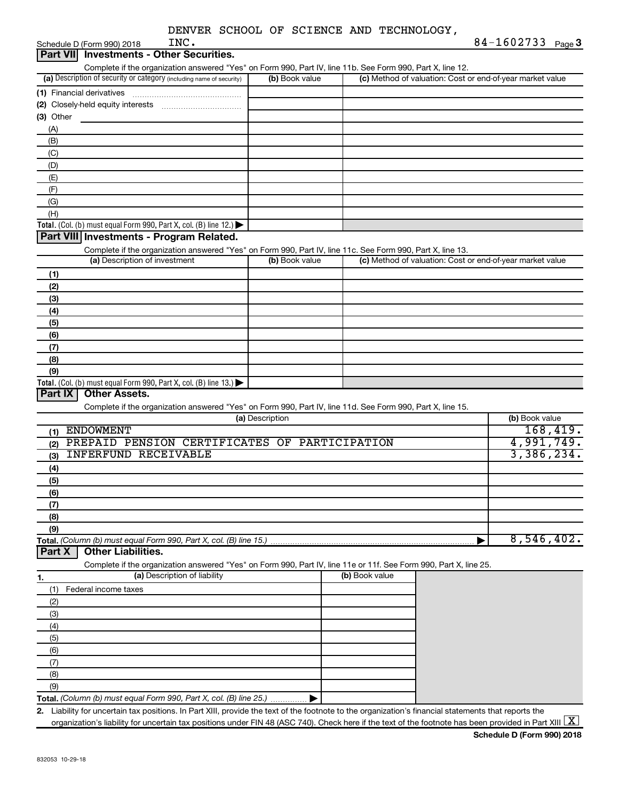| DENVER SCHOOL OF SCIENCE AND TECHNOLOGY, |  |
|------------------------------------------|--|
|------------------------------------------|--|

| INC.<br>Schedule D (Form 990) 2018                                                                                                                |                 |                |                                                           | 84-1602733 Page 3 |
|---------------------------------------------------------------------------------------------------------------------------------------------------|-----------------|----------------|-----------------------------------------------------------|-------------------|
| Part VII Investments - Other Securities.                                                                                                          |                 |                |                                                           |                   |
| Complete if the organization answered "Yes" on Form 990, Part IV, line 11b. See Form 990, Part X, line 12.                                        |                 |                |                                                           |                   |
| (a) Description of security or category (including name of security)                                                                              | (b) Book value  |                | (c) Method of valuation: Cost or end-of-year market value |                   |
| (1) Financial derivatives                                                                                                                         |                 |                |                                                           |                   |
|                                                                                                                                                   |                 |                |                                                           |                   |
| (3) Other                                                                                                                                         |                 |                |                                                           |                   |
| (A)                                                                                                                                               |                 |                |                                                           |                   |
| (B)                                                                                                                                               |                 |                |                                                           |                   |
| (C)                                                                                                                                               |                 |                |                                                           |                   |
| (D)                                                                                                                                               |                 |                |                                                           |                   |
| (E)                                                                                                                                               |                 |                |                                                           |                   |
| (F)                                                                                                                                               |                 |                |                                                           |                   |
| (G)                                                                                                                                               |                 |                |                                                           |                   |
| (H)                                                                                                                                               |                 |                |                                                           |                   |
| Total. (Col. (b) must equal Form 990, Part X, col. (B) line 12.)                                                                                  |                 |                |                                                           |                   |
| Part VIII Investments - Program Related.                                                                                                          |                 |                |                                                           |                   |
| Complete if the organization answered "Yes" on Form 990, Part IV, line 11c. See Form 990, Part X, line 13.                                        |                 |                |                                                           |                   |
| (a) Description of investment                                                                                                                     | (b) Book value  |                | (c) Method of valuation: Cost or end-of-year market value |                   |
| (1)                                                                                                                                               |                 |                |                                                           |                   |
| (2)                                                                                                                                               |                 |                |                                                           |                   |
| (3)                                                                                                                                               |                 |                |                                                           |                   |
| (4)                                                                                                                                               |                 |                |                                                           |                   |
| (5)                                                                                                                                               |                 |                |                                                           |                   |
| (6)                                                                                                                                               |                 |                |                                                           |                   |
| (7)                                                                                                                                               |                 |                |                                                           |                   |
| (8)                                                                                                                                               |                 |                |                                                           |                   |
| (9)                                                                                                                                               |                 |                |                                                           |                   |
| Total. (Col. (b) must equal Form 990, Part X, col. (B) line 13.)                                                                                  |                 |                |                                                           |                   |
| <b>Other Assets.</b><br>Part IX                                                                                                                   |                 |                |                                                           |                   |
| Complete if the organization answered "Yes" on Form 990, Part IV, line 11d. See Form 990, Part X, line 15.                                        |                 |                |                                                           |                   |
|                                                                                                                                                   | (a) Description |                |                                                           | (b) Book value    |
| <b>ENDOWMENT</b><br>(1)                                                                                                                           |                 |                |                                                           | 168,419.          |
| PREPAID PENSION CERTIFICATES OF PARTICIPATION<br>(2)                                                                                              |                 |                |                                                           | 4,991,749.        |
| <b>INFERFUND RECEIVABLE</b><br>(3)                                                                                                                |                 |                |                                                           | 3,386,234.        |
| (4)                                                                                                                                               |                 |                |                                                           |                   |
| (5)                                                                                                                                               |                 |                |                                                           |                   |
|                                                                                                                                                   |                 |                |                                                           |                   |
| (6)<br>(7)                                                                                                                                        |                 |                |                                                           |                   |
|                                                                                                                                                   |                 |                |                                                           |                   |
| (8)                                                                                                                                               |                 |                |                                                           |                   |
| (9)                                                                                                                                               |                 |                |                                                           | 8,546,402.        |
| Total. (Column (b) must equal Form 990, Part X, col. (B) line 15.)<br><b>Other Liabilities.</b><br>Part X                                         |                 |                |                                                           |                   |
|                                                                                                                                                   |                 |                |                                                           |                   |
| Complete if the organization answered "Yes" on Form 990, Part IV, line 11e or 11f. See Form 990, Part X, line 25.<br>(a) Description of liability |                 | (b) Book value |                                                           |                   |
| 1.                                                                                                                                                |                 |                |                                                           |                   |
| Federal income taxes<br>(1)                                                                                                                       |                 |                |                                                           |                   |
| (2)                                                                                                                                               |                 |                |                                                           |                   |
| (3)                                                                                                                                               |                 |                |                                                           |                   |
| (4)                                                                                                                                               |                 |                |                                                           |                   |
| (5)                                                                                                                                               |                 |                |                                                           |                   |
| (6)                                                                                                                                               |                 |                |                                                           |                   |
| (7)                                                                                                                                               |                 |                |                                                           |                   |
| (8)                                                                                                                                               |                 |                |                                                           |                   |
| (9)                                                                                                                                               |                 |                |                                                           |                   |
| Total. (Column (b) must equal Form 990, Part X, col. (B) line 25.)                                                                                |                 |                |                                                           |                   |
|                                                                                                                                                   |                 |                |                                                           |                   |

**2.** Liability for uncertain tax positions. In Part XIII, provide the text of the footnote to the organization's financial statements that reports the organization's liability for uncertain tax positions under FIN 48 (ASC 740). Check here if the text of the footnote has been provided in Part XIII  $\boxed{\text{X}}$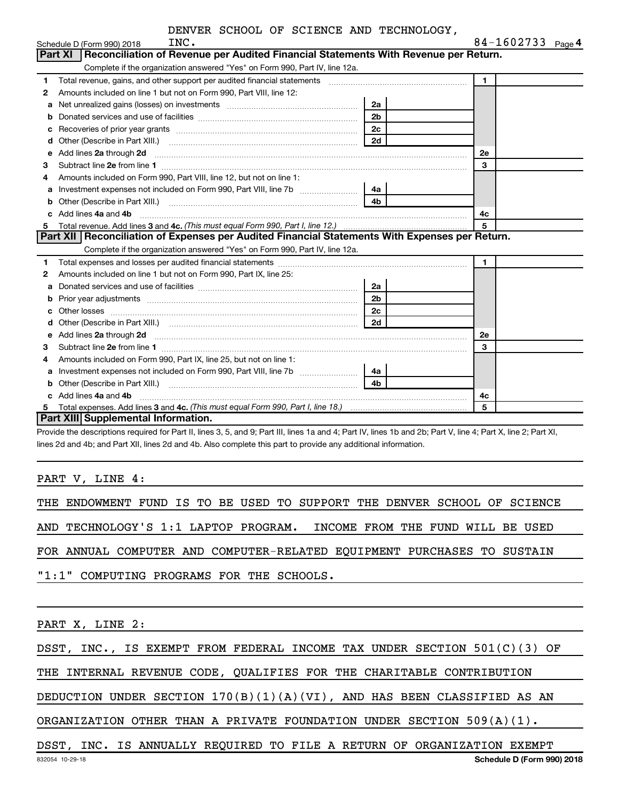|    | INC.<br>Schedule D (Form 990) 2018                                                                                                                                                                                                  |                | 84-1602733 $_{Page 4}$ |  |
|----|-------------------------------------------------------------------------------------------------------------------------------------------------------------------------------------------------------------------------------------|----------------|------------------------|--|
|    | Reconciliation of Revenue per Audited Financial Statements With Revenue per Return.<br><b>Part XI</b>                                                                                                                               |                |                        |  |
|    | Complete if the organization answered "Yes" on Form 990, Part IV, line 12a.                                                                                                                                                         |                |                        |  |
| 1. | Total revenue, gains, and other support per audited financial statements [111] [11] Total revenue, gains, and other support per audited financial statements                                                                        |                | $\mathbf{1}$           |  |
| 2  | Amounts included on line 1 but not on Form 990, Part VIII, line 12:                                                                                                                                                                 |                |                        |  |
| a  |                                                                                                                                                                                                                                     | 2a             |                        |  |
| b  |                                                                                                                                                                                                                                     | 2 <sub>b</sub> |                        |  |
| c  |                                                                                                                                                                                                                                     | 2 <sub>c</sub> |                        |  |
| d  |                                                                                                                                                                                                                                     | 2d             |                        |  |
| e  | Add lines 2a through 2d <b>[10]</b> University of the state of the state of the state of the state of the state of the state of the state of the state of the state of the state of the state of the state of the state of the stat |                | 2е                     |  |
| З  |                                                                                                                                                                                                                                     |                | 3                      |  |
| 4  | Amounts included on Form 990, Part VIII, line 12, but not on line 1:                                                                                                                                                                |                |                        |  |
|    | Investment expenses not included on Form 990, Part VIII, line 7b [11, 111, 111, 111]                                                                                                                                                | 4a             |                        |  |
| b  | Other (Describe in Part XIII.) <b>Construction Contract Construction</b> Chern Construction Construction Construction                                                                                                               | 4 <sub>b</sub> |                        |  |
| c. | Add lines 4a and 4b                                                                                                                                                                                                                 |                | 4c                     |  |
| 5  | Total revenue. Add lines 3 and 4c. (This must equal Form 990, Part I, line 12.)                                                                                                                                                     |                | 5                      |  |
|    | Part XII Reconciliation of Expenses per Audited Financial Statements With Expenses per Return.                                                                                                                                      |                |                        |  |
|    | Complete if the organization answered "Yes" on Form 990, Part IV, line 12a.                                                                                                                                                         |                |                        |  |
| 1  |                                                                                                                                                                                                                                     |                | $\blacksquare$         |  |
| 2  | Amounts included on line 1 but not on Form 990, Part IX, line 25:                                                                                                                                                                   |                |                        |  |
| a  |                                                                                                                                                                                                                                     | 2a             |                        |  |
| b  |                                                                                                                                                                                                                                     | 2 <sub>b</sub> |                        |  |
| C  |                                                                                                                                                                                                                                     | 2 <sub>c</sub> |                        |  |
|    |                                                                                                                                                                                                                                     | 2d             |                        |  |
| e  | Add lines 2a through 2d <b>must be a constructed as the constant of the constant of the constant of the construction</b>                                                                                                            |                | 2e                     |  |
| З  |                                                                                                                                                                                                                                     |                | 3                      |  |
| 4  | Amounts included on Form 990, Part IX, line 25, but not on line 1:                                                                                                                                                                  |                |                        |  |
| а  |                                                                                                                                                                                                                                     | 4a             |                        |  |
| b  |                                                                                                                                                                                                                                     | 4 <sub>b</sub> |                        |  |
|    | Add lines 4a and 4b                                                                                                                                                                                                                 |                | 4с                     |  |
| 5  |                                                                                                                                                                                                                                     |                | 5                      |  |
|    | <b>Part XIII</b> Supplemental Information.                                                                                                                                                                                          |                |                        |  |

Provide the descriptions required for Part II, lines 3, 5, and 9; Part III, lines 1a and 4; Part IV, lines 1b and 2b; Part V, line 4; Part X, line 2; Part XI, lines 2d and 4b; and Part XII, lines 2d and 4b. Also complete this part to provide any additional information.

PART V, LINE 4:

THE ENDOWMENT FUND IS TO BE USED TO SUPPORT THE DENVER SCHOOL OF SCIENCE

AND TECHNOLOGY'S 1:1 LAPTOP PROGRAM. INCOME FROM THE FUND WILL BE USED

FOR ANNUAL COMPUTER AND COMPUTER-RELATED EQUIPMENT PURCHASES TO SUSTAIN

"1:1" COMPUTING PROGRAMS FOR THE SCHOOLS.

PART X, LINE 2:

DSST, INC., IS EXEMPT FROM FEDERAL INCOME TAX UNDER SECTION 501(C)(3) OF

THE INTERNAL REVENUE CODE, QUALIFIES FOR THE CHARITABLE CONTRIBUTION

DEDUCTION UNDER SECTION 170(B)(1)(A)(VI), AND HAS BEEN CLASSIFIED AS AN

ORGANIZATION OTHER THAN A PRIVATE FOUNDATION UNDER SECTION 509(A)(1).

DSST, INC. IS ANNUALLY REQUIRED TO FILE A RETURN OF ORGANIZATION EXEMPT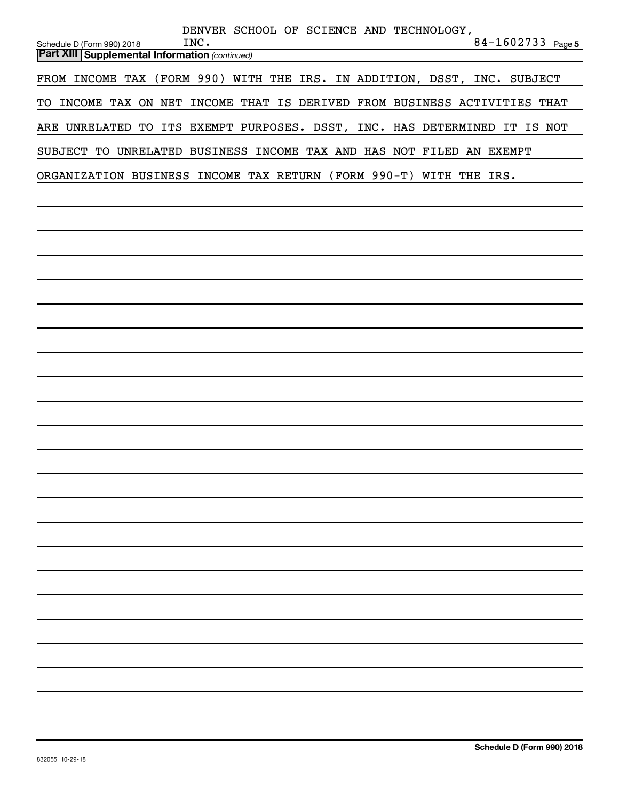| DENVER SCHOOL OF SCIENCE AND TECHNOLOGY,<br>84-1602733 Page 5<br>INC.<br>Schedule D (Form 990) 2018 |
|-----------------------------------------------------------------------------------------------------|
| <b>Part XIII Supplemental Information (continued)</b>                                               |
| FROM INCOME TAX (FORM 990) WITH THE IRS. IN ADDITION, DSST, INC. SUBJECT                            |
| TO INCOME TAX ON NET INCOME THAT IS DERIVED FROM BUSINESS ACTIVITIES THAT                           |
| ARE UNRELATED TO ITS EXEMPT PURPOSES. DSST, INC. HAS DETERMINED IT IS NOT                           |
| SUBJECT TO UNRELATED BUSINESS INCOME TAX AND HAS NOT FILED AN EXEMPT                                |
| ORGANIZATION BUSINESS INCOME TAX RETURN (FORM 990-T) WITH THE IRS.                                  |
|                                                                                                     |
|                                                                                                     |
|                                                                                                     |
|                                                                                                     |
|                                                                                                     |
|                                                                                                     |
|                                                                                                     |
|                                                                                                     |
|                                                                                                     |
|                                                                                                     |
|                                                                                                     |
|                                                                                                     |
|                                                                                                     |
|                                                                                                     |
|                                                                                                     |
|                                                                                                     |
|                                                                                                     |
|                                                                                                     |
|                                                                                                     |
|                                                                                                     |
|                                                                                                     |
|                                                                                                     |
|                                                                                                     |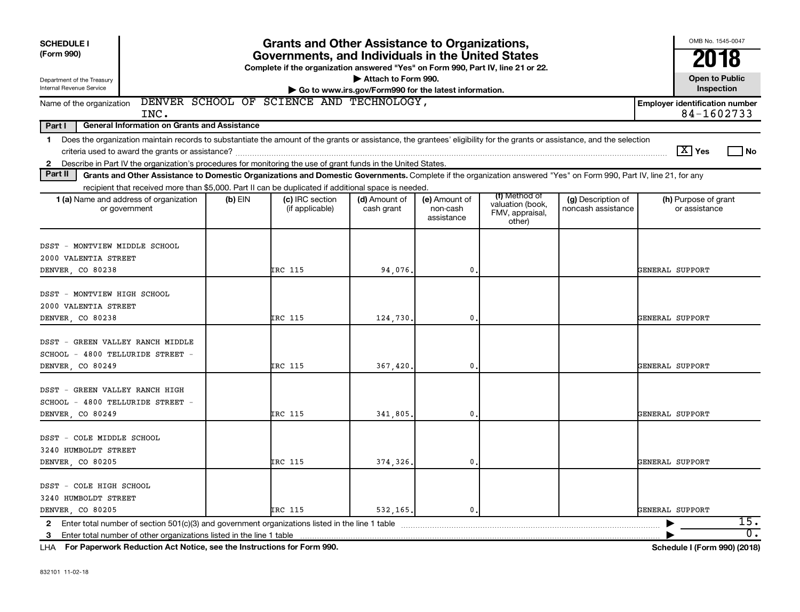| <b>SCHEDULE I</b>                                      |                                                                                                                                                                          |           | <b>Grants and Other Assistance to Organizations,</b> |                                                       |                                         |                                               |                                          |                 | OMB No. 1545-0047                                   |                  |  |
|--------------------------------------------------------|--------------------------------------------------------------------------------------------------------------------------------------------------------------------------|-----------|------------------------------------------------------|-------------------------------------------------------|-----------------------------------------|-----------------------------------------------|------------------------------------------|-----------------|-----------------------------------------------------|------------------|--|
| (Form 990)                                             | Governments, and Individuals in the United States<br>Complete if the organization answered "Yes" on Form 990, Part IV, line 21 or 22.                                    |           |                                                      |                                                       |                                         |                                               |                                          |                 |                                                     |                  |  |
| Department of the Treasury<br>Internal Revenue Service |                                                                                                                                                                          |           |                                                      | Attach to Form 990.                                   |                                         |                                               |                                          |                 | <b>Open to Public</b>                               |                  |  |
|                                                        |                                                                                                                                                                          |           |                                                      | Go to www.irs.gov/Form990 for the latest information. |                                         |                                               |                                          |                 | Inspection                                          |                  |  |
| Name of the organization                               | INC.                                                                                                                                                                     |           | DENVER SCHOOL OF SCIENCE AND TECHNOLOGY,             |                                                       |                                         |                                               |                                          |                 | <b>Employer identification number</b><br>84-1602733 |                  |  |
| Part I                                                 | <b>General Information on Grants and Assistance</b>                                                                                                                      |           |                                                      |                                                       |                                         |                                               |                                          |                 |                                                     |                  |  |
| $\mathbf 1$                                            | Does the organization maintain records to substantiate the amount of the grants or assistance, the grantees' eligibility for the grants or assistance, and the selection |           |                                                      |                                                       |                                         |                                               |                                          |                 |                                                     |                  |  |
|                                                        |                                                                                                                                                                          |           |                                                      |                                                       |                                         |                                               |                                          |                 | $\boxed{\text{X}}$ Yes                              | No               |  |
| $\mathbf{2}$                                           | Describe in Part IV the organization's procedures for monitoring the use of grant funds in the United States.                                                            |           |                                                      |                                                       |                                         |                                               |                                          |                 |                                                     |                  |  |
| Part II                                                | Grants and Other Assistance to Domestic Organizations and Domestic Governments. Complete if the organization answered "Yes" on Form 990, Part IV, line 21, for any       |           |                                                      |                                                       |                                         |                                               |                                          |                 |                                                     |                  |  |
|                                                        | recipient that received more than \$5,000. Part II can be duplicated if additional space is needed.                                                                      |           |                                                      |                                                       |                                         | (f) Method of                                 |                                          |                 |                                                     |                  |  |
|                                                        | 1 (a) Name and address of organization<br>or government                                                                                                                  | $(b)$ EIN | (c) IRC section<br>(if applicable)                   | (d) Amount of<br>cash grant                           | (e) Amount of<br>non-cash<br>assistance | valuation (book,<br>FMV, appraisal,<br>other) | (g) Description of<br>noncash assistance |                 | (h) Purpose of grant<br>or assistance               |                  |  |
| DSST - MONTVIEW MIDDLE SCHOOL                          |                                                                                                                                                                          |           |                                                      |                                                       |                                         |                                               |                                          |                 |                                                     |                  |  |
| 2000 VALENTIA STREET                                   |                                                                                                                                                                          |           |                                                      |                                                       |                                         |                                               |                                          |                 |                                                     |                  |  |
| DENVER, CO 80238                                       |                                                                                                                                                                          |           | IRC 115                                              | 94,076.                                               | $\mathbf 0$                             |                                               |                                          | GENERAL SUPPORT |                                                     |                  |  |
|                                                        |                                                                                                                                                                          |           |                                                      |                                                       |                                         |                                               |                                          |                 |                                                     |                  |  |
| DSST - MONTVIEW HIGH SCHOOL                            |                                                                                                                                                                          |           |                                                      |                                                       |                                         |                                               |                                          |                 |                                                     |                  |  |
| 2000 VALENTIA STREET                                   |                                                                                                                                                                          |           |                                                      |                                                       |                                         |                                               |                                          |                 |                                                     |                  |  |
| DENVER CO 80238                                        |                                                                                                                                                                          |           | IRC 115                                              | 124,730                                               | $\mathbf{0}$ .                          |                                               |                                          | GENERAL SUPPORT |                                                     |                  |  |
| DSST - GREEN VALLEY RANCH MIDDLE                       |                                                                                                                                                                          |           |                                                      |                                                       |                                         |                                               |                                          |                 |                                                     |                  |  |
| SCHOOL - 4800 TELLURIDE STREET -                       |                                                                                                                                                                          |           |                                                      |                                                       |                                         |                                               |                                          |                 |                                                     |                  |  |
| DENVER, CO 80249                                       |                                                                                                                                                                          |           | IRC 115                                              | 367,420                                               | $\mathbf{0}$                            |                                               |                                          | GENERAL SUPPORT |                                                     |                  |  |
|                                                        |                                                                                                                                                                          |           |                                                      |                                                       |                                         |                                               |                                          |                 |                                                     |                  |  |
| DSST - GREEN VALLEY RANCH HIGH                         |                                                                                                                                                                          |           |                                                      |                                                       |                                         |                                               |                                          |                 |                                                     |                  |  |
| SCHOOL - 4800 TELLURIDE STREET -                       |                                                                                                                                                                          |           |                                                      |                                                       |                                         |                                               |                                          |                 |                                                     |                  |  |
| DENVER, CO 80249                                       |                                                                                                                                                                          |           | IRC 115                                              | 341,805                                               | $\mathbf{0}$                            |                                               |                                          | GENERAL SUPPORT |                                                     |                  |  |
|                                                        |                                                                                                                                                                          |           |                                                      |                                                       |                                         |                                               |                                          |                 |                                                     |                  |  |
| DSST - COLE MIDDLE SCHOOL                              |                                                                                                                                                                          |           |                                                      |                                                       |                                         |                                               |                                          |                 |                                                     |                  |  |
| 3240 HUMBOLDT STREET                                   |                                                                                                                                                                          |           |                                                      |                                                       |                                         |                                               |                                          |                 |                                                     |                  |  |
| DENVER CO 80205                                        |                                                                                                                                                                          |           | IRC 115                                              | 374,326,                                              | 0.                                      |                                               |                                          | GENERAL SUPPORT |                                                     |                  |  |
|                                                        |                                                                                                                                                                          |           |                                                      |                                                       |                                         |                                               |                                          |                 |                                                     |                  |  |
| DSST - COLE HIGH SCHOOL                                |                                                                                                                                                                          |           |                                                      |                                                       |                                         |                                               |                                          |                 |                                                     |                  |  |
| 3240 HUMBOLDT STREET                                   |                                                                                                                                                                          |           |                                                      |                                                       |                                         |                                               |                                          |                 |                                                     |                  |  |
| DENVER, CO 80205                                       |                                                                                                                                                                          |           | IRC 115                                              | 532,165.                                              | 0.                                      |                                               |                                          | GENERAL SUPPORT |                                                     | 15.              |  |
|                                                        |                                                                                                                                                                          |           |                                                      |                                                       |                                         |                                               |                                          |                 |                                                     | $\overline{0}$ . |  |
| 3                                                      | Enter total number of other organizations listed in the line 1 table                                                                                                     |           |                                                      |                                                       |                                         |                                               |                                          |                 |                                                     |                  |  |

**For Paperwork Reduction Act Notice, see the Instructions for Form 990. Schedule I (Form 990) (2018)** LHA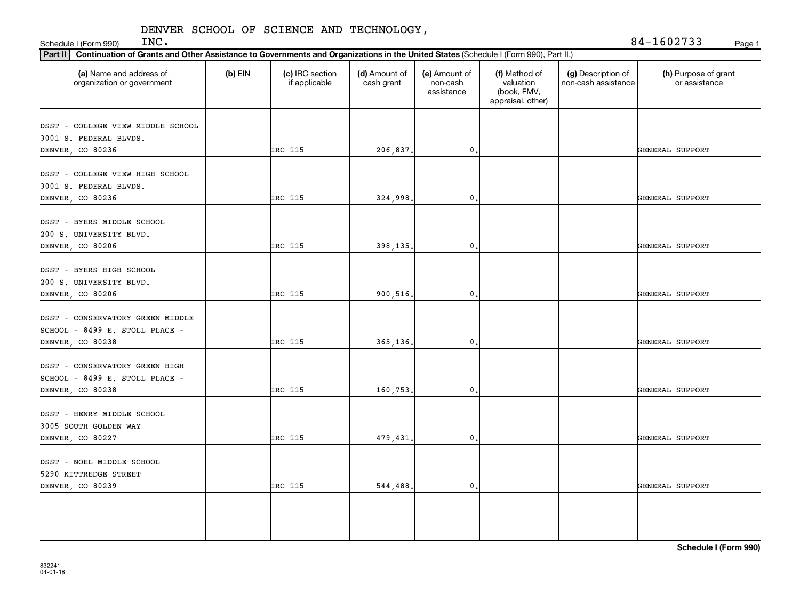| (a) Name and address of<br>organization or government              | $(b)$ EIN | (c) IRC section<br>if applicable | (d) Amount of<br>cash grant | (e) Amount of<br>non-cash<br>assistance | (f) Method of<br>valuation<br>(book, FMV,<br>appraisal, other) | (g) Description of<br>non-cash assistance | (h) Purpose of grant<br>or assistance |
|--------------------------------------------------------------------|-----------|----------------------------------|-----------------------------|-----------------------------------------|----------------------------------------------------------------|-------------------------------------------|---------------------------------------|
| DSST - COLLEGE VIEW MIDDLE SCHOOL<br>3001 S. FEDERAL BLVDS.        |           |                                  |                             |                                         |                                                                |                                           |                                       |
| DENVER, CO 80236                                                   |           | IRC 115                          | 206,837.                    | $\mathbf 0$ .                           |                                                                |                                           | GENERAL SUPPORT                       |
| DSST - COLLEGE VIEW HIGH SCHOOL<br>3001 S. FEDERAL BLVDS.          |           |                                  |                             |                                         |                                                                |                                           |                                       |
| DENVER, CO 80236                                                   |           | IRC 115                          | 324,998.                    | $\mathbf{0}$                            |                                                                |                                           | GENERAL SUPPORT                       |
| DSST - BYERS MIDDLE SCHOOL<br>200 S. UNIVERSITY BLVD.              |           |                                  |                             |                                         |                                                                |                                           |                                       |
| DENVER, CO 80206                                                   |           | IRC 115                          | 398,135.                    | 0.                                      |                                                                |                                           | GENERAL SUPPORT                       |
| DSST - BYERS HIGH SCHOOL<br>200 S. UNIVERSITY BLVD.                |           |                                  |                             |                                         |                                                                |                                           |                                       |
| DENVER, CO 80206                                                   |           | IRC 115                          | 900,516.                    | $\mathbf{0}$                            |                                                                |                                           | GENERAL SUPPORT                       |
| DSST - CONSERVATORY GREEN MIDDLE<br>SCHOOL - 8499 E. STOLL PLACE - |           |                                  |                             |                                         |                                                                |                                           |                                       |
| DENVER, CO 80238                                                   |           | IRC 115                          | 365,136.                    | $\mathbf{0}$                            |                                                                |                                           | GENERAL SUPPORT                       |
| DSST - CONSERVATORY GREEN HIGH<br>SCHOOL - 8499 E. STOLL PLACE -   |           |                                  |                             |                                         |                                                                |                                           |                                       |
| DENVER, CO 80238                                                   |           | IRC 115                          | 160,753.                    | $\mathbf{0}$                            |                                                                |                                           | GENERAL SUPPORT                       |
| DSST - HENRY MIDDLE SCHOOL<br>3005 SOUTH GOLDEN WAY                |           |                                  |                             |                                         |                                                                |                                           |                                       |
| DENVER, CO 80227                                                   |           | IRC 115                          | 479,431.                    | $\mathbf{0}$ .                          |                                                                |                                           | GENERAL SUPPORT                       |
| DSST - NOEL MIDDLE SCHOOL                                          |           |                                  |                             |                                         |                                                                |                                           |                                       |
| 5290 KITTREDGE STREET                                              |           |                                  |                             |                                         |                                                                |                                           |                                       |

**Schedule I (Form 990)**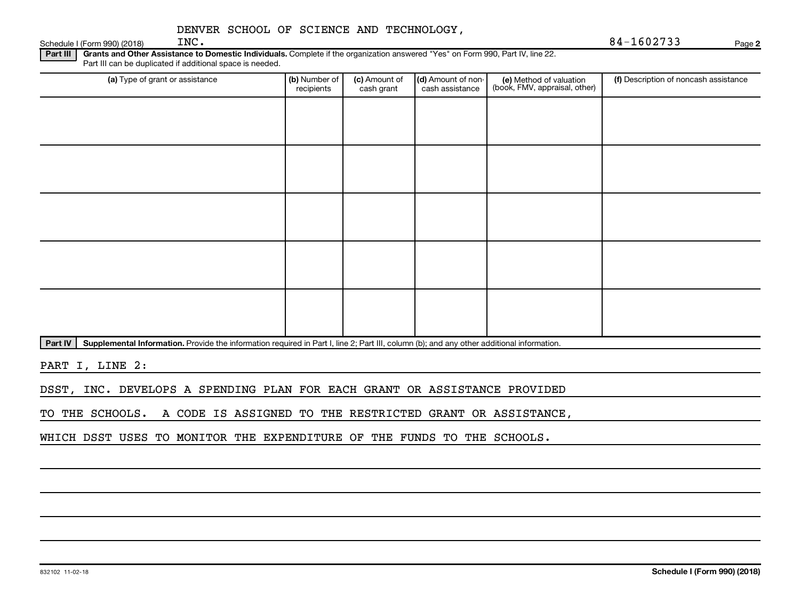|  |  | DENVER SCHOOL OF SCIENCE AND TECHNOLOGY, |  |
|--|--|------------------------------------------|--|
|  |  |                                          |  |

Schedule I (Form 990) (2018)  $\qquad \qquad \text{INC.}$ 

**2**

Part III | Grants and Other Assistance to Domestic Individuals. Complete if the organization answered "Yes" on Form 990, Part IV, line 22. Part III can be duplicated if additional space is needed.

| (a) Type of grant or assistance | (b) Number of<br>recipients | (c) Amount of<br>cash grant | (d) Amount of non-<br>cash assistance | (e) Method of valuation<br>(book, FMV, appraisal, other) | (f) Description of noncash assistance |
|---------------------------------|-----------------------------|-----------------------------|---------------------------------------|----------------------------------------------------------|---------------------------------------|
|                                 |                             |                             |                                       |                                                          |                                       |
|                                 |                             |                             |                                       |                                                          |                                       |
|                                 |                             |                             |                                       |                                                          |                                       |
|                                 |                             |                             |                                       |                                                          |                                       |
|                                 |                             |                             |                                       |                                                          |                                       |
|                                 |                             |                             |                                       |                                                          |                                       |
|                                 |                             |                             |                                       |                                                          |                                       |
|                                 |                             |                             |                                       |                                                          |                                       |
|                                 |                             |                             |                                       |                                                          |                                       |
|                                 |                             |                             |                                       |                                                          |                                       |

Part IV | Supplemental Information. Provide the information required in Part I, line 2; Part III, column (b); and any other additional information.

PART I, LINE 2:

DSST, INC. DEVELOPS A SPENDING PLAN FOR EACH GRANT OR ASSISTANCE PROVIDED

TO THE SCHOOLS. A CODE IS ASSIGNED TO THE RESTRICTED GRANT OR ASSISTANCE,

WHICH DSST USES TO MONITOR THE EXPENDITURE OF THE FUNDS TO THE SCHOOLS.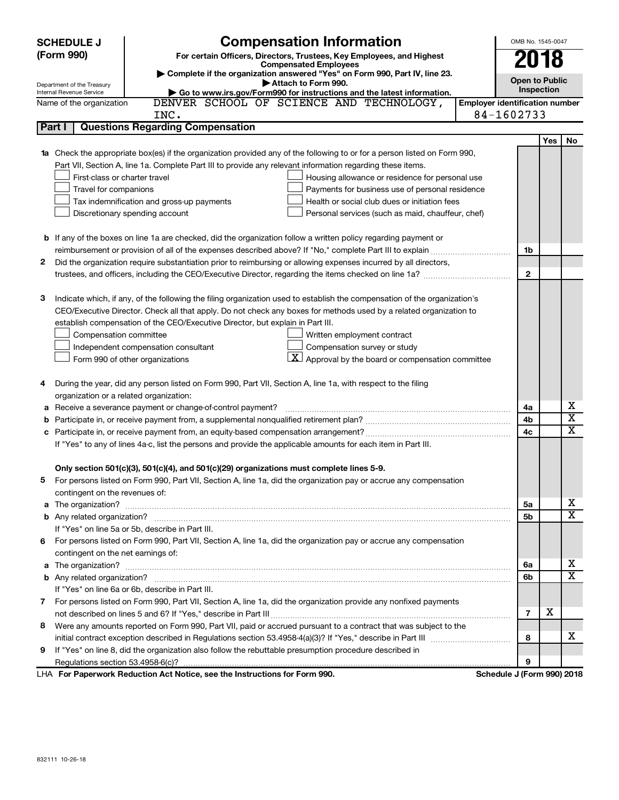|    | <b>Compensation Information</b><br><b>SCHEDULE J</b><br>(Form 990)<br>For certain Officers, Directors, Trustees, Key Employees, and Highest                                | OMB No. 1545-0047<br>2018             |            |                         |  |  |
|----|----------------------------------------------------------------------------------------------------------------------------------------------------------------------------|---------------------------------------|------------|-------------------------|--|--|
|    | <b>Compensated Employees</b><br>Complete if the organization answered "Yes" on Form 990, Part IV, line 23.                                                                 |                                       |            |                         |  |  |
|    | Attach to Form 990.<br>Department of the Treasury                                                                                                                          | <b>Open to Public</b>                 | Inspection |                         |  |  |
|    | Internal Revenue Service<br>Go to www.irs.gov/Form990 for instructions and the latest information.<br>DENVER SCHOOL OF SCIENCE AND TECHNOLOGY,<br>Name of the organization | <b>Employer identification number</b> |            |                         |  |  |
|    | INC.                                                                                                                                                                       | 84-1602733                            |            |                         |  |  |
|    | Part I<br><b>Questions Regarding Compensation</b>                                                                                                                          |                                       |            |                         |  |  |
|    |                                                                                                                                                                            |                                       | Yes        | No                      |  |  |
|    | <b>1a</b> Check the appropriate box(es) if the organization provided any of the following to or for a person listed on Form 990,                                           |                                       |            |                         |  |  |
|    | Part VII, Section A, line 1a. Complete Part III to provide any relevant information regarding these items.                                                                 |                                       |            |                         |  |  |
|    | First-class or charter travel<br>Housing allowance or residence for personal use                                                                                           |                                       |            |                         |  |  |
|    | Travel for companions<br>Payments for business use of personal residence                                                                                                   |                                       |            |                         |  |  |
|    | Tax indemnification and gross-up payments<br>Health or social club dues or initiation fees                                                                                 |                                       |            |                         |  |  |
|    | Discretionary spending account<br>Personal services (such as maid, chauffeur, chef)                                                                                        |                                       |            |                         |  |  |
|    |                                                                                                                                                                            |                                       |            |                         |  |  |
|    | <b>b</b> If any of the boxes on line 1a are checked, did the organization follow a written policy regarding payment or                                                     |                                       |            |                         |  |  |
|    | reimbursement or provision of all of the expenses described above? If "No," complete Part III to explain                                                                   | 1b                                    |            |                         |  |  |
| 2  | Did the organization require substantiation prior to reimbursing or allowing expenses incurred by all directors,                                                           |                                       |            |                         |  |  |
|    |                                                                                                                                                                            | $\mathbf{2}$                          |            |                         |  |  |
|    |                                                                                                                                                                            |                                       |            |                         |  |  |
| з  | Indicate which, if any, of the following the filing organization used to establish the compensation of the organization's                                                  |                                       |            |                         |  |  |
|    | CEO/Executive Director. Check all that apply. Do not check any boxes for methods used by a related organization to                                                         |                                       |            |                         |  |  |
|    | establish compensation of the CEO/Executive Director, but explain in Part III.                                                                                             |                                       |            |                         |  |  |
|    | Compensation committee<br>Written employment contract                                                                                                                      |                                       |            |                         |  |  |
|    | Independent compensation consultant<br>Compensation survey or study                                                                                                        |                                       |            |                         |  |  |
|    | $\mathbf{X}$ Approval by the board or compensation committee<br>Form 990 of other organizations                                                                            |                                       |            |                         |  |  |
|    |                                                                                                                                                                            |                                       |            |                         |  |  |
| 4  | During the year, did any person listed on Form 990, Part VII, Section A, line 1a, with respect to the filing                                                               |                                       |            |                         |  |  |
|    | organization or a related organization:                                                                                                                                    |                                       |            |                         |  |  |
| а  | Receive a severance payment or change-of-control payment?                                                                                                                  | 4a                                    |            | х                       |  |  |
| b  |                                                                                                                                                                            | 4b                                    |            | $\overline{\mathbf{X}}$ |  |  |
| с  |                                                                                                                                                                            | 4c                                    |            | X                       |  |  |
|    | If "Yes" to any of lines 4a-c, list the persons and provide the applicable amounts for each item in Part III.                                                              |                                       |            |                         |  |  |
|    |                                                                                                                                                                            |                                       |            |                         |  |  |
|    | Only section 501(c)(3), 501(c)(4), and 501(c)(29) organizations must complete lines 5-9.                                                                                   |                                       |            |                         |  |  |
|    | For persons listed on Form 990, Part VII, Section A, line 1a, did the organization pay or accrue any compensation                                                          |                                       |            |                         |  |  |
|    | contingent on the revenues of:                                                                                                                                             |                                       |            | х                       |  |  |
|    | a The organization? <b>Entitation</b> 2008 Communication of the organization of the organization?                                                                          | 5a<br>5b                              |            | X                       |  |  |
|    | If "Yes" on line 5a or 5b, describe in Part III.                                                                                                                           |                                       |            |                         |  |  |
| 6. | For persons listed on Form 990, Part VII, Section A, line 1a, did the organization pay or accrue any compensation                                                          |                                       |            |                         |  |  |
|    | contingent on the net earnings of:                                                                                                                                         |                                       |            |                         |  |  |
|    |                                                                                                                                                                            | 6а                                    |            | х                       |  |  |
|    |                                                                                                                                                                            | 6b                                    |            | X                       |  |  |
|    | If "Yes" on line 6a or 6b, describe in Part III.                                                                                                                           |                                       |            |                         |  |  |
|    | 7 For persons listed on Form 990, Part VII, Section A, line 1a, did the organization provide any nonfixed payments                                                         |                                       |            |                         |  |  |
|    |                                                                                                                                                                            | $\overline{7}$                        | х          |                         |  |  |
| 8  | Were any amounts reported on Form 990, Part VII, paid or accrued pursuant to a contract that was subject to the                                                            |                                       |            |                         |  |  |
|    |                                                                                                                                                                            | 8                                     |            | х                       |  |  |
| 9  | If "Yes" on line 8, did the organization also follow the rebuttable presumption procedure described in                                                                     |                                       |            |                         |  |  |
|    |                                                                                                                                                                            | 9                                     |            |                         |  |  |
|    | LHA For Paperwork Reduction Act Notice, see the Instructions for Form 990.                                                                                                 | Schedule J (Form 990) 2018            |            |                         |  |  |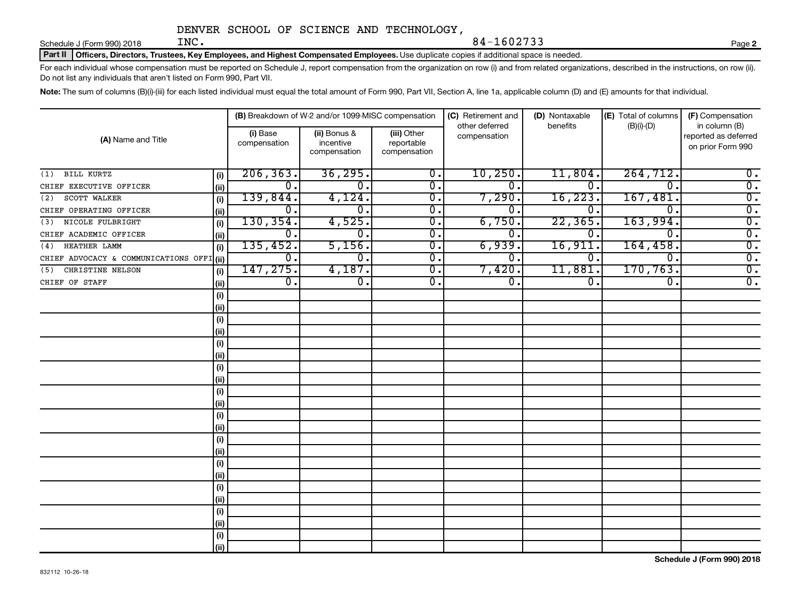Schedule J (Form 990) 2018  $INC$ .

Part II | Officers, Directors, Trustees, Key Employees, and Highest Compensated Employees. Use duplicate copies if additional space is needed.

For each individual whose compensation must be reported on Schedule J, report compensation from the organization on row (i) and from related organizations, described in the instructions, on row (ii). Do not list any individuals that aren't listed on Form 990, Part VII.

Note: The sum of columns (B)(i)-(iii) for each listed individual must equal the total amount of Form 990, Part VII, Section A, line 1a, applicable column (D) and (E) amounts for that individual.

|                                      |      |                          | (B) Breakdown of W-2 and/or 1099-MISC compensation |                                           | (C) Retirement and<br>other deferred | (D) Nontaxable<br>benefits | (E) Total of columns | (F) Compensation<br>in column (B)         |
|--------------------------------------|------|--------------------------|----------------------------------------------------|-------------------------------------------|--------------------------------------|----------------------------|----------------------|-------------------------------------------|
| (A) Name and Title                   |      | (i) Base<br>compensation | (ii) Bonus &<br>incentive<br>compensation          | (iii) Other<br>reportable<br>compensation | compensation                         |                            | $(B)(i)-(D)$         | reported as deferred<br>on prior Form 990 |
| <b>BILL KURTZ</b><br>(1)             | (i)  | 206, 363.                | 36, 295.                                           | $\overline{\mathbf{0}}$ .                 | 10, 250.                             | 11,804                     | 264, 712.            | 0.                                        |
| CHIEF EXECUTIVE OFFICER              | (ii) | $0$ .                    | $\mathbf 0$ .                                      | $\overline{0}$ .                          | 0.                                   | 0.                         | 0                    | $\overline{0}$ .                          |
| SCOTT WALKER<br>(2)                  | (i)  | 139,844.                 | 4,124.                                             | 0.                                        | 7,290.                               | 16, 223.                   | 167,481.             | $\overline{0}$ .                          |
| CHIEF OPERATING OFFICER              | (ii) | 0.                       | 0.                                                 | 0.                                        | 0.                                   | 0.                         | 0                    | $\overline{0}$ .                          |
| NICOLE FULBRIGHT<br>(3)              | (i)  | 130, 354.                | 4,525.                                             | 0.                                        | 6,750.                               | 22, 365.                   | 163,994.             | $\overline{0}$ .                          |
| CHIEF ACADEMIC OFFICER               | (ii) | $0$ .                    | $\mathbf 0$ .                                      | 0.                                        | 0.                                   | $\Omega$ .                 | $\overline{0}$ .     | $\overline{0}$ .                          |
| HEATHER LAMM<br>(4)                  | (i)  | 135,452.                 | 5,156.                                             | $\overline{0}$ .                          | 6,939.                               | 16,911                     | 164, 458.            | $\overline{0}$ .                          |
| CHIEF ADVOCACY & COMMUNICATIONS OFFI | (ii) | $\overline{0}$ .         | 0.                                                 | $\overline{0}$ .                          | О.                                   | $\mathbf 0$ .              | $\overline{0}$ .     | $\overline{0}$ .                          |
| CHRISTINE NELSON<br>(5)              | (i)  | 147, 275.                | 4,187.                                             | $\overline{\mathbf{0}}$ .                 | 7,420.                               | 11,881                     | 170, 763.            | $\overline{0}$ .                          |
| CHIEF OF STAFF                       | (ii) | $\overline{0}$ .         | $\overline{\mathfrak{o}}$ .                        | 0.                                        | 0,                                   | 0.                         | 0.                   | $\overline{0}$ .                          |
|                                      | (i)  |                          |                                                    |                                           |                                      |                            |                      |                                           |
|                                      | (i)  |                          |                                                    |                                           |                                      |                            |                      |                                           |
|                                      | (i)  |                          |                                                    |                                           |                                      |                            |                      |                                           |
|                                      | (i)  |                          |                                                    |                                           |                                      |                            |                      |                                           |
|                                      | (i)  |                          |                                                    |                                           |                                      |                            |                      |                                           |
|                                      | (i)  |                          |                                                    |                                           |                                      |                            |                      |                                           |
|                                      | (i)  |                          |                                                    |                                           |                                      |                            |                      |                                           |
|                                      | (i)  |                          |                                                    |                                           |                                      |                            |                      |                                           |
|                                      | (i)  |                          |                                                    |                                           |                                      |                            |                      |                                           |
|                                      | (i)  |                          |                                                    |                                           |                                      |                            |                      |                                           |
|                                      | (i)  |                          |                                                    |                                           |                                      |                            |                      |                                           |
|                                      | (ii) |                          |                                                    |                                           |                                      |                            |                      |                                           |
|                                      | (i)  |                          |                                                    |                                           |                                      |                            |                      |                                           |
|                                      | (ii) |                          |                                                    |                                           |                                      |                            |                      |                                           |
|                                      | (i)  |                          |                                                    |                                           |                                      |                            |                      |                                           |
|                                      | (ii) |                          |                                                    |                                           |                                      |                            |                      |                                           |
|                                      | (i)  |                          |                                                    |                                           |                                      |                            |                      |                                           |
|                                      | (ii) |                          |                                                    |                                           |                                      |                            |                      |                                           |
|                                      | (i)  |                          |                                                    |                                           |                                      |                            |                      |                                           |
|                                      | (ii) |                          |                                                    |                                           |                                      |                            |                      |                                           |
|                                      | (i)  |                          |                                                    |                                           |                                      |                            |                      |                                           |
|                                      | (ii) |                          |                                                    |                                           |                                      |                            |                      |                                           |

INC. 84-1602733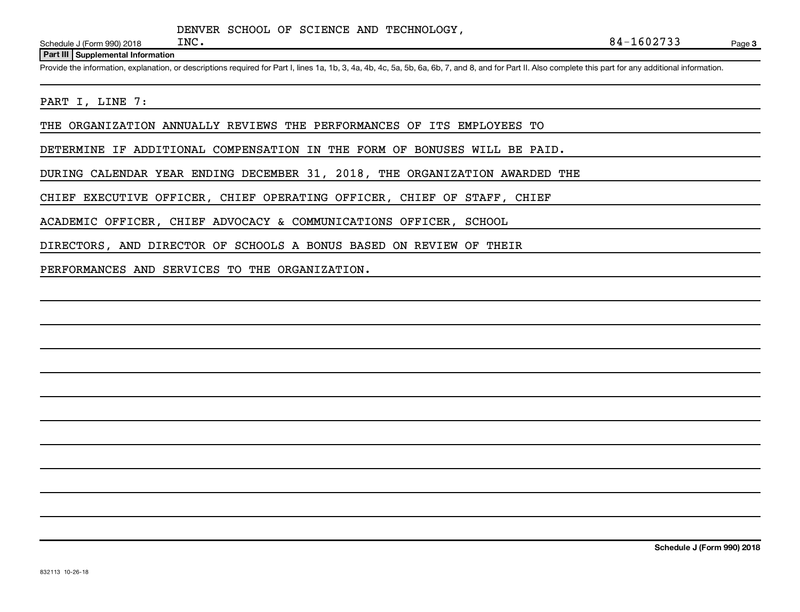Schedule J (Form 990) 2018  $INC$ .

#### **Part III Supplemental Information**

Provide the information, explanation, or descriptions required for Part I, lines 1a, 1b, 3, 4a, 4b, 4c, 5a, 5b, 6a, 6b, 7, and 8, and for Part II. Also complete this part for any additional information.

PART I, LINE 7:

THE ORGANIZATION ANNUALLY REVIEWS THE PERFORMANCES OF ITS EMPLOYEES TO

DETERMINE IF ADDITIONAL COMPENSATION IN THE FORM OF BONUSES WILL BE PAID.

DURING CALENDAR YEAR ENDING DECEMBER 31, 2018, THE ORGANIZATION AWARDED THE

CHIEF EXECUTIVE OFFICER, CHIEF OPERATING OFFICER, CHIEF OF STAFF, CHIEF

ACADEMIC OFFICER, CHIEF ADVOCACY & COMMUNICATIONS OFFICER, SCHOOL

DIRECTORS, AND DIRECTOR OF SCHOOLS A BONUS BASED ON REVIEW OF THEIR

PERFORMANCES AND SERVICES TO THE ORGANIZATION.